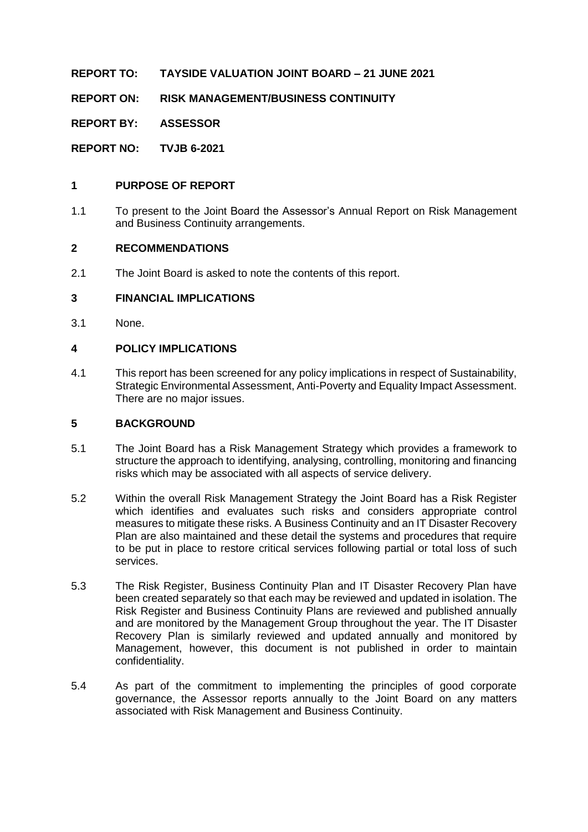**REPORT TO: TAYSIDE VALUATION JOINT BOARD – 21 JUNE 2021**

**REPORT ON: RISK MANAGEMENT/BUSINESS CONTINUITY**

**REPORT BY: ASSESSOR**

**REPORT NO: TVJB 6-2021**

#### **1 PURPOSE OF REPORT**

1.1 To present to the Joint Board the Assessor's Annual Report on Risk Management and Business Continuity arrangements.

#### **2 RECOMMENDATIONS**

2.1 The Joint Board is asked to note the contents of this report.

### **3 FINANCIAL IMPLICATIONS**

3.1 None.

#### **4 POLICY IMPLICATIONS**

4.1 This report has been screened for any policy implications in respect of Sustainability, Strategic Environmental Assessment, Anti-Poverty and Equality Impact Assessment. There are no major issues.

#### **5 BACKGROUND**

- 5.1 The Joint Board has a Risk Management Strategy which provides a framework to structure the approach to identifying, analysing, controlling, monitoring and financing risks which may be associated with all aspects of service delivery.
- 5.2 Within the overall Risk Management Strategy the Joint Board has a Risk Register which identifies and evaluates such risks and considers appropriate control measures to mitigate these risks. A Business Continuity and an IT Disaster Recovery Plan are also maintained and these detail the systems and procedures that require to be put in place to restore critical services following partial or total loss of such services.
- 5.3 The Risk Register, Business Continuity Plan and IT Disaster Recovery Plan have been created separately so that each may be reviewed and updated in isolation. The Risk Register and Business Continuity Plans are reviewed and published annually and are monitored by the Management Group throughout the year. The IT Disaster Recovery Plan is similarly reviewed and updated annually and monitored by Management, however, this document is not published in order to maintain confidentiality.
- 5.4 As part of the commitment to implementing the principles of good corporate governance, the Assessor reports annually to the Joint Board on any matters associated with Risk Management and Business Continuity.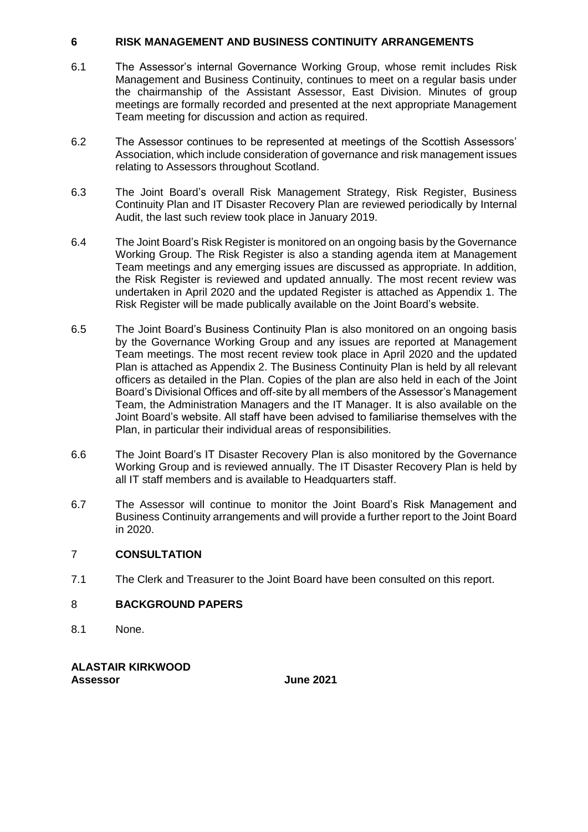#### **6 RISK MANAGEMENT AND BUSINESS CONTINUITY ARRANGEMENTS**

- 6.1 The Assessor's internal Governance Working Group, whose remit includes Risk Management and Business Continuity, continues to meet on a regular basis under the chairmanship of the Assistant Assessor, East Division. Minutes of group meetings are formally recorded and presented at the next appropriate Management Team meeting for discussion and action as required.
- 6.2 The Assessor continues to be represented at meetings of the Scottish Assessors' Association, which include consideration of governance and risk management issues relating to Assessors throughout Scotland.
- 6.3 The Joint Board's overall Risk Management Strategy, Risk Register, Business Continuity Plan and IT Disaster Recovery Plan are reviewed periodically by Internal Audit, the last such review took place in January 2019.
- 6.4 The Joint Board's Risk Register is monitored on an ongoing basis by the Governance Working Group. The Risk Register is also a standing agenda item at Management Team meetings and any emerging issues are discussed as appropriate. In addition, the Risk Register is reviewed and updated annually. The most recent review was undertaken in April 2020 and the updated Register is attached as Appendix 1. The Risk Register will be made publically available on the Joint Board's website.
- 6.5 The Joint Board's Business Continuity Plan is also monitored on an ongoing basis by the Governance Working Group and any issues are reported at Management Team meetings. The most recent review took place in April 2020 and the updated Plan is attached as Appendix 2. The Business Continuity Plan is held by all relevant officers as detailed in the Plan. Copies of the plan are also held in each of the Joint Board's Divisional Offices and off-site by all members of the Assessor's Management Team, the Administration Managers and the IT Manager. It is also available on the Joint Board's website. All staff have been advised to familiarise themselves with the Plan, in particular their individual areas of responsibilities.
- 6.6 The Joint Board's IT Disaster Recovery Plan is also monitored by the Governance Working Group and is reviewed annually. The IT Disaster Recovery Plan is held by all IT staff members and is available to Headquarters staff.
- 6.7 The Assessor will continue to monitor the Joint Board's Risk Management and Business Continuity arrangements and will provide a further report to the Joint Board in 2020.

#### 7 **CONSULTATION**

7.1 The Clerk and Treasurer to the Joint Board have been consulted on this report.

### 8 **BACKGROUND PAPERS**

8.1 None.

**ALASTAIR KIRKWOOD Assessor June 2021**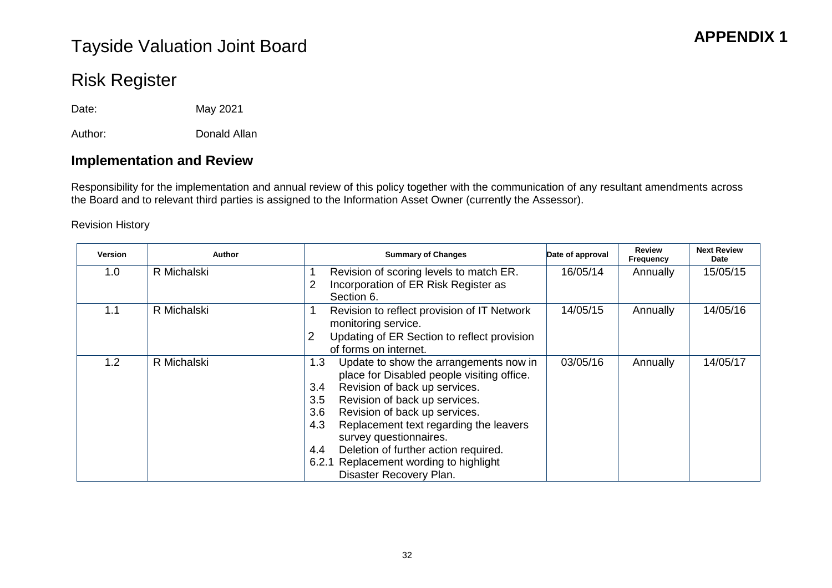# **APPENDIX 1** Tayside Valuation Joint Board

# Risk Register

Date: May 2021

Author: Donald Allan

# **Implementation and Review**

Responsibility for the implementation and annual review of this policy together with the communication of any resultant amendments across the Board and to relevant third parties is assigned to the Information Asset Owner (currently the Assessor).

#### Revision History

| <b>Version</b>   | Author      | <b>Summary of Changes</b>                                            | Date of approval | <b>Review</b><br><b>Frequency</b> | <b>Next Review</b><br>Date |
|------------------|-------------|----------------------------------------------------------------------|------------------|-----------------------------------|----------------------------|
| 1.0 <sub>1</sub> | R Michalski | Revision of scoring levels to match ER.                              | 16/05/14         | Annually                          | 15/05/15                   |
|                  |             | Incorporation of ER Risk Register as<br>$\overline{2}$<br>Section 6. |                  |                                   |                            |
| 1.1              | R Michalski | Revision to reflect provision of IT Network                          | 14/05/15         | Annually                          | 14/05/16                   |
|                  |             | monitoring service.                                                  |                  |                                   |                            |
|                  |             | $\overline{2}$<br>Updating of ER Section to reflect provision        |                  |                                   |                            |
|                  |             | of forms on internet.                                                |                  |                                   |                            |
| 1.2              | R Michalski | Update to show the arrangements now in<br>1.3                        | 03/05/16         | Annually                          | 14/05/17                   |
|                  |             | place for Disabled people visiting office.                           |                  |                                   |                            |
|                  |             | Revision of back up services.<br>3.4                                 |                  |                                   |                            |
|                  |             | Revision of back up services.<br>3.5                                 |                  |                                   |                            |
|                  |             | Revision of back up services.<br>3.6                                 |                  |                                   |                            |
|                  |             | Replacement text regarding the leavers<br>4.3                        |                  |                                   |                            |
|                  |             | survey questionnaires.                                               |                  |                                   |                            |
|                  |             | Deletion of further action required.<br>4.4                          |                  |                                   |                            |
|                  |             | Replacement wording to highlight<br>6.2.1                            |                  |                                   |                            |
|                  |             | Disaster Recovery Plan.                                              |                  |                                   |                            |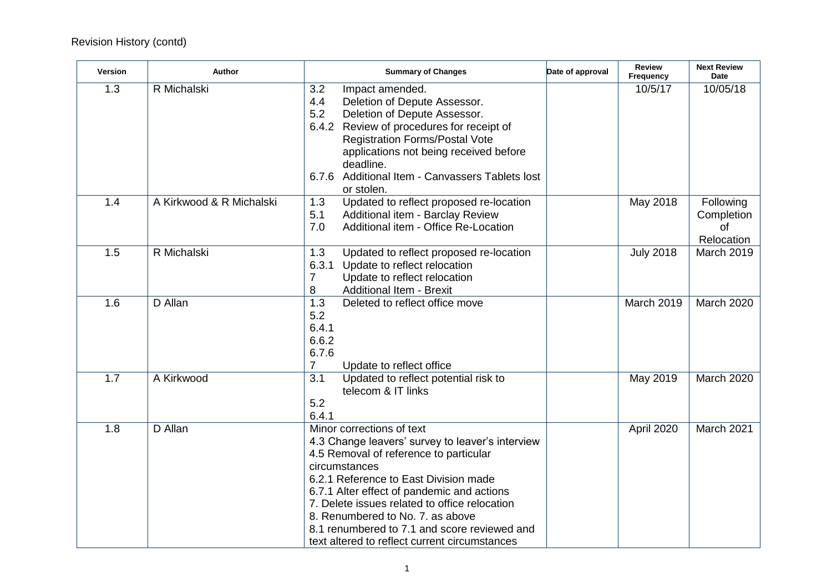# Revision History (contd)

| <b>Version</b> | Author                   | <b>Summary of Changes</b>                                                                                                                                                                                                                                                                                                                                                                                             | Date of approval | <b>Review</b><br>Frequency | <b>Next Review</b><br><b>Date</b>           |
|----------------|--------------------------|-----------------------------------------------------------------------------------------------------------------------------------------------------------------------------------------------------------------------------------------------------------------------------------------------------------------------------------------------------------------------------------------------------------------------|------------------|----------------------------|---------------------------------------------|
| 1.3            | R Michalski              | 3.2<br>Impact amended.<br>4.4<br>Deletion of Depute Assessor.<br>5.2<br>Deletion of Depute Assessor.<br>6.4.2 Review of procedures for receipt of<br><b>Registration Forms/Postal Vote</b><br>applications not being received before<br>deadline.<br>6.7.6 Additional Item - Canvassers Tablets lost<br>or stolen.                                                                                                    |                  | 10/5/17                    | 10/05/18                                    |
| 1.4            | A Kirkwood & R Michalski | 1.3<br>Updated to reflect proposed re-location<br>5.1<br>Additional item - Barclay Review<br>7.0<br>Additional item - Office Re-Location                                                                                                                                                                                                                                                                              |                  | May 2018                   | Following<br>Completion<br>of<br>Relocation |
| 1.5            | R Michalski              | 1.3<br>Updated to reflect proposed re-location<br>6.3.1 Update to reflect relocation<br>7<br>Update to reflect relocation<br><b>Additional Item - Brexit</b><br>8                                                                                                                                                                                                                                                     |                  | <b>July 2018</b>           | March 2019                                  |
| 1.6            | D Allan                  | 1.3<br>Deleted to reflect office move<br>5.2<br>6.4.1<br>6.6.2<br>6.7.6<br>$\overline{7}$<br>Update to reflect office                                                                                                                                                                                                                                                                                                 |                  | March 2019                 | March 2020                                  |
| 1.7            | A Kirkwood               | 3.1<br>Updated to reflect potential risk to<br>telecom & IT links<br>5.2<br>6.4.1                                                                                                                                                                                                                                                                                                                                     |                  | May 2019                   | March 2020                                  |
| 1.8            | D Allan                  | Minor corrections of text<br>4.3 Change leavers' survey to leaver's interview<br>4.5 Removal of reference to particular<br>circumstances<br>6.2.1 Reference to East Division made<br>6.7.1 Alter effect of pandemic and actions<br>7. Delete issues related to office relocation<br>8. Renumbered to No. 7. as above<br>8.1 renumbered to 7.1 and score reviewed and<br>text altered to reflect current circumstances |                  | April 2020                 | March 2021                                  |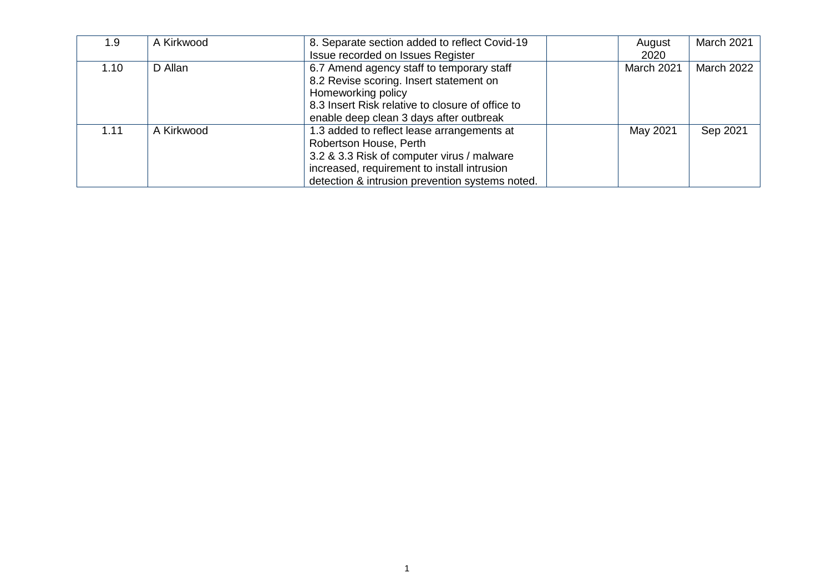| 1.9  | A Kirkwood | 8. Separate section added to reflect Covid-19    | August     | March 2021 |
|------|------------|--------------------------------------------------|------------|------------|
|      |            | Issue recorded on Issues Register                | 2020       |            |
| 1.10 | D Allan    | 6.7 Amend agency staff to temporary staff        | March 2021 | March 2022 |
|      |            | 8.2 Revise scoring. Insert statement on          |            |            |
|      |            | Homeworking policy                               |            |            |
|      |            | 8.3 Insert Risk relative to closure of office to |            |            |
|      |            | enable deep clean 3 days after outbreak          |            |            |
| 1.11 | A Kirkwood | 1.3 added to reflect lease arrangements at       | May 2021   | Sep 2021   |
|      |            | Robertson House, Perth                           |            |            |
|      |            | 3.2 & 3.3 Risk of computer virus / malware       |            |            |
|      |            | increased, requirement to install intrusion      |            |            |
|      |            | detection & intrusion prevention systems noted.  |            |            |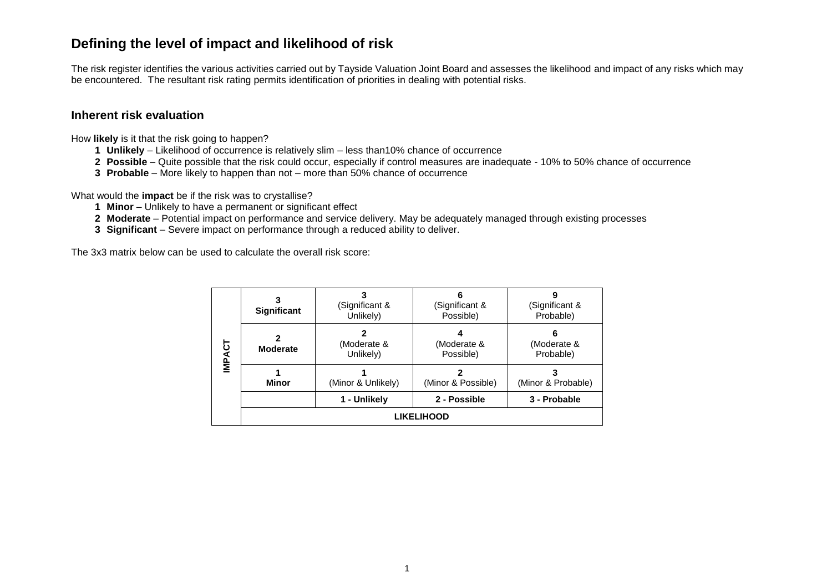# **Defining the level of impact and likelihood of risk**

The risk register identifies the various activities carried out by Tayside Valuation Joint Board and assesses the likelihood and impact of any risks which may be encountered. The resultant risk rating permits identification of priorities in dealing with potential risks.

#### **Inherent risk evaluation**

How **likely** is it that the risk going to happen?

- **1 Unlikely** Likelihood of occurrence is relatively slim less than10% chance of occurrence
- **2 Possible** Quite possible that the risk could occur, especially if control measures are inadequate 10% to 50% chance of occurrence
- **3 Probable**  More likely to happen than not more than 50% chance of occurrence

What would the **impact** be if the risk was to crystallise?

- **1 Minor** Unlikely to have a permanent or significant effect
- **2 Moderate** Potential impact on performance and service delivery. May be adequately managed through existing processes
- **3 Significant** Severe impact on performance through a reduced ability to deliver.

The 3x3 matrix below can be used to calculate the overall risk score:

|               | <b>Significant</b> | (Significant &<br>Unlikely) | (Significant &<br>Possible) | (Significant &<br>Probable)   |
|---------------|--------------------|-----------------------------|-----------------------------|-------------------------------|
| <b>IMPACT</b> | <b>Moderate</b>    | (Moderate &<br>Unlikely)    | (Moderate &<br>Possible)    | 6<br>(Moderate &<br>Probable) |
|               | <b>Minor</b>       | (Minor & Unlikely)          | (Minor & Possible)          | (Minor & Probable)            |
|               |                    | 1 - Unlikely                | 2 - Possible                | 3 - Probable                  |
|               |                    |                             | <b>LIKELIHOOD</b>           |                               |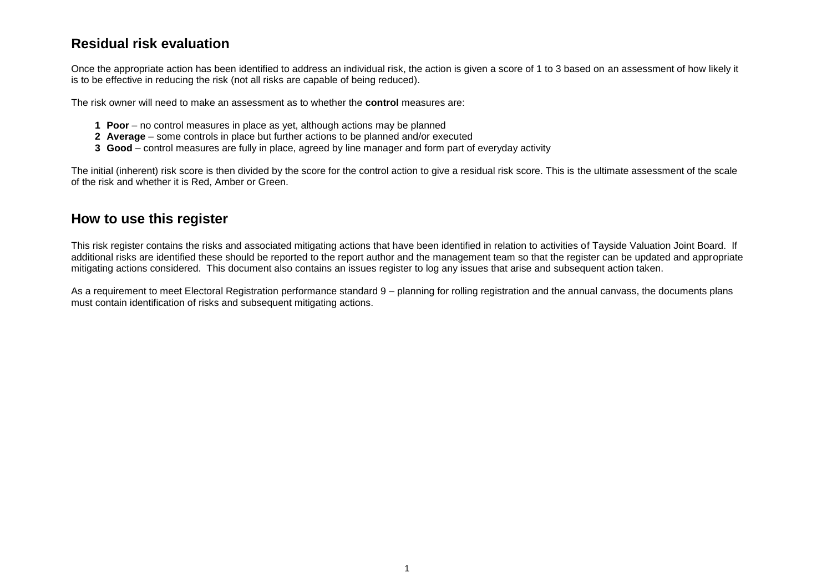# **Residual risk evaluation**

Once the appropriate action has been identified to address an individual risk, the action is given a score of 1 to 3 based on an assessment of how likely it is to be effective in reducing the risk (not all risks are capable of being reduced).

The risk owner will need to make an assessment as to whether the **control** measures are:

- **1 Poor** no control measures in place as yet, although actions may be planned
- **2 Average** some controls in place but further actions to be planned and/or executed
- **3 Good** control measures are fully in place, agreed by line manager and form part of everyday activity

The initial (inherent) risk score is then divided by the score for the control action to give a residual risk score. This is the ultimate assessment of the scale of the risk and whether it is Red, Amber or Green.

## **How to use this register**

This risk register contains the risks and associated mitigating actions that have been identified in relation to activities of Tayside Valuation Joint Board. If additional risks are identified these should be reported to the report author and the management team so that the register can be updated and appropriate mitigating actions considered. This document also contains an issues register to log any issues that arise and subsequent action taken.

As a requirement to meet Electoral Registration performance standard 9 – planning for rolling registration and the annual canvass, the documents plans must contain identification of risks and subsequent mitigating actions.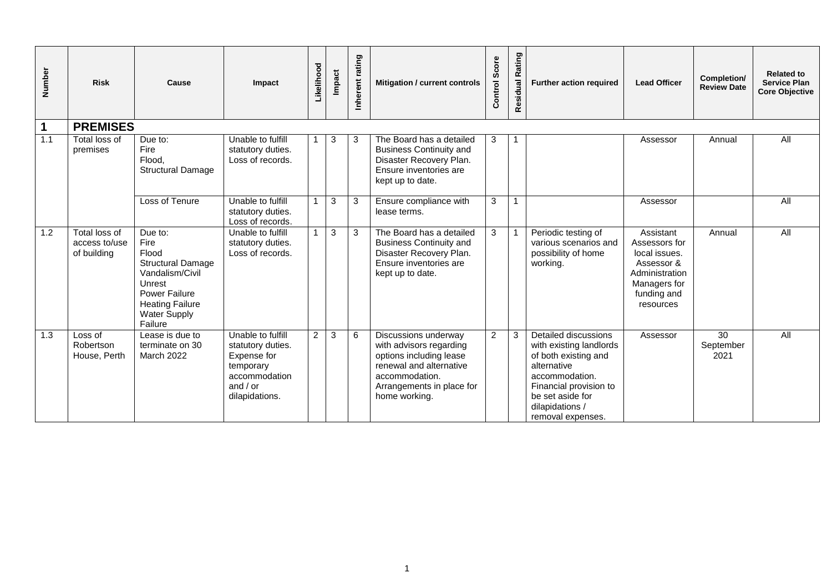| Number | <b>Risk</b>                                   | Cause                                                                                                                                                                 | Impact                                                                                                              | Likelihood     | Impact | rating<br>Inherent | Mitigation / current controls                                                                                                                                         | Score<br>Control | Rating<br>Residual | Further action required                                                                                                                                                                        | <b>Lead Officer</b>                                                                                                     | Completion/<br><b>Review Date</b>    | <b>Related to</b><br><b>Service Plan</b><br><b>Core Objective</b> |
|--------|-----------------------------------------------|-----------------------------------------------------------------------------------------------------------------------------------------------------------------------|---------------------------------------------------------------------------------------------------------------------|----------------|--------|--------------------|-----------------------------------------------------------------------------------------------------------------------------------------------------------------------|------------------|--------------------|------------------------------------------------------------------------------------------------------------------------------------------------------------------------------------------------|-------------------------------------------------------------------------------------------------------------------------|--------------------------------------|-------------------------------------------------------------------|
| 1      | <b>PREMISES</b>                               |                                                                                                                                                                       |                                                                                                                     |                |        |                    |                                                                                                                                                                       |                  |                    |                                                                                                                                                                                                |                                                                                                                         |                                      |                                                                   |
| 1.1    | Total loss of<br>premises                     | Due to:<br>Fire<br>Flood,<br><b>Structural Damage</b>                                                                                                                 | Unable to fulfill<br>statutory duties.<br>Loss of records.                                                          |                | 3      | 3                  | The Board has a detailed<br><b>Business Continuity and</b><br>Disaster Recovery Plan.<br>Ensure inventories are<br>kept up to date.                                   | 3                | $\overline{1}$     |                                                                                                                                                                                                | Assessor                                                                                                                | Annual                               | All                                                               |
|        |                                               | Loss of Tenure                                                                                                                                                        | Unable to fulfill<br>statutory duties.<br>Loss of records.                                                          |                | 3      | 3                  | Ensure compliance with<br>lease terms.                                                                                                                                | 3                |                    |                                                                                                                                                                                                | Assessor                                                                                                                |                                      | $\overline{All}$                                                  |
| 1.2    | Total loss of<br>access to/use<br>of building | Due to:<br>Fire<br>Flood<br><b>Structural Damage</b><br>Vandalism/Civil<br>Unrest<br><b>Power Failure</b><br><b>Heating Failure</b><br><b>Water Supply</b><br>Failure | Unable to fulfill<br>statutory duties.<br>Loss of records.                                                          | $\overline{1}$ | 3      | 3                  | The Board has a detailed<br><b>Business Continuity and</b><br>Disaster Recovery Plan.<br>Ensure inventories are<br>kept up to date.                                   | 3                |                    | Periodic testing of<br>various scenarios and<br>possibility of home<br>working.                                                                                                                | Assistant<br>Assessors for<br>local issues.<br>Assessor &<br>Administration<br>Managers for<br>funding and<br>resources | Annual                               | $\overline{All}$                                                  |
| 1.3    | Loss of<br>Robertson<br>House, Perth          | Lease is due to<br>terminate on 30<br>March 2022                                                                                                                      | Unable to fulfill<br>statutory duties.<br>Expense for<br>temporary<br>accommodation<br>and $/$ or<br>dilapidations. | 2              | 3      | 6                  | Discussions underway<br>with advisors regarding<br>options including lease<br>renewal and alternative<br>accommodation.<br>Arrangements in place for<br>home working. | $\overline{2}$   | 3                  | Detailed discussions<br>with existing landlords<br>of both existing and<br>alternative<br>accommodation.<br>Financial provision to<br>be set aside for<br>dilapidations /<br>removal expenses. | Assessor                                                                                                                | $\overline{30}$<br>September<br>2021 | $\overline{All}$                                                  |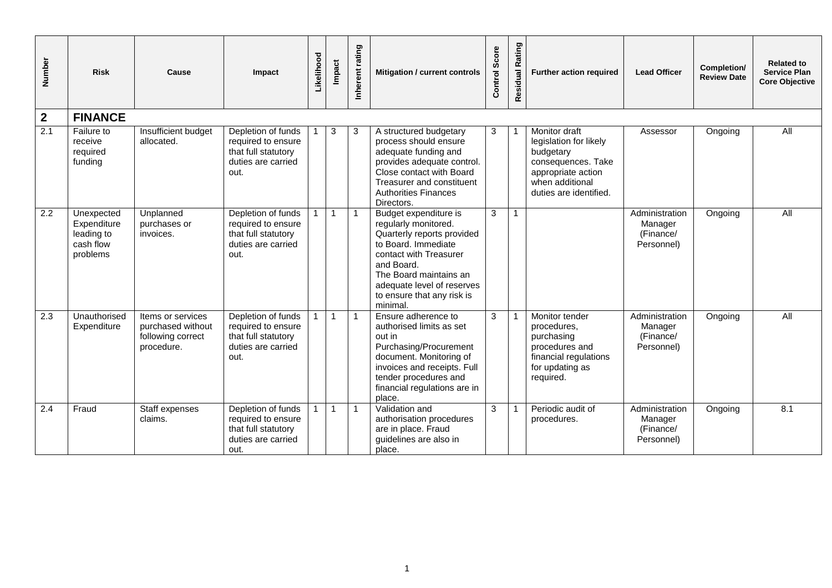| Number           | <b>Risk</b>                                                      | Cause                                                                     | Impact                                                                                        | Likelihood | Impact         | Inherent rating | Mitigation / current controls                                                                                                                                                                                                                | Score<br>Control | Rating<br>Residual | Further action required                                                                                                                       | <b>Lead Officer</b>                                  | Completion/<br><b>Review Date</b> | <b>Related to</b><br><b>Service Plan</b><br><b>Core Objective</b> |
|------------------|------------------------------------------------------------------|---------------------------------------------------------------------------|-----------------------------------------------------------------------------------------------|------------|----------------|-----------------|----------------------------------------------------------------------------------------------------------------------------------------------------------------------------------------------------------------------------------------------|------------------|--------------------|-----------------------------------------------------------------------------------------------------------------------------------------------|------------------------------------------------------|-----------------------------------|-------------------------------------------------------------------|
| $\overline{2}$   | <b>FINANCE</b>                                                   |                                                                           |                                                                                               |            |                |                 |                                                                                                                                                                                                                                              |                  |                    |                                                                                                                                               |                                                      |                                   |                                                                   |
| $\overline{2.1}$ | Failure to<br>receive<br>required<br>funding                     | Insufficient budget<br>allocated.                                         | Depletion of funds<br>required to ensure<br>that full statutory<br>duties are carried<br>out. |            | 3              | 3               | A structured budgetary<br>process should ensure<br>adequate funding and<br>provides adequate control.<br>Close contact with Board<br>Treasurer and constituent<br><b>Authorities Finances</b><br>Directors.                                  | 3                |                    | Monitor draft<br>legislation for likely<br>budgetary<br>consequences. Take<br>appropriate action<br>when additional<br>duties are identified. | Assessor                                             | Ongoing                           | All                                                               |
| $\overline{2.2}$ | Unexpected<br>Expenditure<br>leading to<br>cash flow<br>problems | Unplanned<br>purchases or<br>invoices.                                    | Depletion of funds<br>required to ensure<br>that full statutory<br>duties are carried<br>out. |            | $\overline{1}$ | $\overline{1}$  | Budget expenditure is<br>regularly monitored.<br>Quarterly reports provided<br>to Board. Immediate<br>contact with Treasurer<br>and Board.<br>The Board maintains an<br>adequate level of reserves<br>to ensure that any risk is<br>minimal. | 3                |                    |                                                                                                                                               | Administration<br>Manager<br>(Finance/<br>Personnel) | Ongoing                           | All                                                               |
| 2.3              | Unauthorised<br>Expenditure                                      | Items or services<br>purchased without<br>following correct<br>procedure. | Depletion of funds<br>required to ensure<br>that full statutory<br>duties are carried<br>out. |            | $\overline{1}$ | $\overline{1}$  | Ensure adherence to<br>authorised limits as set<br>out in<br>Purchasing/Procurement<br>document. Monitoring of<br>invoices and receipts. Full<br>tender procedures and<br>financial regulations are in<br>place.                             | 3                |                    | Monitor tender<br>procedures,<br>purchasing<br>procedures and<br>financial regulations<br>for updating as<br>required.                        | Administration<br>Manager<br>(Finance/<br>Personnel) | Ongoing                           | All                                                               |
| 2.4              | Fraud                                                            | Staff expenses<br>claims.                                                 | Depletion of funds<br>required to ensure<br>that full statutory<br>duties are carried<br>out. |            | $\overline{1}$ | $\overline{1}$  | Validation and<br>authorisation procedures<br>are in place. Fraud<br>quidelines are also in<br>place.                                                                                                                                        | 3                |                    | Periodic audit of<br>procedures.                                                                                                              | Administration<br>Manager<br>(Finance/<br>Personnel) | Ongoing                           | 8.1                                                               |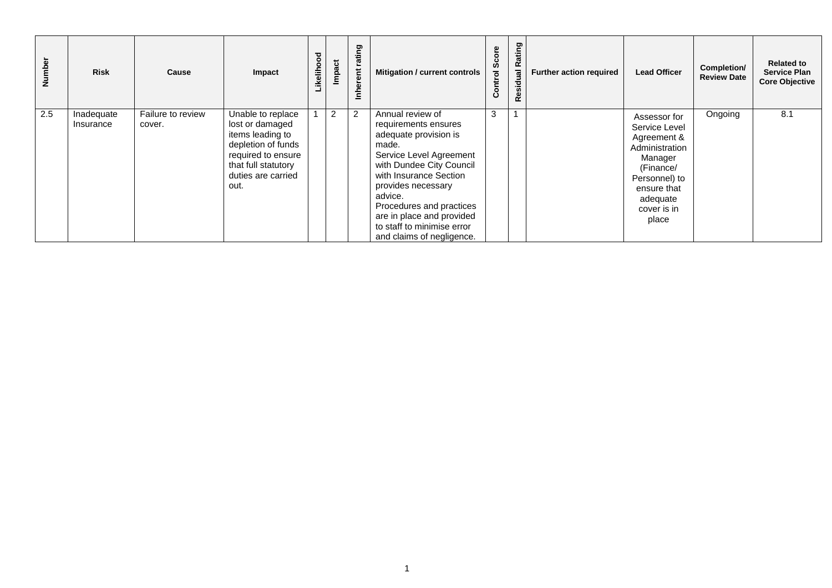| Number | <b>Risk</b>             | Cause                       | Impact                                                                                                                                                    | Likelihood | Impact         | ating<br>nherent | <b>Mitigation / current controls</b>                                                                                                                                                                                                                                                                             | မိ<br>Control | Rating<br>esidual<br>œ | <b>Further action required</b> | <b>Lead Officer</b>                                                                                                                                        | Completion/<br><b>Review Date</b> | <b>Related to</b><br><b>Service Plan</b><br><b>Core Objective</b> |
|--------|-------------------------|-----------------------------|-----------------------------------------------------------------------------------------------------------------------------------------------------------|------------|----------------|------------------|------------------------------------------------------------------------------------------------------------------------------------------------------------------------------------------------------------------------------------------------------------------------------------------------------------------|---------------|------------------------|--------------------------------|------------------------------------------------------------------------------------------------------------------------------------------------------------|-----------------------------------|-------------------------------------------------------------------|
| 2.5    | Inadequate<br>Insurance | Failure to review<br>cover. | Unable to replace<br>lost or damaged<br>items leading to<br>depletion of funds<br>required to ensure<br>that full statutory<br>duties are carried<br>out. |            | $\overline{2}$ | $\overline{2}$   | Annual review of<br>requirements ensures<br>adequate provision is<br>made.<br>Service Level Agreement<br>with Dundee City Council<br>with Insurance Section<br>provides necessary<br>advice.<br>Procedures and practices<br>are in place and provided<br>to staff to minimise error<br>and claims of negligence. | 3             |                        |                                | Assessor for<br>Service Level<br>Agreement &<br>Administration<br>Manager<br>(Finance/<br>Personnel) to<br>ensure that<br>adequate<br>cover is in<br>place | Ongoing                           | 8.1                                                               |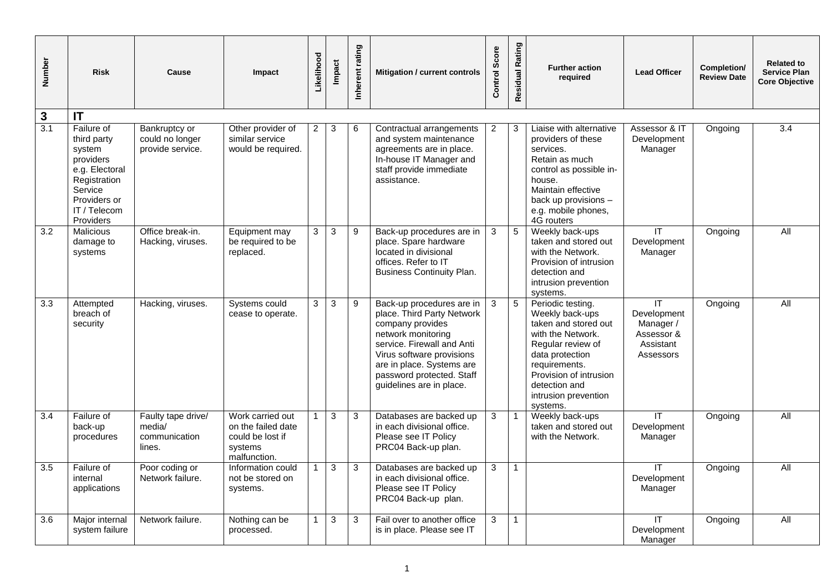| <b>Number</b>    | <b>Risk</b>                                                                                                                                | Cause                                                   | Impact                                                                                | Likelihood     | Impact       | Inherent rating | Mitigation / current controls                                                                                                                                                                                                                      | Score<br>Control | Residual Rating | <b>Further action</b><br>required                                                                                                                                                                                         | <b>Lead Officer</b>                                                     | Completion/<br><b>Review Date</b> | <b>Related to</b><br><b>Service Plan</b><br><b>Core Objective</b> |
|------------------|--------------------------------------------------------------------------------------------------------------------------------------------|---------------------------------------------------------|---------------------------------------------------------------------------------------|----------------|--------------|-----------------|----------------------------------------------------------------------------------------------------------------------------------------------------------------------------------------------------------------------------------------------------|------------------|-----------------|---------------------------------------------------------------------------------------------------------------------------------------------------------------------------------------------------------------------------|-------------------------------------------------------------------------|-----------------------------------|-------------------------------------------------------------------|
| $\mathbf{3}$     | IT                                                                                                                                         |                                                         |                                                                                       |                |              |                 |                                                                                                                                                                                                                                                    |                  |                 |                                                                                                                                                                                                                           |                                                                         |                                   |                                                                   |
| 3.1              | Failure of<br>third party<br>system<br>providers<br>e.g. Electoral<br>Registration<br>Service<br>Providers or<br>IT / Telecom<br>Providers | Bankruptcy or<br>could no longer<br>provide service.    | Other provider of<br>similar service<br>would be required.                            | $\overline{2}$ | 3            | 6               | Contractual arrangements<br>and system maintenance<br>agreements are in place.<br>In-house IT Manager and<br>staff provide immediate<br>assistance.                                                                                                | $\overline{2}$   | 3               | Liaise with alternative<br>providers of these<br>services.<br>Retain as much<br>control as possible in-<br>house.<br>Maintain effective<br>back up provisions -<br>e.g. mobile phones,<br>4G routers                      | Assessor & IT<br>Development<br>Manager                                 | Ongoing                           | 3.4                                                               |
| 3.2              | Malicious<br>damage to<br>systems                                                                                                          | Office break-in.<br>Hacking, viruses.                   | Equipment may<br>be required to be<br>replaced.                                       | 3              | 3            | 9               | Back-up procedures are in<br>place. Spare hardware<br>located in divisional<br>offices. Refer to IT<br><b>Business Continuity Plan.</b>                                                                                                            | 3                | 5               | Weekly back-ups<br>taken and stored out<br>with the Network.<br>Provision of intrusion<br>detection and<br>intrusion prevention<br>systems.                                                                               | IT<br>Development<br>Manager                                            | Ongoing                           | All                                                               |
| $\overline{3.3}$ | Attempted<br>breach of<br>security                                                                                                         | Hacking, viruses.                                       | Systems could<br>cease to operate.                                                    | 3              | $\mathbf{3}$ | 9               | Back-up procedures are in<br>place. Third Party Network<br>company provides<br>network monitoring<br>service. Firewall and Anti<br>Virus software provisions<br>are in place. Systems are<br>password protected. Staff<br>guidelines are in place. | 3                | 5               | Periodic testing.<br>Weekly back-ups<br>taken and stored out<br>with the Network.<br>Regular review of<br>data protection<br>requirements.<br>Provision of intrusion<br>detection and<br>intrusion prevention<br>systems. | IT.<br>Development<br>Manager /<br>Assessor &<br>Assistant<br>Assessors | Ongoing                           | All                                                               |
| 3.4              | Failure of<br>back-up<br>procedures                                                                                                        | Faulty tape drive/<br>media/<br>communication<br>lines. | Work carried out<br>on the failed date<br>could be lost if<br>systems<br>malfunction. | $\mathbf{1}$   | 3            | 3               | Databases are backed up<br>in each divisional office.<br>Please see IT Policy<br>PRC04 Back-up plan.                                                                                                                                               | 3                |                 | Weekly back-ups<br>taken and stored out<br>with the Network.                                                                                                                                                              | $\overline{\mathsf{I}\mathsf{T}}$<br>Development<br>Manager             | Ongoing                           | All                                                               |
| 3.5              | Failure of<br>internal<br>applications                                                                                                     | Poor coding or<br>Network failure.                      | Information could<br>not be stored on<br>systems.                                     | $\mathbf{1}$   | 3            | 3               | Databases are backed up<br>in each divisional office.<br>Please see IT Policy<br>PRC04 Back-up plan.                                                                                                                                               | 3                | $\mathbf{1}$    |                                                                                                                                                                                                                           | IT.<br>Development<br>Manager                                           | Ongoing                           | All                                                               |
| 3.6              | Major internal<br>system failure                                                                                                           | Network failure.                                        | Nothing can be<br>processed.                                                          | $\mathbf{1}$   | $\mathbf{3}$ | 3               | Fail over to another office<br>is in place. Please see IT                                                                                                                                                                                          | 3                | $\mathbf{1}$    |                                                                                                                                                                                                                           | IT<br>Development<br>Manager                                            | Ongoing                           | All                                                               |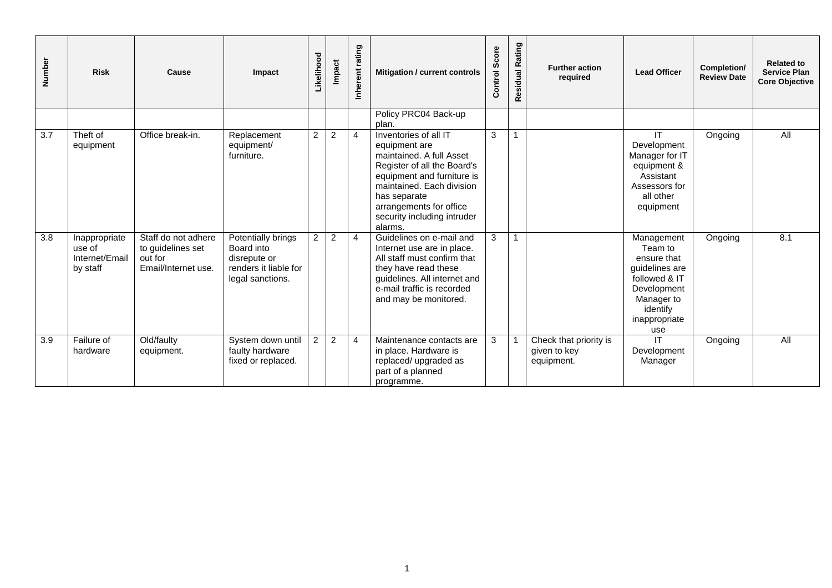| Number | <b>Risk</b>                                           | Cause                                                                      | Impact                                                                                        | Likelihood     | Impact         | rating<br>Inherent | Mitigation / current controls                                                                                                                                                                                                                     | Score<br>Control | Residual Rating | <b>Further action</b><br>required                    | <b>Lead Officer</b>                                                                                                                      | Completion/<br><b>Review Date</b> | <b>Related to</b><br><b>Service Plan</b><br><b>Core Objective</b> |
|--------|-------------------------------------------------------|----------------------------------------------------------------------------|-----------------------------------------------------------------------------------------------|----------------|----------------|--------------------|---------------------------------------------------------------------------------------------------------------------------------------------------------------------------------------------------------------------------------------------------|------------------|-----------------|------------------------------------------------------|------------------------------------------------------------------------------------------------------------------------------------------|-----------------------------------|-------------------------------------------------------------------|
|        |                                                       |                                                                            |                                                                                               |                |                |                    | Policy PRC04 Back-up<br>plan.                                                                                                                                                                                                                     |                  |                 |                                                      |                                                                                                                                          |                                   |                                                                   |
| 3.7    | Theft of<br>equipment                                 | Office break-in.                                                           | Replacement<br>equipment/<br>furniture.                                                       | 2              | $\overline{c}$ | $\overline{4}$     | Inventories of all IT<br>equipment are<br>maintained. A full Asset<br>Register of all the Board's<br>equipment and furniture is<br>maintained. Each division<br>has separate<br>arrangements for office<br>security including intruder<br>alarms. | 3                |                 |                                                      | IT<br>Development<br>Manager for IT<br>equipment &<br>Assistant<br>Assessors for<br>all other<br>equipment                               | Ongoing                           | $\overline{All}$                                                  |
| 3.8    | Inappropriate<br>use of<br>Internet/Email<br>by staff | Staff do not adhere<br>to guidelines set<br>out for<br>Email/Internet use. | Potentially brings<br>Board into<br>disrepute or<br>renders it liable for<br>legal sanctions. | $\overline{2}$ | $\overline{c}$ | $\overline{4}$     | Guidelines on e-mail and<br>Internet use are in place.<br>All staff must confirm that<br>they have read these<br>guidelines. All internet and<br>e-mail traffic is recorded<br>and may be monitored.                                              | 3                |                 |                                                      | Management<br>Team to<br>ensure that<br>guidelines are<br>followed & IT<br>Development<br>Manager to<br>identify<br>inappropriate<br>use | Ongoing                           | 8.1                                                               |
| 3.9    | Failure of<br>hardware                                | Old/faulty<br>equipment.                                                   | System down until<br>faulty hardware<br>fixed or replaced.                                    | $\overline{2}$ | $\overline{2}$ | $\overline{4}$     | Maintenance contacts are<br>in place. Hardware is<br>replaced/ upgraded as<br>part of a planned<br>programme.                                                                                                                                     | 3                |                 | Check that priority is<br>given to key<br>equipment. | IT<br>Development<br>Manager                                                                                                             | Ongoing                           | $\overline{All}$                                                  |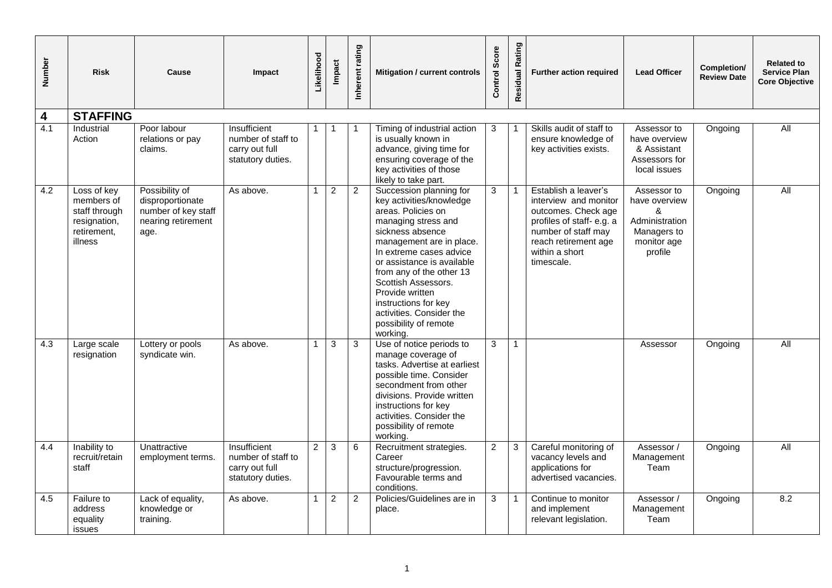| Number | <b>Risk</b>                                                                          | Cause                                                                                   | Impact                                                                    | Likelihood     | Impact         | Inherent rating | Mitigation / current controls                                                                                                                                                                                                                                                                                                                                            | Score<br>Control | Rating<br>Residual | <b>Further action required</b>                                                                                                                                                  | <b>Lead Officer</b>                                                                          | Completion/<br><b>Review Date</b> | <b>Related to</b><br><b>Service Plan</b><br><b>Core Objective</b> |
|--------|--------------------------------------------------------------------------------------|-----------------------------------------------------------------------------------------|---------------------------------------------------------------------------|----------------|----------------|-----------------|--------------------------------------------------------------------------------------------------------------------------------------------------------------------------------------------------------------------------------------------------------------------------------------------------------------------------------------------------------------------------|------------------|--------------------|---------------------------------------------------------------------------------------------------------------------------------------------------------------------------------|----------------------------------------------------------------------------------------------|-----------------------------------|-------------------------------------------------------------------|
| 4      | <b>STAFFING</b>                                                                      |                                                                                         |                                                                           |                |                |                 |                                                                                                                                                                                                                                                                                                                                                                          |                  |                    |                                                                                                                                                                                 |                                                                                              |                                   |                                                                   |
| 4.1    | Industrial<br>Action                                                                 | Poor labour<br>relations or pay<br>claims.                                              | Insufficient<br>number of staff to<br>carry out full<br>statutory duties. | $\mathbf 1$    | -1             |                 | Timing of industrial action<br>is usually known in<br>advance, giving time for<br>ensuring coverage of the<br>key activities of those<br>likely to take part.                                                                                                                                                                                                            | 3                |                    | Skills audit of staff to<br>ensure knowledge of<br>key activities exists.                                                                                                       | Assessor to<br>have overview<br>& Assistant<br>Assessors for<br>local issues                 | Ongoing                           | <b>All</b>                                                        |
| 4.2    | Loss of key<br>members of<br>staff through<br>resignation,<br>retirement.<br>illness | Possibility of<br>disproportionate<br>number of key staff<br>nearing retirement<br>age. | As above.                                                                 | $\mathbf{1}$   | $\overline{2}$ | $\overline{2}$  | Succession planning for<br>key activities/knowledge<br>areas. Policies on<br>managing stress and<br>sickness absence<br>management are in place.<br>In extreme cases advice<br>or assistance is available<br>from any of the other 13<br>Scottish Assessors.<br>Provide written<br>instructions for key<br>activities. Consider the<br>possibility of remote<br>working. | 3                |                    | Establish a leaver's<br>interview and monitor<br>outcomes. Check age<br>profiles of staff-e.g. a<br>number of staff may<br>reach retirement age<br>within a short<br>timescale. | Assessor to<br>have overview<br>&<br>Administration<br>Managers to<br>monitor age<br>profile | Ongoing                           | All                                                               |
| 4.3    | Large scale<br>resignation                                                           | Lottery or pools<br>syndicate win.                                                      | As above.                                                                 | $\mathbf{1}$   | 3              | 3               | Use of notice periods to<br>manage coverage of<br>tasks. Advertise at earliest<br>possible time. Consider<br>secondment from other<br>divisions. Provide written<br>instructions for key<br>activities. Consider the<br>possibility of remote<br>working.                                                                                                                | 3                | $\mathbf{1}$       |                                                                                                                                                                                 | Assessor                                                                                     | Ongoing                           | <b>All</b>                                                        |
| 4.4    | Inability to<br>recruit/retain<br>staff                                              | Unattractive<br>employment terms.                                                       | Insufficient<br>number of staff to<br>carry out full<br>statutory duties. | $\overline{2}$ | 3              | 6               | Recruitment strategies.<br>Career<br>structure/progression.<br>Favourable terms and<br>conditions.                                                                                                                                                                                                                                                                       | $\overline{c}$   | 3                  | Careful monitoring of<br>vacancy levels and<br>applications for<br>advertised vacancies.                                                                                        | Assessor /<br>Management<br>Team                                                             | Ongoing                           | All                                                               |
| 4.5    | Failure to<br>address<br>equality<br>issues                                          | Lack of equality,<br>knowledge or<br>training.                                          | As above.                                                                 | $\mathbf{1}$   | $\sqrt{2}$     | $\overline{2}$  | Policies/Guidelines are in<br>place.                                                                                                                                                                                                                                                                                                                                     | $\mathbf{3}$     | -1                 | Continue to monitor<br>and implement<br>relevant legislation.                                                                                                                   | Assessor /<br>Management<br>Team                                                             | Ongoing                           | 8.2                                                               |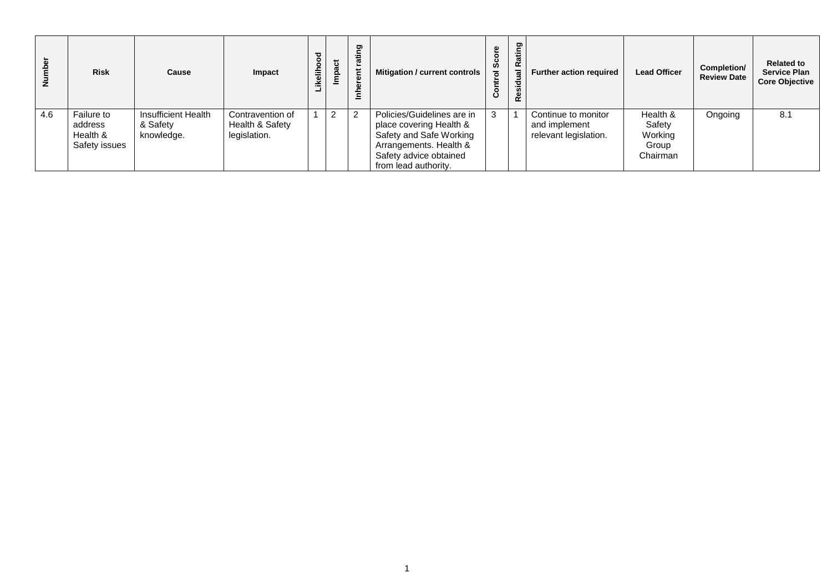| Number | <b>Risk</b>                                        | Cause                                         | Impact                                              | ikelihood | act<br>Ĕ | ting<br><b>ro</b><br>$\overline{5}$<br>$\overline{\mathbf{a}}$<br>Ě | Mitigation / current controls                                                                                                                                | Ø,<br>$\mathbf c$ | Rating<br>g<br>Resid | <b>Further action required</b>                                | <b>Lead Officer</b>                                | Completion/<br><b>Review Date</b> | <b>Related to</b><br><b>Service Plan</b><br><b>Core Objective</b> |
|--------|----------------------------------------------------|-----------------------------------------------|-----------------------------------------------------|-----------|----------|---------------------------------------------------------------------|--------------------------------------------------------------------------------------------------------------------------------------------------------------|-------------------|----------------------|---------------------------------------------------------------|----------------------------------------------------|-----------------------------------|-------------------------------------------------------------------|
| 4.6    | Failure to<br>address<br>Health &<br>Safety issues | Insufficient Health<br>& Safety<br>knowledge. | Contravention of<br>Health & Safety<br>legislation. |           | 2        | $\overline{2}$                                                      | Policies/Guidelines are in<br>place covering Health &<br>Safety and Safe Working<br>Arrangements. Health &<br>Safety advice obtained<br>from lead authority. |                   |                      | Continue to monitor<br>and implement<br>relevant legislation. | Health &<br>Safety<br>Working<br>Group<br>Chairman | Ongoing                           | 8.1                                                               |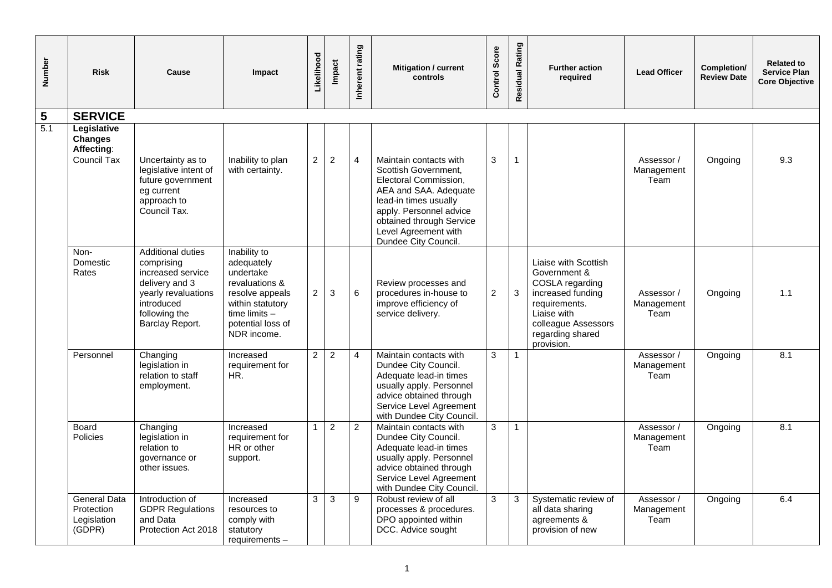| Number         | <b>Risk</b>                                                | Cause                                                                                                                                           | Impact                                                                                                                                                | Likelihood     | Impact         | rating<br>Inherent      | <b>Mitigation / current</b><br>controls                                                                                                                                                                                          | Control Score  | Residual Rating | <b>Further action</b><br>required                                                                                                                                     | <b>Lead Officer</b>              | Completion/<br><b>Review Date</b> | <b>Related to</b><br><b>Service Plan</b><br><b>Core Objective</b> |
|----------------|------------------------------------------------------------|-------------------------------------------------------------------------------------------------------------------------------------------------|-------------------------------------------------------------------------------------------------------------------------------------------------------|----------------|----------------|-------------------------|----------------------------------------------------------------------------------------------------------------------------------------------------------------------------------------------------------------------------------|----------------|-----------------|-----------------------------------------------------------------------------------------------------------------------------------------------------------------------|----------------------------------|-----------------------------------|-------------------------------------------------------------------|
| $5\phantom{1}$ | <b>SERVICE</b>                                             |                                                                                                                                                 |                                                                                                                                                       |                |                |                         |                                                                                                                                                                                                                                  |                |                 |                                                                                                                                                                       |                                  |                                   |                                                                   |
| 5.1            | Legislative<br><b>Changes</b><br>Affecting:<br>Council Tax | Uncertainty as to<br>legislative intent of<br>future government<br>eg current<br>approach to<br>Council Tax.                                    | Inability to plan<br>with certainty.                                                                                                                  | $\overline{2}$ | $\overline{2}$ | $\overline{4}$          | Maintain contacts with<br>Scottish Government,<br>Electoral Commission,<br>AEA and SAA. Adequate<br>lead-in times usually<br>apply. Personnel advice<br>obtained through Service<br>Level Agreement with<br>Dundee City Council. | 3              | 1               |                                                                                                                                                                       | Assessor /<br>Management<br>Team | Ongoing                           | 9.3                                                               |
|                | Non-<br>Domestic<br>Rates                                  | Additional duties<br>comprising<br>increased service<br>delivery and 3<br>yearly revaluations<br>introduced<br>following the<br>Barclay Report. | Inability to<br>adequately<br>undertake<br>revaluations &<br>resolve appeals<br>within statutory<br>time limits -<br>potential loss of<br>NDR income. | $\overline{2}$ | 3              | 6                       | Review processes and<br>procedures in-house to<br>improve efficiency of<br>service delivery.                                                                                                                                     | $\overline{c}$ | $\mathbf{3}$    | Liaise with Scottish<br>Government &<br>COSLA regarding<br>increased funding<br>requirements.<br>Liaise with<br>colleague Assessors<br>regarding shared<br>provision. | Assessor /<br>Management<br>Team | Ongoing                           | 1.1                                                               |
|                | Personnel                                                  | Changing<br>legislation in<br>relation to staff<br>employment.                                                                                  | Increased<br>requirement for<br>HR.                                                                                                                   | $\overline{2}$ | $\overline{2}$ | $\overline{\mathbf{4}}$ | Maintain contacts with<br>Dundee City Council.<br>Adequate lead-in times<br>usually apply. Personnel<br>advice obtained through<br>Service Level Agreement<br>with Dundee City Council.                                          | 3              | $\mathbf{1}$    |                                                                                                                                                                       | Assessor /<br>Management<br>Team | Ongoing                           | 8.1                                                               |
|                | Board<br>Policies                                          | Changing<br>legislation in<br>relation to<br>governance or<br>other issues.                                                                     | Increased<br>requirement for<br>HR or other<br>support.                                                                                               | $\mathbf{1}$   | $\overline{2}$ | 2                       | Maintain contacts with<br>Dundee City Council.<br>Adequate lead-in times<br>usually apply. Personnel<br>advice obtained through<br>Service Level Agreement<br>with Dundee City Council.                                          | 3              | $\mathbf{1}$    |                                                                                                                                                                       | Assessor /<br>Management<br>Team | Ongoing                           | 8.1                                                               |
|                | <b>General Data</b><br>Protection<br>Legislation<br>(GDPR) | Introduction of<br><b>GDPR Regulations</b><br>and Data<br>Protection Act 2018                                                                   | Increased<br>resources to<br>comply with<br>statutory<br>requirements -                                                                               | 3              | 3              | 9                       | Robust review of all<br>processes & procedures.<br>DPO appointed within<br>DCC. Advice sought                                                                                                                                    | 3              | 3               | Systematic review of<br>all data sharing<br>agreements &<br>provision of new                                                                                          | Assessor /<br>Management<br>Team | Ongoing                           | 6.4                                                               |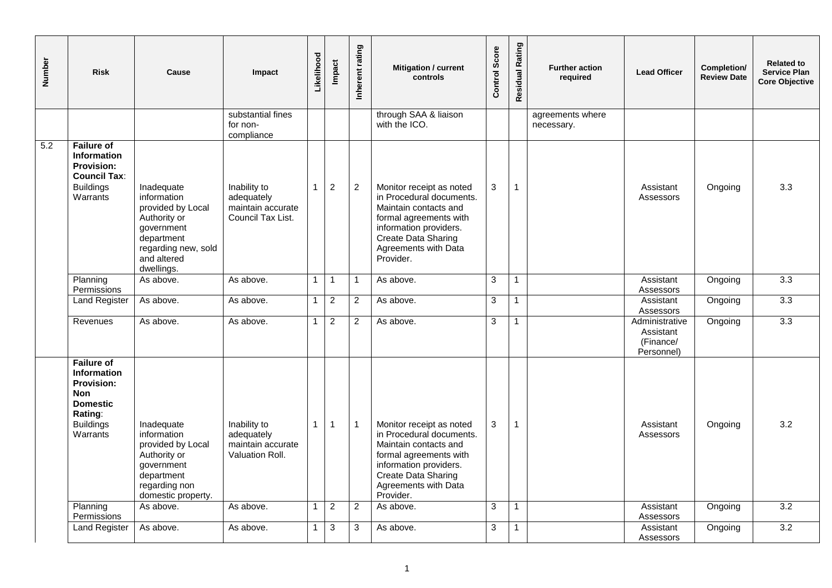| Number | <b>Risk</b>                                                                                                                              | Cause                                                                                                                                          | Impact                                                               | Likelihood   | Impact           | Inherent rating | Mitigation / current<br>controls                                                                                                                                                              | Control Score  | Residual Rating | <b>Further action</b><br>required | <b>Lead Officer</b>                                    | Completion/<br><b>Review Date</b> | <b>Related to</b><br><b>Service Plan</b><br><b>Core Objective</b> |
|--------|------------------------------------------------------------------------------------------------------------------------------------------|------------------------------------------------------------------------------------------------------------------------------------------------|----------------------------------------------------------------------|--------------|------------------|-----------------|-----------------------------------------------------------------------------------------------------------------------------------------------------------------------------------------------|----------------|-----------------|-----------------------------------|--------------------------------------------------------|-----------------------------------|-------------------------------------------------------------------|
|        |                                                                                                                                          |                                                                                                                                                | substantial fines<br>for non-<br>compliance                          |              |                  |                 | through SAA & liaison<br>with the ICO.                                                                                                                                                        |                |                 | agreements where<br>necessary.    |                                                        |                                   |                                                                   |
| 5.2    | <b>Failure of</b><br><b>Information</b><br><b>Provision:</b><br><b>Council Tax:</b><br><b>Buildings</b><br>Warrants                      | Inadequate<br>information<br>provided by Local<br>Authority or<br>government<br>department<br>regarding new, sold<br>and altered<br>dwellings. | Inability to<br>adequately<br>maintain accurate<br>Council Tax List. | 1            | $\boldsymbol{2}$ | $\overline{2}$  | Monitor receipt as noted<br>in Procedural documents.<br>Maintain contacts and<br>formal agreements with<br>information providers.<br>Create Data Sharing<br>Agreements with Data<br>Provider. | 3              | 1               |                                   | Assistant<br>Assessors                                 | Ongoing                           | 3.3                                                               |
|        | Planning<br>Permissions                                                                                                                  | As above.                                                                                                                                      | As above.                                                            | $\mathbf{1}$ | $\mathbf{1}$     | $\overline{1}$  | As above.                                                                                                                                                                                     | $\overline{3}$ | $\mathbf{1}$    |                                   | Assistant<br>Assessors                                 | Ongoing                           | 3.3                                                               |
|        | <b>Land Register</b>                                                                                                                     | As above.                                                                                                                                      | As above.                                                            | $\mathbf{1}$ | 2                | 2               | As above.                                                                                                                                                                                     | 3              | 1               |                                   | Assistant<br>Assessors                                 | Ongoing                           | 3.3                                                               |
|        | Revenues                                                                                                                                 | As above.                                                                                                                                      | As above.                                                            | $\mathbf{1}$ | $\overline{c}$   | 2               | As above.                                                                                                                                                                                     | 3              | 1               |                                   | Administrative<br>Assistant<br>(Finance/<br>Personnel) | Ongoing                           | $\overline{3.3}$                                                  |
|        | <b>Failure of</b><br><b>Information</b><br><b>Provision:</b><br><b>Non</b><br><b>Domestic</b><br>Rating:<br><b>Buildings</b><br>Warrants | Inadequate<br>information<br>provided by Local<br>Authority or<br>government<br>department<br>regarding non<br>domestic property.              | Inability to<br>adequately<br>maintain accurate<br>Valuation Roll.   | $\mathbf{1}$ | $\mathbf{1}$     | $\mathbf{1}$    | Monitor receipt as noted<br>in Procedural documents.<br>Maintain contacts and<br>formal agreements with<br>information providers.<br>Create Data Sharing<br>Agreements with Data<br>Provider. | 3              | 1               |                                   | Assistant<br>Assessors                                 | Ongoing                           | 3.2                                                               |
|        | Planning<br>Permissions                                                                                                                  | As above.                                                                                                                                      | As above.                                                            | $\mathbf{1}$ | $\overline{2}$   | $\overline{2}$  | As above.                                                                                                                                                                                     | 3              | $\mathbf{1}$    |                                   | Assistant<br>Assessors                                 | Ongoing                           | 3.2                                                               |
|        | <b>Land Register</b>                                                                                                                     | As above.                                                                                                                                      | As above.                                                            | $\mathbf{1}$ | $\overline{3}$   | $\mathbf{3}$    | As above.                                                                                                                                                                                     | $\overline{3}$ |                 |                                   | Assistant<br>Assessors                                 | Ongoing                           | 3.2                                                               |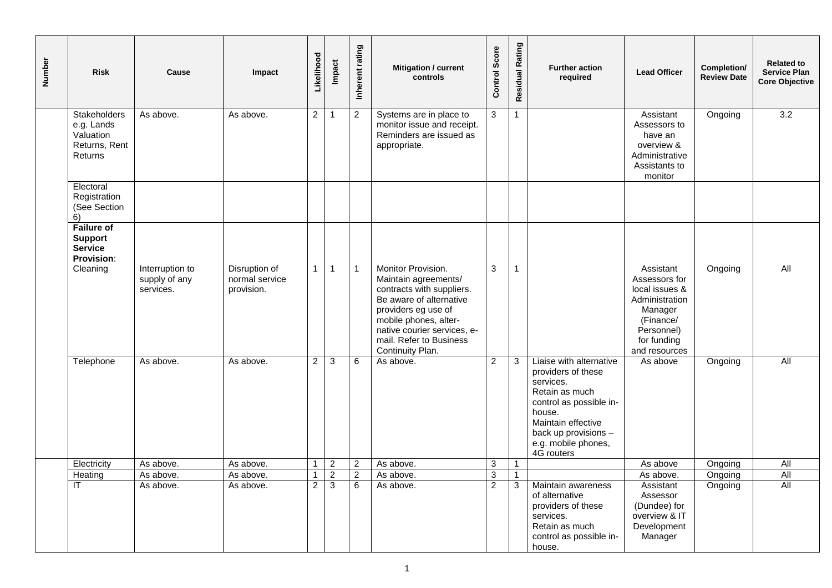| Number | <b>Risk</b>                                                                            | Cause                                         | Impact                                        | Likelihood     | <b>Impact</b>  | Inherent rating | <b>Mitigation / current</b><br>controls                                                                                                                                                                                          | Control Score  | Residual Rating | <b>Further action</b><br>required                                                                                                                                                                    | <b>Lead Officer</b>                                                                                                                  | Completion/<br><b>Review Date</b> | <b>Related to</b><br><b>Service Plan</b><br><b>Core Objective</b> |
|--------|----------------------------------------------------------------------------------------|-----------------------------------------------|-----------------------------------------------|----------------|----------------|-----------------|----------------------------------------------------------------------------------------------------------------------------------------------------------------------------------------------------------------------------------|----------------|-----------------|------------------------------------------------------------------------------------------------------------------------------------------------------------------------------------------------------|--------------------------------------------------------------------------------------------------------------------------------------|-----------------------------------|-------------------------------------------------------------------|
|        | Stakeholders<br>e.g. Lands<br>Valuation<br>Returns, Rent<br>Returns                    | As above.                                     | As above.                                     | $\overline{2}$ | -1             | $\overline{2}$  | Systems are in place to<br>monitor issue and receipt.<br>Reminders are issued as<br>appropriate.                                                                                                                                 | $\overline{3}$ | $\mathbf{1}$    |                                                                                                                                                                                                      | Assistant<br>Assessors to<br>have an<br>overview &<br>Administrative<br>Assistants to<br>monitor                                     | Ongoing                           | 3.2                                                               |
|        | Electoral<br>Registration<br>(See Section<br>6)                                        |                                               |                                               |                |                |                 |                                                                                                                                                                                                                                  |                |                 |                                                                                                                                                                                                      |                                                                                                                                      |                                   |                                                                   |
|        | <b>Failure of</b><br><b>Support</b><br><b>Service</b><br><b>Provision:</b><br>Cleaning | Interruption to<br>supply of any<br>services. | Disruption of<br>normal service<br>provision. | $\mathbf{1}$   | $\overline{1}$ | $\overline{1}$  | Monitor Provision.<br>Maintain agreements/<br>contracts with suppliers.<br>Be aware of alternative<br>providers eg use of<br>mobile phones, alter-<br>native courier services, e-<br>mail. Refer to Business<br>Continuity Plan. | $\mathbf{3}$   | $\overline{1}$  |                                                                                                                                                                                                      | Assistant<br>Assessors for<br>local issues &<br>Administration<br>Manager<br>(Finance/<br>Personnel)<br>for funding<br>and resources | Ongoing                           | All                                                               |
|        | Telephone                                                                              | As above.                                     | As above.                                     | $\overline{2}$ | $\mathbf{3}$   | 6               | As above.                                                                                                                                                                                                                        | $\overline{2}$ | 3               | Liaise with alternative<br>providers of these<br>services.<br>Retain as much<br>control as possible in-<br>house.<br>Maintain effective<br>back up provisions -<br>e.g. mobile phones,<br>4G routers | As above                                                                                                                             | Ongoing                           | <b>All</b>                                                        |
|        | Electricity                                                                            | As above.                                     | As above.                                     | $\mathbf{1}$   | $\overline{2}$ | $\overline{c}$  | As above.                                                                                                                                                                                                                        | $\mathbf{3}$   | $\overline{1}$  |                                                                                                                                                                                                      | As above                                                                                                                             | Ongoing                           | All                                                               |
|        | Heating                                                                                | As above.                                     | As above.                                     | $\mathbf{1}$   | $\overline{2}$ | $\overline{2}$  | As above.                                                                                                                                                                                                                        | $\overline{3}$ | $\overline{1}$  |                                                                                                                                                                                                      | As above.                                                                                                                            | Ongoing                           | All                                                               |
|        | <b>IT</b>                                                                              | As above.                                     | As above.                                     | $\overline{2}$ | $\overline{3}$ | 6               | As above.                                                                                                                                                                                                                        | $\overline{2}$ | 3               | Maintain awareness<br>of alternative<br>providers of these<br>services.<br>Retain as much<br>control as possible in-<br>house.                                                                       | Assistant<br>Assessor<br>(Dundee) for<br>overview & IT<br>Development<br>Manager                                                     | Ongoing                           | All                                                               |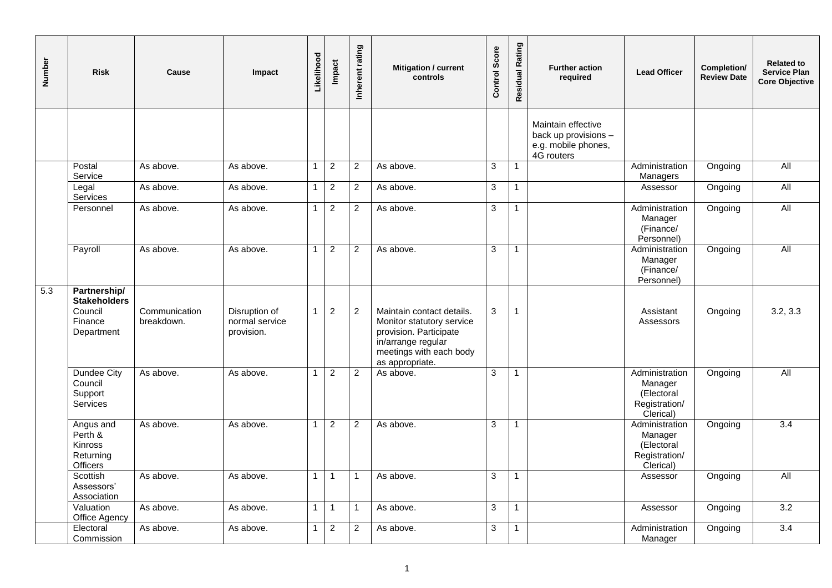| Number | <b>Risk</b>                                                             | Cause                       | Impact                                        | Likelihood     | Impact           | Inherent rating | Mitigation / current<br>controls                                                                                                                     | <b>Control Score</b> | Residual Rating | <b>Further action</b><br>required                                               | <b>Lead Officer</b>                                                   | Completion/<br><b>Review Date</b> | <b>Related to</b><br><b>Service Plan</b><br><b>Core Objective</b> |
|--------|-------------------------------------------------------------------------|-----------------------------|-----------------------------------------------|----------------|------------------|-----------------|------------------------------------------------------------------------------------------------------------------------------------------------------|----------------------|-----------------|---------------------------------------------------------------------------------|-----------------------------------------------------------------------|-----------------------------------|-------------------------------------------------------------------|
|        |                                                                         |                             |                                               |                |                  |                 |                                                                                                                                                      |                      |                 | Maintain effective<br>back up provisions -<br>e.g. mobile phones,<br>4G routers |                                                                       |                                   |                                                                   |
|        | Postal<br>Service                                                       | As above.                   | As above.                                     | $\mathbf{1}$   | $\overline{2}$   | $\overline{2}$  | As above.                                                                                                                                            | 3                    | $\mathbf{1}$    |                                                                                 | Administration<br>Managers                                            | Ongoing                           | All                                                               |
|        | Legal<br>Services                                                       | As above.                   | As above.                                     | $\mathbf{1}$   | $\sqrt{2}$       | $\overline{2}$  | As above.                                                                                                                                            | 3                    | $\mathbf{1}$    |                                                                                 | Assessor                                                              | Ongoing                           | <b>All</b>                                                        |
|        | Personnel                                                               | As above.                   | As above.                                     | $\overline{1}$ | $\overline{2}$   | 2               | As above.                                                                                                                                            | 3                    | 1               |                                                                                 | Administration<br>Manager<br>(Finance/<br>Personnel)                  | Ongoing                           | <b>All</b>                                                        |
|        | Payroll                                                                 | As above.                   | As above.                                     | $\mathbf{1}$   | $\overline{2}$   | 2               | As above.                                                                                                                                            | 3                    | $\mathbf{1}$    |                                                                                 | Administration<br>Manager<br>(Finance/<br>Personnel)                  | Ongoing                           | $\overline{All}$                                                  |
| 5.3    | Partnership/<br><b>Stakeholders</b><br>Council<br>Finance<br>Department | Communication<br>breakdown. | Disruption of<br>normal service<br>provision. | $\mathbf 1$    | $\boldsymbol{2}$ | 2               | Maintain contact details.<br>Monitor statutory service<br>provision. Participate<br>in/arrange regular<br>meetings with each body<br>as appropriate. | 3                    | 1               |                                                                                 | Assistant<br>Assessors                                                | Ongoing                           | 3.2, 3.3                                                          |
|        | Dundee City<br>Council<br>Support<br>Services                           | As above.                   | As above.                                     | $\overline{1}$ | $\overline{2}$   | 2               | As above.                                                                                                                                            | 3                    | $\mathbf{1}$    |                                                                                 | Administration<br>Manager<br>(Electoral<br>Registration/<br>Clerical) | Ongoing                           | All                                                               |
|        | Angus and<br>Perth &<br>Kinross<br>Returning<br>Officers                | As above.                   | As above.                                     | $\mathbf{1}$   | 2                | 2               | As above.                                                                                                                                            | 3                    | $\mathbf{1}$    |                                                                                 | Administration<br>Manager<br>(Electoral<br>Registration/<br>Clerical) | Ongoing                           | $\overline{3.4}$                                                  |
|        | Scottish<br>Assessors'<br>Association                                   | As above.                   | As above.                                     | $\overline{1}$ | $\mathbf{1}$     | -1              | As above.                                                                                                                                            | 3                    | $\mathbf{1}$    |                                                                                 | Assessor                                                              | Ongoing                           | $\overline{All}$                                                  |
|        | Valuation<br>Office Agency                                              | As above.                   | As above.                                     | $\mathbf{1}$   | $\mathbf{1}$     | 1               | As above.                                                                                                                                            | 3                    | $\mathbf{1}$    |                                                                                 | Assessor                                                              | Ongoing                           | $\overline{3.2}$                                                  |
|        | Electoral<br>Commission                                                 | As above.                   | As above.                                     | -1             | $\overline{2}$   | 2               | As above.                                                                                                                                            | 3                    | 1               |                                                                                 | Administration<br>Manager                                             | Ongoing                           | $\overline{3.4}$                                                  |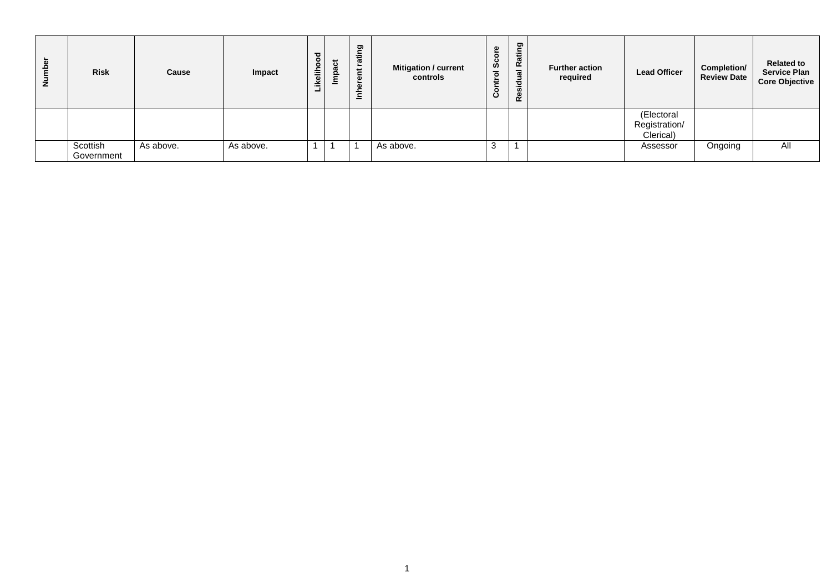| per<br>$\vec{z}$ | <b>Risk</b>            | Cause     | Impact    | Likelihood | ಕ<br>Impa | ting<br>ဇ<br>⊭<br>G)<br>d<br>≘ | <b>Mitigation / current</b><br>controls | Φ<br>-c<br>Ø<br>ပ | Residual Rating | <b>Further action</b><br>required | <b>Lead Officer</b>                      | <b>Completion/</b><br><b>Review Date</b> | <b>Related to</b><br><b>Service Plan</b><br><b>Core Objective</b> |
|------------------|------------------------|-----------|-----------|------------|-----------|--------------------------------|-----------------------------------------|-------------------|-----------------|-----------------------------------|------------------------------------------|------------------------------------------|-------------------------------------------------------------------|
|                  |                        |           |           |            |           |                                |                                         |                   |                 |                                   | (Electoral<br>Registration/<br>Clerical) |                                          |                                                                   |
|                  | Scottish<br>Government | As above. | As above. |            |           |                                | As above.                               | ົ<br>C.           |                 |                                   | Assessor                                 | Ongoing                                  | All                                                               |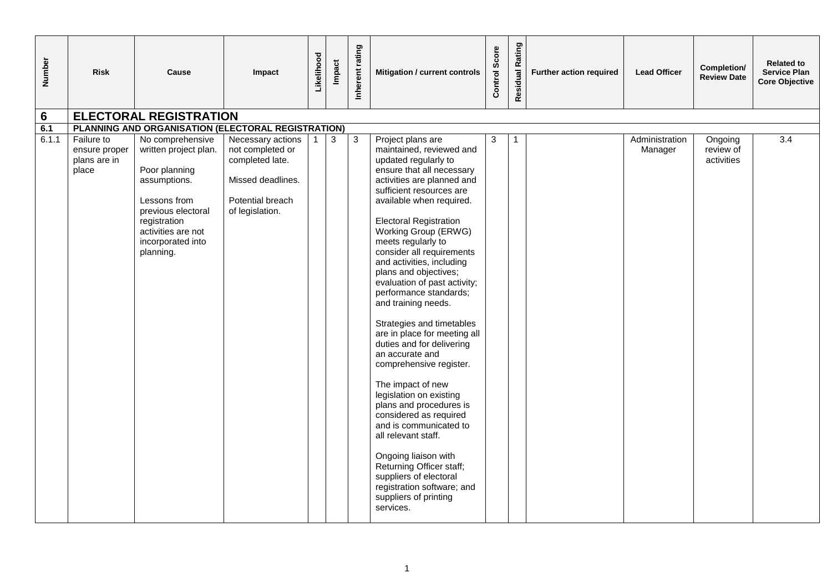| Number | <b>Risk</b>                                          | Cause                                                                                                                                                                                    | Impact                                                                                                               | Likelihood | Impact | Inherent rating | Mitigation / current controls                                                                                                                                                                                                                                                                                                                                                                                                                                                                                                                                                                                                                                                                                                                                                                                                                                                               | Control Score | Rating<br>Residual | Further action required | <b>Lead Officer</b>       | Completion/<br><b>Review Date</b>  | <b>Related to</b><br><b>Service Plan</b><br><b>Core Objective</b> |
|--------|------------------------------------------------------|------------------------------------------------------------------------------------------------------------------------------------------------------------------------------------------|----------------------------------------------------------------------------------------------------------------------|------------|--------|-----------------|---------------------------------------------------------------------------------------------------------------------------------------------------------------------------------------------------------------------------------------------------------------------------------------------------------------------------------------------------------------------------------------------------------------------------------------------------------------------------------------------------------------------------------------------------------------------------------------------------------------------------------------------------------------------------------------------------------------------------------------------------------------------------------------------------------------------------------------------------------------------------------------------|---------------|--------------------|-------------------------|---------------------------|------------------------------------|-------------------------------------------------------------------|
| 6      |                                                      | <b>ELECTORAL REGISTRATION</b>                                                                                                                                                            |                                                                                                                      |            |        |                 |                                                                                                                                                                                                                                                                                                                                                                                                                                                                                                                                                                                                                                                                                                                                                                                                                                                                                             |               |                    |                         |                           |                                    |                                                                   |
| 6.1    |                                                      | PLANNING AND ORGANISATION (ELECTORAL REGISTRATION)                                                                                                                                       |                                                                                                                      |            |        |                 |                                                                                                                                                                                                                                                                                                                                                                                                                                                                                                                                                                                                                                                                                                                                                                                                                                                                                             |               |                    |                         |                           |                                    |                                                                   |
| 6.1.1  | Failure to<br>ensure proper<br>plans are in<br>place | No comprehensive<br>written project plan.<br>Poor planning<br>assumptions.<br>Lessons from<br>previous electoral<br>registration<br>activities are not<br>incorporated into<br>planning. | Necessary actions<br>not completed or<br>completed late.<br>Missed deadlines.<br>Potential breach<br>of legislation. |            | 3      | 3               | Project plans are<br>maintained, reviewed and<br>updated regularly to<br>ensure that all necessary<br>activities are planned and<br>sufficient resources are<br>available when required.<br><b>Electoral Registration</b><br>Working Group (ERWG)<br>meets regularly to<br>consider all requirements<br>and activities, including<br>plans and objectives;<br>evaluation of past activity;<br>performance standards;<br>and training needs.<br>Strategies and timetables<br>are in place for meeting all<br>duties and for delivering<br>an accurate and<br>comprehensive register.<br>The impact of new<br>legislation on existing<br>plans and procedures is<br>considered as required<br>and is communicated to<br>all relevant staff.<br>Ongoing liaison with<br>Returning Officer staff;<br>suppliers of electoral<br>registration software; and<br>suppliers of printing<br>services. | 3             |                    |                         | Administration<br>Manager | Ongoing<br>review of<br>activities | 3.4                                                               |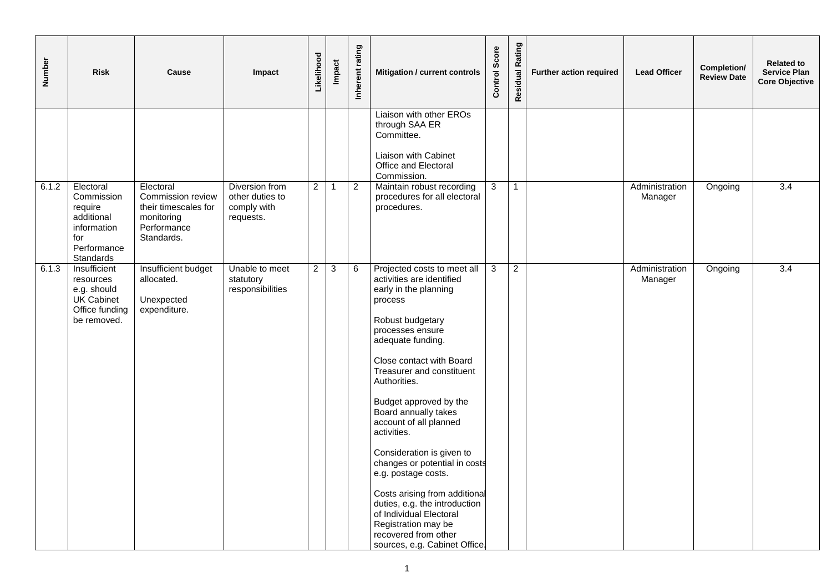| Number | <b>Risk</b>                                                                                        | Cause                                                                                             | Impact                                                        | Likelihood     | <b>Impact</b>  | Inherent rating | Mitigation / current controls                                                                                                                                                                                                                                                                                                                                                                                                                                                                                                                                                                   | Score<br>Control | Rating<br>Residual | Further action required | <b>Lead Officer</b>       | Completion/<br><b>Review Date</b> | <b>Related to</b><br><b>Service Plan</b><br><b>Core Objective</b> |
|--------|----------------------------------------------------------------------------------------------------|---------------------------------------------------------------------------------------------------|---------------------------------------------------------------|----------------|----------------|-----------------|-------------------------------------------------------------------------------------------------------------------------------------------------------------------------------------------------------------------------------------------------------------------------------------------------------------------------------------------------------------------------------------------------------------------------------------------------------------------------------------------------------------------------------------------------------------------------------------------------|------------------|--------------------|-------------------------|---------------------------|-----------------------------------|-------------------------------------------------------------------|
|        |                                                                                                    |                                                                                                   |                                                               |                |                |                 | Liaison with other EROs<br>through SAA ER<br>Committee.<br>Liaison with Cabinet<br>Office and Electoral                                                                                                                                                                                                                                                                                                                                                                                                                                                                                         |                  |                    |                         |                           |                                   |                                                                   |
| 6.1.2  | Electoral<br>Commission<br>require<br>additional<br>information<br>for<br>Performance<br>Standards | Electoral<br>Commission review<br>their timescales for<br>monitoring<br>Performance<br>Standards. | Diversion from<br>other duties to<br>comply with<br>requests. | $\overline{2}$ | $\overline{1}$ | $\overline{2}$  | Commission.<br>Maintain robust recording<br>procedures for all electoral<br>procedures.                                                                                                                                                                                                                                                                                                                                                                                                                                                                                                         | 3                | $\mathbf{1}$       |                         | Administration<br>Manager | Ongoing                           | $\overline{3.4}$                                                  |
| 6.1.3  | Insufficient<br>resources<br>e.g. should<br>UK Cabinet<br>Office funding<br>be removed.            | Insufficient budget<br>allocated.<br>Unexpected<br>expenditure.                                   | Unable to meet<br>statutory<br>responsibilities               | $\overline{2}$ | $\mathbf{3}$   | 6               | Projected costs to meet all<br>activities are identified<br>early in the planning<br>process<br>Robust budgetary<br>processes ensure<br>adequate funding.<br>Close contact with Board<br>Treasurer and constituent<br>Authorities.<br>Budget approved by the<br>Board annually takes<br>account of all planned<br>activities.<br>Consideration is given to<br>changes or potential in costs<br>e.g. postage costs.<br>Costs arising from additional<br>duties, e.g. the introduction<br>of Individual Electoral<br>Registration may be<br>recovered from other<br>sources, e.g. Cabinet Office. | $\mathbf{3}$     | $\overline{2}$     |                         | Administration<br>Manager | Ongoing                           | $\overline{3.4}$                                                  |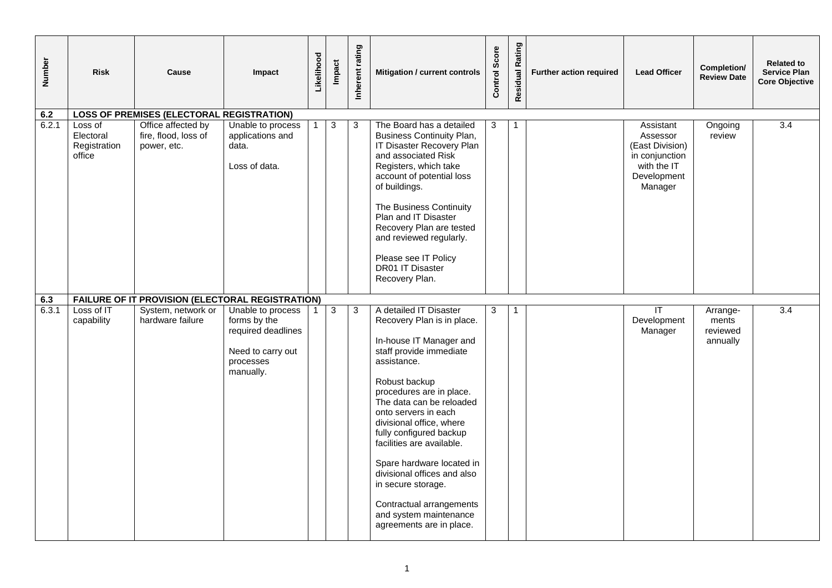| Number       | <b>Risk</b>                                    | Cause                                                                                      | Impact                                                                                                 | Likelihood | Impact     | Inherent rating | Mitigation / current controls                                                                                                                                                                                                                                                                                                                                                                                                                                                      | Control Score | Residual Rating | Further action required | <b>Lead Officer</b>                                                                                 | Completion/<br><b>Review Date</b>         | <b>Related to</b><br><b>Service Plan</b><br><b>Core Objective</b> |
|--------------|------------------------------------------------|--------------------------------------------------------------------------------------------|--------------------------------------------------------------------------------------------------------|------------|------------|-----------------|------------------------------------------------------------------------------------------------------------------------------------------------------------------------------------------------------------------------------------------------------------------------------------------------------------------------------------------------------------------------------------------------------------------------------------------------------------------------------------|---------------|-----------------|-------------------------|-----------------------------------------------------------------------------------------------------|-------------------------------------------|-------------------------------------------------------------------|
| 6.2          |                                                | <b>LOSS OF PREMISES (ELECTORAL REGISTRATION)</b>                                           |                                                                                                        |            |            |                 |                                                                                                                                                                                                                                                                                                                                                                                                                                                                                    |               |                 |                         |                                                                                                     |                                           |                                                                   |
| 6.2.1        | Loss of<br>Electoral<br>Registration<br>office | Office affected by<br>fire, flood, loss of<br>power, etc.                                  | Unable to process<br>applications and<br>data.<br>Loss of data.                                        |            | $\sqrt{3}$ | 3               | The Board has a detailed<br><b>Business Continuity Plan,</b><br>IT Disaster Recovery Plan<br>and associated Risk<br>Registers, which take<br>account of potential loss<br>of buildings.<br>The Business Continuity<br>Plan and IT Disaster<br>Recovery Plan are tested<br>and reviewed regularly.<br>Please see IT Policy<br>DR01 IT Disaster<br>Recovery Plan.                                                                                                                    | 3             |                 |                         | Assistant<br>Assessor<br>(East Division)<br>in conjunction<br>with the IT<br>Development<br>Manager | Ongoing<br>review                         | 3.4                                                               |
|              |                                                |                                                                                            |                                                                                                        |            |            |                 |                                                                                                                                                                                                                                                                                                                                                                                                                                                                                    |               |                 |                         |                                                                                                     |                                           |                                                                   |
| 6.3<br>6.3.1 | Loss of IT<br>capability                       | FAILURE OF IT PROVISION (ELECTORAL REGISTRATION)<br>System, network or<br>hardware failure | Unable to process<br>forms by the<br>required deadlines<br>Need to carry out<br>processes<br>manually. |            | 3          | 3               | A detailed IT Disaster<br>Recovery Plan is in place.<br>In-house IT Manager and<br>staff provide immediate<br>assistance.<br>Robust backup<br>procedures are in place.<br>The data can be reloaded<br>onto servers in each<br>divisional office, where<br>fully configured backup<br>facilities are available.<br>Spare hardware located in<br>divisional offices and also<br>in secure storage.<br>Contractual arrangements<br>and system maintenance<br>agreements are in place. | 3             | $\mathbf{1}$    |                         | $\overline{\mathbb{F}}$<br>Development<br>Manager                                                   | Arrange-<br>ments<br>reviewed<br>annually | $\overline{3.4}$                                                  |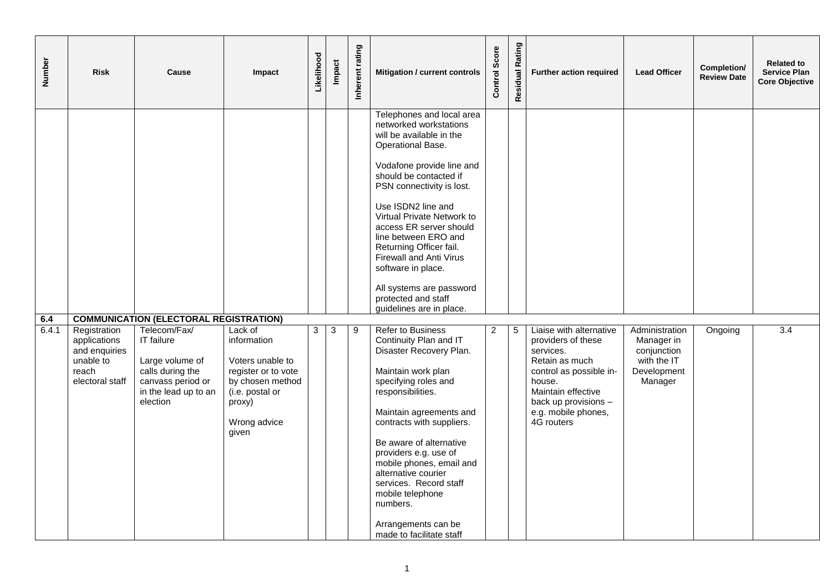| Number       | <b>Risk</b>                                                                            | Cause                                                                                                                                                                       | Impact                                                                                                                                      | Likelihood | <b>Impact</b> | Inherent rating | Mitigation / current controls                                                                                                                                                                                                                                                                                                                                                                                                                              | Score<br>Control | Residual Rating | Further action required                                                                                                                                                                              | <b>Lead Officer</b>                                                                  | Completion/<br><b>Review Date</b> | <b>Related to</b><br><b>Service Plan</b><br><b>Core Objective</b> |
|--------------|----------------------------------------------------------------------------------------|-----------------------------------------------------------------------------------------------------------------------------------------------------------------------------|---------------------------------------------------------------------------------------------------------------------------------------------|------------|---------------|-----------------|------------------------------------------------------------------------------------------------------------------------------------------------------------------------------------------------------------------------------------------------------------------------------------------------------------------------------------------------------------------------------------------------------------------------------------------------------------|------------------|-----------------|------------------------------------------------------------------------------------------------------------------------------------------------------------------------------------------------------|--------------------------------------------------------------------------------------|-----------------------------------|-------------------------------------------------------------------|
|              |                                                                                        |                                                                                                                                                                             |                                                                                                                                             |            |               |                 | Telephones and local area<br>networked workstations<br>will be available in the<br>Operational Base.<br>Vodafone provide line and<br>should be contacted if<br>PSN connectivity is lost.<br>Use ISDN2 line and<br>Virtual Private Network to<br>access ER server should<br>line between ERO and<br>Returning Officer fail.<br>Firewall and Anti Virus<br>software in place.<br>All systems are password<br>protected and staff<br>guidelines are in place. |                  |                 |                                                                                                                                                                                                      |                                                                                      |                                   |                                                                   |
| 6.4<br>6.4.1 | Registration<br>applications<br>and enquiries<br>unable to<br>reach<br>electoral staff | <b>COMMUNICATION (ELECTORAL REGISTRATION)</b><br>Telecom/Fax/<br>IT failure<br>Large volume of<br>calls during the<br>canvass period or<br>in the lead up to an<br>election | Lack of<br>information<br>Voters unable to<br>register or to vote<br>by chosen method<br>(i.e. postal or<br>proxy)<br>Wrong advice<br>given | 3          | 3             | 9               | <b>Refer to Business</b><br>Continuity Plan and IT<br>Disaster Recovery Plan.<br>Maintain work plan<br>specifying roles and<br>responsibilities.<br>Maintain agreements and<br>contracts with suppliers.<br>Be aware of alternative<br>providers e.g. use of<br>mobile phones, email and<br>alternative courier<br>services. Record staff<br>mobile telephone<br>numbers.<br>Arrangements can be<br>made to facilitate staff                               | 2                | 5               | Liaise with alternative<br>providers of these<br>services.<br>Retain as much<br>control as possible in-<br>house.<br>Maintain effective<br>back up provisions -<br>e.g. mobile phones,<br>4G routers | Administration<br>Manager in<br>conjunction<br>with the IT<br>Development<br>Manager | Ongoing                           | $\overline{3.4}$                                                  |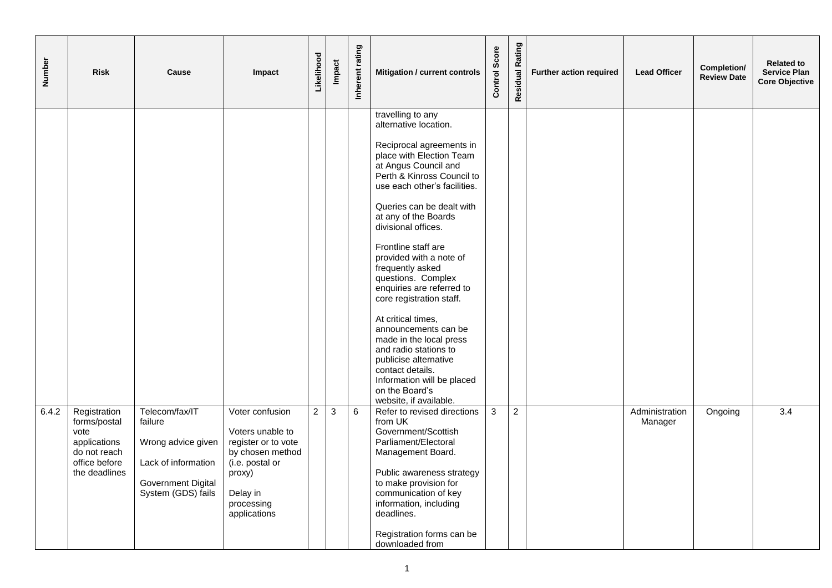| Number | <b>Risk</b>                                                                                            | Cause                                                                                                                     | Impact                                                                                                                                                | Likelihood     | Impact | Inherent rating | Mitigation / current controls                                                                                                                                                                                                                                                                                                                                                                                                                                                                                                                                                                                                                      | Score<br>Control | Residual Rating | Further action required | <b>Lead Officer</b>       | Completion/<br><b>Review Date</b> | <b>Related to</b><br><b>Service Plan</b><br><b>Core Objective</b> |
|--------|--------------------------------------------------------------------------------------------------------|---------------------------------------------------------------------------------------------------------------------------|-------------------------------------------------------------------------------------------------------------------------------------------------------|----------------|--------|-----------------|----------------------------------------------------------------------------------------------------------------------------------------------------------------------------------------------------------------------------------------------------------------------------------------------------------------------------------------------------------------------------------------------------------------------------------------------------------------------------------------------------------------------------------------------------------------------------------------------------------------------------------------------------|------------------|-----------------|-------------------------|---------------------------|-----------------------------------|-------------------------------------------------------------------|
|        |                                                                                                        |                                                                                                                           |                                                                                                                                                       |                |        |                 | travelling to any<br>alternative location.<br>Reciprocal agreements in<br>place with Election Team<br>at Angus Council and<br>Perth & Kinross Council to<br>use each other's facilities.<br>Queries can be dealt with<br>at any of the Boards<br>divisional offices.<br>Frontline staff are<br>provided with a note of<br>frequently asked<br>questions. Complex<br>enquiries are referred to<br>core registration staff.<br>At critical times,<br>announcements can be<br>made in the local press<br>and radio stations to<br>publicise alternative<br>contact details.<br>Information will be placed<br>on the Board's<br>website, if available. |                  |                 |                         |                           |                                   |                                                                   |
| 6.4.2  | Registration<br>forms/postal<br>vote<br>applications<br>do not reach<br>office before<br>the deadlines | Telecom/fax/IT<br>failure<br>Wrong advice given<br>Lack of information<br><b>Government Digital</b><br>System (GDS) fails | Voter confusion<br>Voters unable to<br>register or to vote<br>by chosen method<br>(i.e. postal or<br>proxy)<br>Delay in<br>processing<br>applications | $\overline{2}$ | 3      | 6               | Refer to revised directions<br>from UK<br>Government/Scottish<br>Parliament/Electoral<br>Management Board.<br>Public awareness strategy<br>to make provision for<br>communication of key<br>information, including<br>deadlines.<br>Registration forms can be<br>downloaded from                                                                                                                                                                                                                                                                                                                                                                   | 3                | $\overline{2}$  |                         | Administration<br>Manager | Ongoing                           | 3.4                                                               |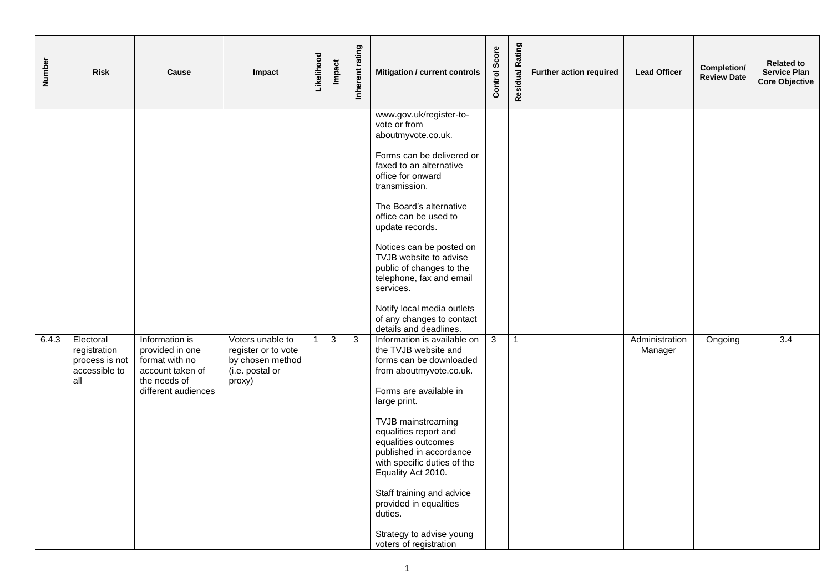| <b>Number</b> | <b>Risk</b>                                                         | Cause                                                                                                          | Impact                                                                                   | Likelihood   | <b>Impact</b> | Inherent rating | Mitigation / current controls                                                                                                                                                                                                                                                                                                                                                                                                                      | Score<br>Control | Residual Rating | <b>Further action required</b> | <b>Lead Officer</b>       | Completion/<br><b>Review Date</b> | <b>Related to</b><br><b>Service Plan</b><br><b>Core Objective</b> |
|---------------|---------------------------------------------------------------------|----------------------------------------------------------------------------------------------------------------|------------------------------------------------------------------------------------------|--------------|---------------|-----------------|----------------------------------------------------------------------------------------------------------------------------------------------------------------------------------------------------------------------------------------------------------------------------------------------------------------------------------------------------------------------------------------------------------------------------------------------------|------------------|-----------------|--------------------------------|---------------------------|-----------------------------------|-------------------------------------------------------------------|
|               |                                                                     |                                                                                                                |                                                                                          |              |               |                 | www.gov.uk/register-to-<br>vote or from<br>aboutmyvote.co.uk.<br>Forms can be delivered or<br>faxed to an alternative<br>office for onward<br>transmission.<br>The Board's alternative<br>office can be used to<br>update records.<br>Notices can be posted on<br>TVJB website to advise<br>public of changes to the<br>telephone, fax and email<br>services.<br>Notify local media outlets<br>of any changes to contact<br>details and deadlines. |                  |                 |                                |                           |                                   |                                                                   |
| 6.4.3         | Electoral<br>registration<br>process is not<br>accessible to<br>all | Information is<br>provided in one<br>format with no<br>account taken of<br>the needs of<br>different audiences | Voters unable to<br>register or to vote<br>by chosen method<br>(i.e. postal or<br>proxy) | $\mathbf{1}$ | 3             | $\mathbf{3}$    | Information is available on<br>the TVJB website and<br>forms can be downloaded<br>from aboutmyvote.co.uk.<br>Forms are available in<br>large print.<br>TVJB mainstreaming<br>equalities report and<br>equalities outcomes<br>published in accordance<br>with specific duties of the<br>Equality Act 2010.<br>Staff training and advice<br>provided in equalities<br>duties.<br>Strategy to advise young<br>voters of registration                  | $\mathbf{3}$     | $\overline{1}$  |                                | Administration<br>Manager | Ongoing                           | $\overline{3.4}$                                                  |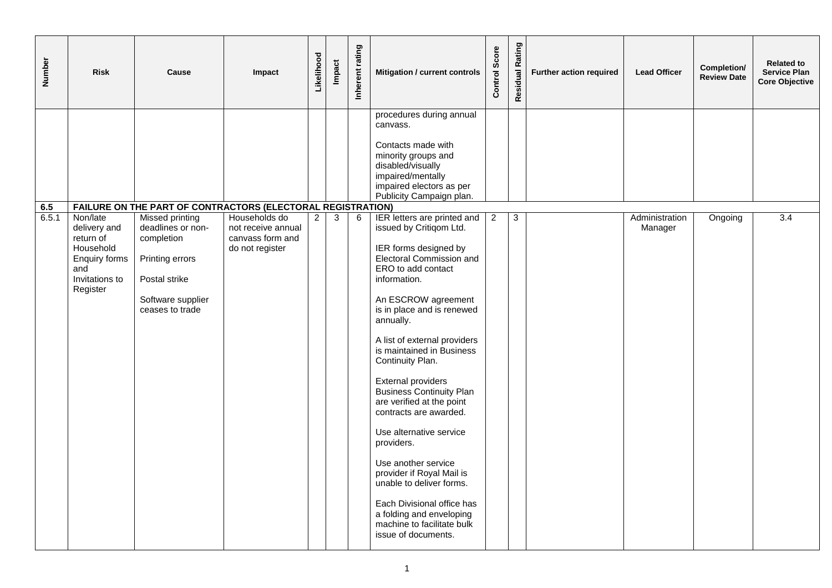| Number       | <b>Risk</b>                                                                                              | Cause                                                                                                                                                                                                | Impact                                                                     | Likelihood     | <b>Impact</b> | Inherent rating | Mitigation / current controls                                                                                                                                                                                                                                                                                                                                                                                                                                                                                                                                                                                                                                | Score<br>Control | Rating<br>Residual | <b>Further action required</b> | <b>Lead Officer</b>       | Completion/<br><b>Review Date</b> | <b>Related to</b><br><b>Service Plan</b><br><b>Core Objective</b> |
|--------------|----------------------------------------------------------------------------------------------------------|------------------------------------------------------------------------------------------------------------------------------------------------------------------------------------------------------|----------------------------------------------------------------------------|----------------|---------------|-----------------|--------------------------------------------------------------------------------------------------------------------------------------------------------------------------------------------------------------------------------------------------------------------------------------------------------------------------------------------------------------------------------------------------------------------------------------------------------------------------------------------------------------------------------------------------------------------------------------------------------------------------------------------------------------|------------------|--------------------|--------------------------------|---------------------------|-----------------------------------|-------------------------------------------------------------------|
|              |                                                                                                          |                                                                                                                                                                                                      |                                                                            |                |               |                 | procedures during annual<br>canvass.<br>Contacts made with<br>minority groups and<br>disabled/visually<br>impaired/mentally<br>impaired electors as per<br>Publicity Campaign plan.                                                                                                                                                                                                                                                                                                                                                                                                                                                                          |                  |                    |                                |                           |                                   |                                                                   |
| 6.5<br>6.5.1 | Non/late<br>delivery and<br>return of<br>Household<br>Enquiry forms<br>and<br>Invitations to<br>Register | FAILURE ON THE PART OF CONTRACTORS (ELECTORAL REGISTRATION)<br><b>Missed printing</b><br>deadlines or non-<br>completion<br>Printing errors<br>Postal strike<br>Software supplier<br>ceases to trade | Households do<br>not receive annual<br>canvass form and<br>do not register | $\overline{2}$ | 3             | 6               | IER letters are printed and<br>issued by Critiqom Ltd.<br>IER forms designed by<br>Electoral Commission and<br>ERO to add contact<br>information.<br>An ESCROW agreement<br>is in place and is renewed<br>annually.<br>A list of external providers<br>is maintained in Business<br>Continuity Plan.<br>External providers<br><b>Business Continuity Plan</b><br>are verified at the point<br>contracts are awarded.<br>Use alternative service<br>providers.<br>Use another service<br>provider if Royal Mail is<br>unable to deliver forms.<br>Each Divisional office has<br>a folding and enveloping<br>machine to facilitate bulk<br>issue of documents. | $\overline{2}$   | $\mathbf{3}$       |                                | Administration<br>Manager | Ongoing                           | $\overline{3.4}$                                                  |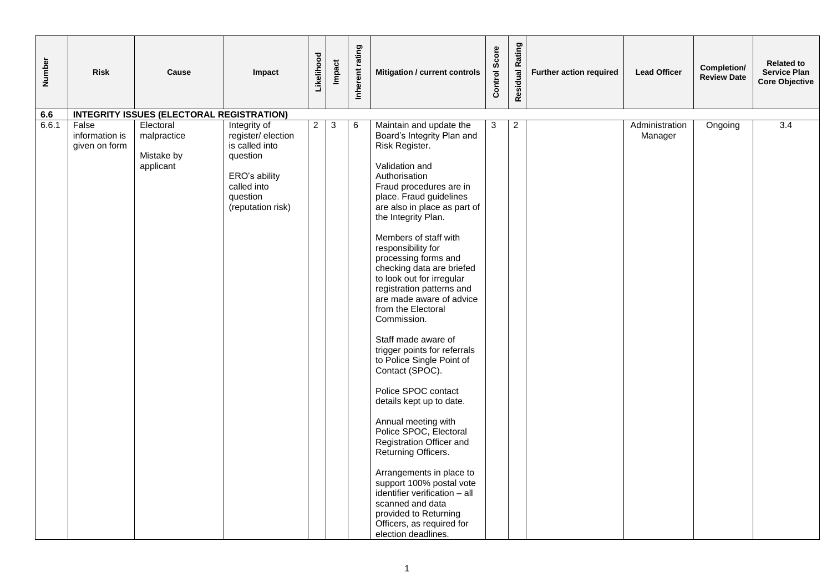| Number | <b>Risk</b>                              | Cause                                               | Impact                                                                                                                           | Likelihood     | <b>Impact</b> | Inherent rating | Mitigation / current controls                                                                                                                                                                                                                                                                                                                                                                                                                                                                                                                                                                                                                                                                                                                                                                                                                                                                                  | Control Score | Rating<br>Residual | Further action required | <b>Lead Officer</b>       | Completion/<br><b>Review Date</b> | <b>Related to</b><br><b>Service Plan</b><br><b>Core Objective</b> |
|--------|------------------------------------------|-----------------------------------------------------|----------------------------------------------------------------------------------------------------------------------------------|----------------|---------------|-----------------|----------------------------------------------------------------------------------------------------------------------------------------------------------------------------------------------------------------------------------------------------------------------------------------------------------------------------------------------------------------------------------------------------------------------------------------------------------------------------------------------------------------------------------------------------------------------------------------------------------------------------------------------------------------------------------------------------------------------------------------------------------------------------------------------------------------------------------------------------------------------------------------------------------------|---------------|--------------------|-------------------------|---------------------------|-----------------------------------|-------------------------------------------------------------------|
| 6.6    |                                          | <b>INTEGRITY ISSUES (ELECTORAL REGISTRATION)</b>    |                                                                                                                                  |                |               |                 |                                                                                                                                                                                                                                                                                                                                                                                                                                                                                                                                                                                                                                                                                                                                                                                                                                                                                                                |               |                    |                         |                           |                                   |                                                                   |
| 6.6.1  | False<br>information is<br>given on form | Electoral<br>malpractice<br>Mistake by<br>applicant | Integrity of<br>register/election<br>is called into<br>question<br>ERO's ability<br>called into<br>question<br>(reputation risk) | $\overline{2}$ | $\mathbf{3}$  | $\,6$           | Maintain and update the<br>Board's Integrity Plan and<br>Risk Register.<br>Validation and<br>Authorisation<br>Fraud procedures are in<br>place. Fraud guidelines<br>are also in place as part of<br>the Integrity Plan.<br>Members of staff with<br>responsibility for<br>processing forms and<br>checking data are briefed<br>to look out for irregular<br>registration patterns and<br>are made aware of advice<br>from the Electoral<br>Commission.<br>Staff made aware of<br>trigger points for referrals<br>to Police Single Point of<br>Contact (SPOC).<br>Police SPOC contact<br>details kept up to date.<br>Annual meeting with<br>Police SPOC, Electoral<br>Registration Officer and<br>Returning Officers.<br>Arrangements in place to<br>support 100% postal vote<br>identifier verification - all<br>scanned and data<br>provided to Returning<br>Officers, as required for<br>election deadlines. | 3             | $\mathbf{2}$       |                         | Administration<br>Manager | Ongoing                           | 3.4                                                               |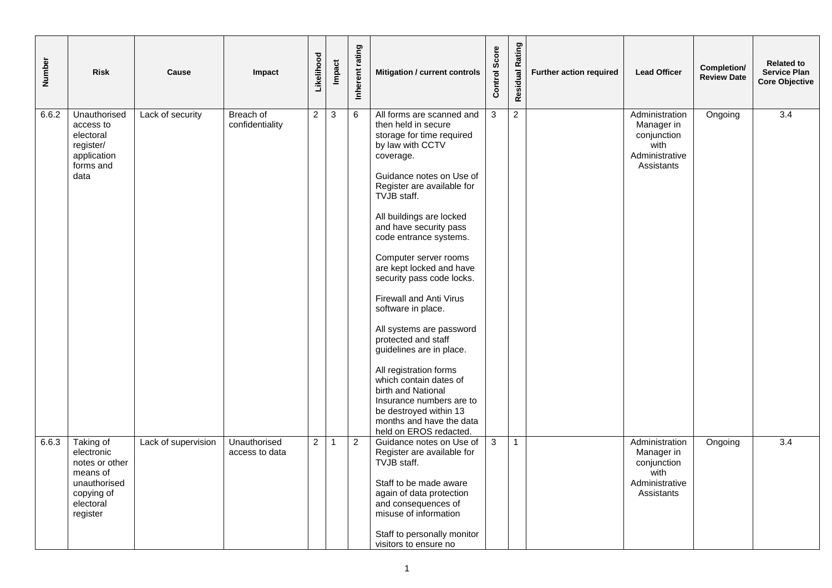| Number | <b>Risk</b>                                                                                                  | Cause               | Impact                         | Likelihood     | <b>Impact</b>  | Inherent rating | Mitigation / current controls                                                                                                                                                                                                                                                                                                                                                                                                                                                                                                                                                                                                                                                   | Score<br>Control | Residual Rating | Further action required | <b>Lead Officer</b>                                                                 | Completion/<br><b>Review Date</b> | <b>Related to</b><br><b>Service Plan</b><br><b>Core Objective</b> |
|--------|--------------------------------------------------------------------------------------------------------------|---------------------|--------------------------------|----------------|----------------|-----------------|---------------------------------------------------------------------------------------------------------------------------------------------------------------------------------------------------------------------------------------------------------------------------------------------------------------------------------------------------------------------------------------------------------------------------------------------------------------------------------------------------------------------------------------------------------------------------------------------------------------------------------------------------------------------------------|------------------|-----------------|-------------------------|-------------------------------------------------------------------------------------|-----------------------------------|-------------------------------------------------------------------|
| 6.6.2  | Unauthorised<br>access to<br>electoral<br>register/<br>application<br>forms and<br>data                      | Lack of security    | Breach of<br>confidentiality   | $\overline{2}$ | $\mathbf{3}$   | 6               | All forms are scanned and<br>then held in secure<br>storage for time required<br>by law with CCTV<br>coverage.<br>Guidance notes on Use of<br>Register are available for<br>TVJB staff.<br>All buildings are locked<br>and have security pass<br>code entrance systems.<br>Computer server rooms<br>are kept locked and have<br>security pass code locks.<br>Firewall and Anti Virus<br>software in place.<br>All systems are password<br>protected and staff<br>guidelines are in place.<br>All registration forms<br>which contain dates of<br>birth and National<br>Insurance numbers are to<br>be destroyed within 13<br>months and have the data<br>held on EROS redacted. | 3                | $\overline{2}$  |                         | Administration<br>Manager in<br>conjunction<br>with<br>Administrative<br>Assistants | Ongoing                           | $\overline{3.4}$                                                  |
| 6.6.3  | Taking of<br>electronic<br>notes or other<br>means of<br>unauthorised<br>copying of<br>electoral<br>register | Lack of supervision | Unauthorised<br>access to data | $\overline{2}$ | $\overline{1}$ | $\overline{2}$  | Guidance notes on Use of<br>Register are available for<br>TVJB staff.<br>Staff to be made aware<br>again of data protection<br>and consequences of<br>misuse of information<br>Staff to personally monitor<br>visitors to ensure no                                                                                                                                                                                                                                                                                                                                                                                                                                             | 3                | $\overline{1}$  |                         | Administration<br>Manager in<br>conjunction<br>with<br>Administrative<br>Assistants | Ongoing                           | $\overline{3.4}$                                                  |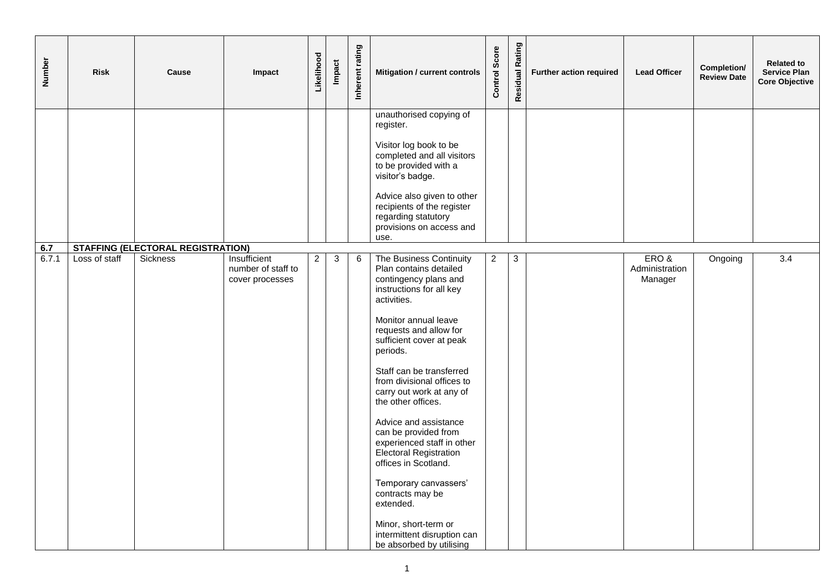| Number       | <b>Risk</b>   | Cause                                                       | Impact                                                | Likelihood     | Impact | Inherent rating | Mitigation / current controls                                                                                                                                                                                                                                                                                                                                                                                                                                                                                                                                                                                    | Score<br>Control: | <b>Residual Rating</b> | <b>Further action required</b> | <b>Lead Officer</b>               | Completion/<br><b>Review Date</b> | <b>Related to</b><br><b>Service Plan</b><br><b>Core Objective</b> |
|--------------|---------------|-------------------------------------------------------------|-------------------------------------------------------|----------------|--------|-----------------|------------------------------------------------------------------------------------------------------------------------------------------------------------------------------------------------------------------------------------------------------------------------------------------------------------------------------------------------------------------------------------------------------------------------------------------------------------------------------------------------------------------------------------------------------------------------------------------------------------------|-------------------|------------------------|--------------------------------|-----------------------------------|-----------------------------------|-------------------------------------------------------------------|
|              |               |                                                             |                                                       |                |        |                 | unauthorised copying of<br>register.<br>Visitor log book to be<br>completed and all visitors<br>to be provided with a<br>visitor's badge.<br>Advice also given to other<br>recipients of the register<br>regarding statutory<br>provisions on access and<br>use.                                                                                                                                                                                                                                                                                                                                                 |                   |                        |                                |                                   |                                   |                                                                   |
| 6.7<br>6.7.1 | Loss of staff | <b>STAFFING (ELECTORAL REGISTRATION)</b><br><b>Sickness</b> | Insufficient<br>number of staff to<br>cover processes | $\overline{2}$ | 3      | 6               | The Business Continuity<br>Plan contains detailed<br>contingency plans and<br>instructions for all key<br>activities.<br>Monitor annual leave<br>requests and allow for<br>sufficient cover at peak<br>periods.<br>Staff can be transferred<br>from divisional offices to<br>carry out work at any of<br>the other offices.<br>Advice and assistance<br>can be provided from<br>experienced staff in other<br><b>Electoral Registration</b><br>offices in Scotland.<br>Temporary canvassers'<br>contracts may be<br>extended.<br>Minor, short-term or<br>intermittent disruption can<br>be absorbed by utilising | $\boldsymbol{2}$  | $\mathbf{3}$           |                                | ERO&<br>Administration<br>Manager | Ongoing                           | $\overline{3.4}$                                                  |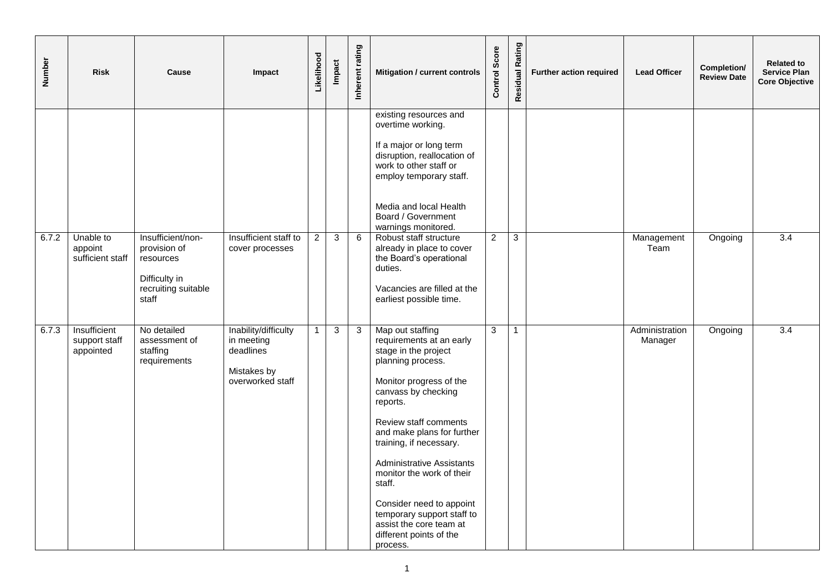| Number | <b>Risk</b>                                | Cause                                                                                           | Impact                                                                             | Likelihood     | Impact | Inherent rating | Mitigation / current controls                                                                                                                                                                                                                                                                                                                                                                                                                    | Score<br>Control | <b>Residual Rating</b> | Further action required | <b>Lead Officer</b>       | Completion/<br><b>Review Date</b> | <b>Related to</b><br><b>Service Plan</b><br><b>Core Objective</b> |
|--------|--------------------------------------------|-------------------------------------------------------------------------------------------------|------------------------------------------------------------------------------------|----------------|--------|-----------------|--------------------------------------------------------------------------------------------------------------------------------------------------------------------------------------------------------------------------------------------------------------------------------------------------------------------------------------------------------------------------------------------------------------------------------------------------|------------------|------------------------|-------------------------|---------------------------|-----------------------------------|-------------------------------------------------------------------|
|        |                                            |                                                                                                 |                                                                                    |                |        |                 | existing resources and<br>overtime working.<br>If a major or long term<br>disruption, reallocation of<br>work to other staff or<br>employ temporary staff.<br>Media and local Health<br>Board / Government<br>warnings monitored.                                                                                                                                                                                                                |                  |                        |                         |                           |                                   |                                                                   |
| 6.7.2  | Unable to<br>appoint<br>sufficient staff   | Insufficient/non-<br>provision of<br>resources<br>Difficulty in<br>recruiting suitable<br>staff | Insufficient staff to<br>cover processes                                           | $\overline{2}$ | 3      | 6               | Robust staff structure<br>already in place to cover<br>the Board's operational<br>duties.<br>Vacancies are filled at the<br>earliest possible time.                                                                                                                                                                                                                                                                                              | $\overline{a}$   | 3                      |                         | Management<br>Team        | Ongoing                           | $\overline{3.4}$                                                  |
| 6.7.3  | Insufficient<br>support staff<br>appointed | No detailed<br>assessment of<br>staffing<br>requirements                                        | Inability/difficulty<br>in meeting<br>deadlines<br>Mistakes by<br>overworked staff | $\mathbf{1}$   | 3      | 3               | Map out staffing<br>requirements at an early<br>stage in the project<br>planning process.<br>Monitor progress of the<br>canvass by checking<br>reports.<br>Review staff comments<br>and make plans for further<br>training, if necessary.<br><b>Administrative Assistants</b><br>monitor the work of their<br>staff.<br>Consider need to appoint<br>temporary support staff to<br>assist the core team at<br>different points of the<br>process. | 3                | $\overline{1}$         |                         | Administration<br>Manager | Ongoing                           | $\overline{3.4}$                                                  |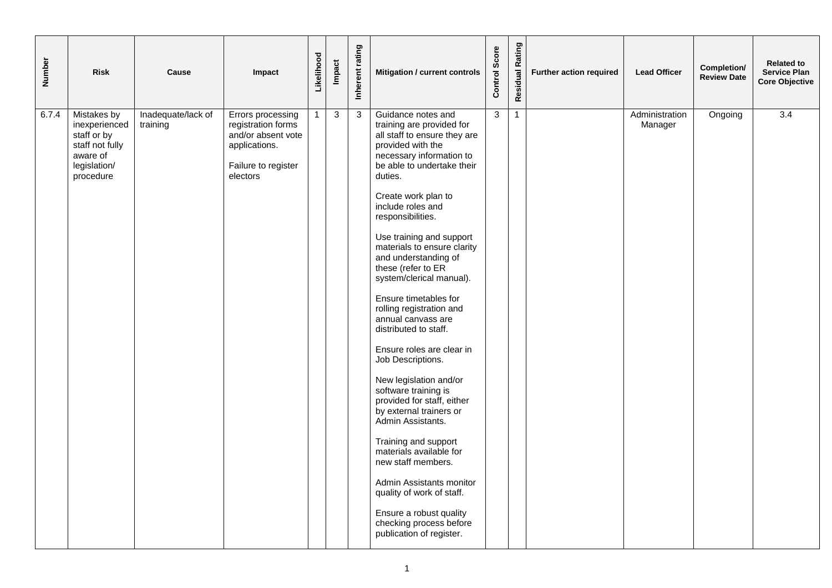| Number | <b>Risk</b>                                                                                             | Cause                          | Impact                                                                                                            | Likelihood     | <b>Impact</b>  | Inherent rating | Mitigation / current controls                                                                                                                                                                                                                                                                                                                                                                                                                                                                                                                                                                                                                                                                                                                                                                                                                                 | Control Score  | <b>Residual Rating</b> | Further action required | <b>Lead Officer</b>       | Completion/<br><b>Review Date</b> | <b>Related to</b><br><b>Service Plan</b><br><b>Core Objective</b> |
|--------|---------------------------------------------------------------------------------------------------------|--------------------------------|-------------------------------------------------------------------------------------------------------------------|----------------|----------------|-----------------|---------------------------------------------------------------------------------------------------------------------------------------------------------------------------------------------------------------------------------------------------------------------------------------------------------------------------------------------------------------------------------------------------------------------------------------------------------------------------------------------------------------------------------------------------------------------------------------------------------------------------------------------------------------------------------------------------------------------------------------------------------------------------------------------------------------------------------------------------------------|----------------|------------------------|-------------------------|---------------------------|-----------------------------------|-------------------------------------------------------------------|
| 6.7.4  | Mistakes by<br>inexperienced<br>staff or by<br>staff not fully<br>aware of<br>legislation/<br>procedure | Inadequate/lack of<br>training | Errors processing<br>registration forms<br>and/or absent vote<br>applications.<br>Failure to register<br>electors | $\overline{1}$ | $\overline{3}$ | $\overline{3}$  | Guidance notes and<br>training are provided for<br>all staff to ensure they are<br>provided with the<br>necessary information to<br>be able to undertake their<br>duties.<br>Create work plan to<br>include roles and<br>responsibilities.<br>Use training and support<br>materials to ensure clarity<br>and understanding of<br>these (refer to ER<br>system/clerical manual).<br>Ensure timetables for<br>rolling registration and<br>annual canvass are<br>distributed to staff.<br>Ensure roles are clear in<br>Job Descriptions.<br>New legislation and/or<br>software training is<br>provided for staff, either<br>by external trainers or<br>Admin Assistants.<br>Training and support<br>materials available for<br>new staff members.<br>Admin Assistants monitor<br>quality of work of staff.<br>Ensure a robust quality<br>checking process before | $\overline{3}$ | $\mathbf{1}$           |                         | Administration<br>Manager | Ongoing                           | 3.4                                                               |
|        |                                                                                                         |                                |                                                                                                                   |                |                |                 | publication of register.                                                                                                                                                                                                                                                                                                                                                                                                                                                                                                                                                                                                                                                                                                                                                                                                                                      |                |                        |                         |                           |                                   |                                                                   |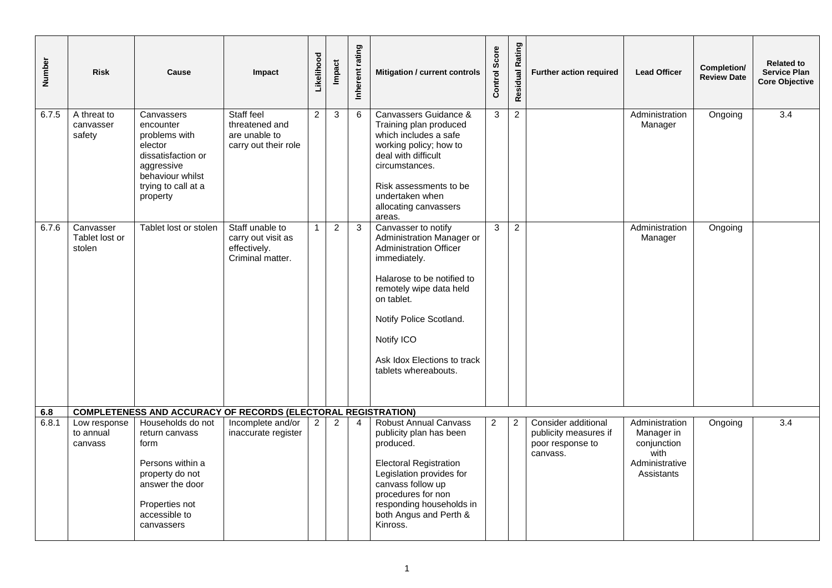| Number | <b>Risk</b>                           | Cause                                                                                                                                                  | Impact                                                                    | Likelihood     | Impact         | Inherent rating | Mitigation / current controls                                                                                                                                                                                                                                            | Score<br>Control: | Rating<br>Residual | Further action required                                                      | <b>Lead Officer</b>                                                                 | Completion/<br><b>Review Date</b> | <b>Related to</b><br><b>Service Plan</b><br><b>Core Objective</b> |
|--------|---------------------------------------|--------------------------------------------------------------------------------------------------------------------------------------------------------|---------------------------------------------------------------------------|----------------|----------------|-----------------|--------------------------------------------------------------------------------------------------------------------------------------------------------------------------------------------------------------------------------------------------------------------------|-------------------|--------------------|------------------------------------------------------------------------------|-------------------------------------------------------------------------------------|-----------------------------------|-------------------------------------------------------------------|
| 6.7.5  | A threat to<br>canvasser<br>safety    | Canvassers<br>encounter<br>problems with<br>elector<br>dissatisfaction or<br>aggressive<br>behaviour whilst<br>trying to call at a<br>property         | Staff feel<br>threatened and<br>are unable to<br>carry out their role     | $\overline{c}$ | 3              | 6               | Canvassers Guidance &<br>Training plan produced<br>which includes a safe<br>working policy; how to<br>deal with difficult<br>circumstances.<br>Risk assessments to be<br>undertaken when<br>allocating canvassers<br>areas.                                              | 3                 | $\overline{a}$     |                                                                              | Administration<br>Manager                                                           | Ongoing                           | $\overline{3.4}$                                                  |
| 6.7.6  | Canvasser<br>Tablet lost or<br>stolen | Tablet lost or stolen                                                                                                                                  | Staff unable to<br>carry out visit as<br>effectively.<br>Criminal matter. | $\mathbf{1}$   | $\overline{2}$ | 3               | Canvasser to notify<br>Administration Manager or<br><b>Administration Officer</b><br>immediately.<br>Halarose to be notified to<br>remotely wipe data held<br>on tablet.<br>Notify Police Scotland.<br>Notify ICO<br>Ask Idox Elections to track<br>tablets whereabouts. | 3                 | $\overline{2}$     |                                                                              | Administration<br>Manager                                                           | Ongoing                           |                                                                   |
| 6.8    |                                       | <b>COMPLETENESS AND ACCURACY OF RECORDS (ELECTORAL REGISTRATION)</b>                                                                                   |                                                                           |                |                |                 |                                                                                                                                                                                                                                                                          |                   |                    |                                                                              |                                                                                     |                                   |                                                                   |
| 6.8.1  | Low response<br>to annual<br>canvass  | Households do not<br>return canvass<br>form<br>Persons within a<br>property do not<br>answer the door<br>Properties not<br>accessible to<br>canvassers | Incomplete and/or<br>inaccurate register                                  | $\overline{2}$ | $\overline{2}$ | $\overline{4}$  | <b>Robust Annual Canvass</b><br>publicity plan has been<br>produced.<br><b>Electoral Registration</b><br>Legislation provides for<br>canvass follow up<br>procedures for non<br>responding households in<br>both Angus and Perth &<br>Kinross.                           | $\overline{2}$    | $\overline{2}$     | Consider additional<br>publicity measures if<br>poor response to<br>canvass. | Administration<br>Manager in<br>conjunction<br>with<br>Administrative<br>Assistants | Ongoing                           | $\overline{3.4}$                                                  |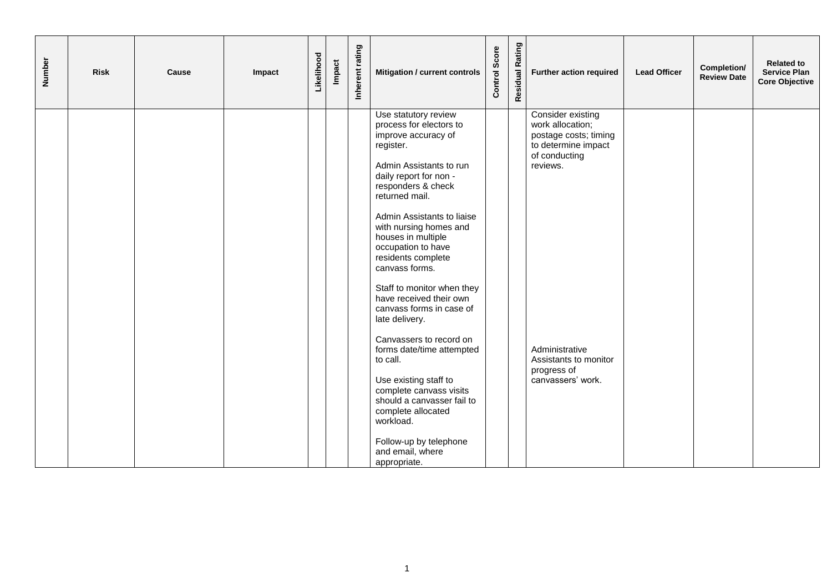| Number | <b>Risk</b> | Cause | Impact | Likelihood | Impact | Inherent rating | Mitigation / current controls                                                                                                                                                                                                                                                                                                                              | Score<br>Control | Residual Rating | Further action required                                                                                            | <b>Lead Officer</b> | Completion/<br><b>Review Date</b> | <b>Related to</b><br><b>Service Plan</b><br><b>Core Objective</b> |
|--------|-------------|-------|--------|------------|--------|-----------------|------------------------------------------------------------------------------------------------------------------------------------------------------------------------------------------------------------------------------------------------------------------------------------------------------------------------------------------------------------|------------------|-----------------|--------------------------------------------------------------------------------------------------------------------|---------------------|-----------------------------------|-------------------------------------------------------------------|
|        |             |       |        |            |        |                 | Use statutory review<br>process for electors to<br>improve accuracy of<br>register.<br>Admin Assistants to run<br>daily report for non -<br>responders & check<br>returned mail.<br>Admin Assistants to liaise<br>with nursing homes and<br>houses in multiple<br>occupation to have<br>residents complete<br>canvass forms.                               |                  |                 | Consider existing<br>work allocation;<br>postage costs; timing<br>to determine impact<br>of conducting<br>reviews. |                     |                                   |                                                                   |
|        |             |       |        |            |        |                 | Staff to monitor when they<br>have received their own<br>canvass forms in case of<br>late delivery.<br>Canvassers to record on<br>forms date/time attempted<br>to call.<br>Use existing staff to<br>complete canvass visits<br>should a canvasser fail to<br>complete allocated<br>workload.<br>Follow-up by telephone<br>and email, where<br>appropriate. |                  |                 | Administrative<br>Assistants to monitor<br>progress of<br>canvassers' work.                                        |                     |                                   |                                                                   |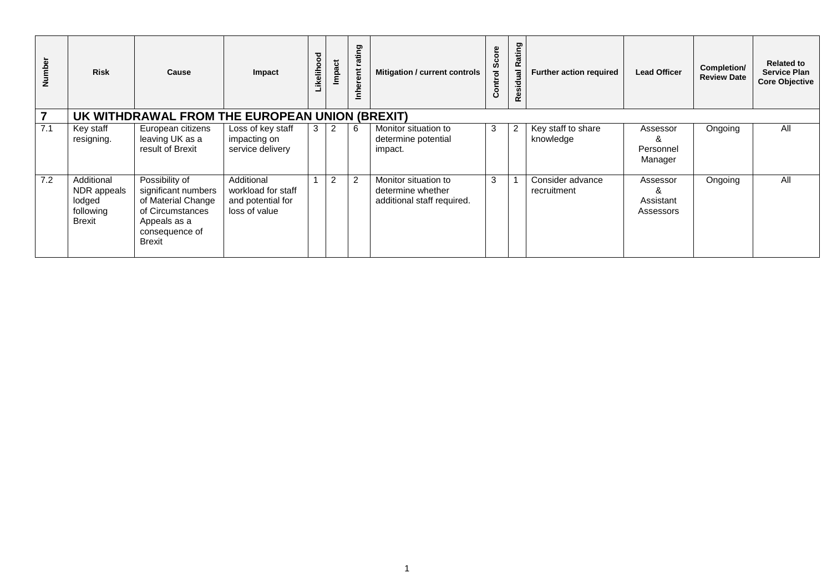| Number         | <b>Risk</b>                                                       | Cause                                                                                                                              | Impact                                                                 | Likelihood | Impact         | rating<br>rent<br>들 | Mitigation / current controls                                           | Score<br>Control | Rating<br>Residual | <b>Further action required</b>  | <b>Lead Officer</b>                   | Completion/<br><b>Review Date</b> | <b>Related to</b><br><b>Service Plan</b><br><b>Core Objective</b> |
|----------------|-------------------------------------------------------------------|------------------------------------------------------------------------------------------------------------------------------------|------------------------------------------------------------------------|------------|----------------|---------------------|-------------------------------------------------------------------------|------------------|--------------------|---------------------------------|---------------------------------------|-----------------------------------|-------------------------------------------------------------------|
| $\overline{7}$ |                                                                   | UK WITHDRAWAL FROM THE EUROPEAN UNION (BREXIT)                                                                                     |                                                                        |            |                |                     |                                                                         |                  |                    |                                 |                                       |                                   |                                                                   |
| 7.1            | Key staff<br>resigning.                                           | European citizens<br>leaving UK as a<br>result of Brexit                                                                           | Loss of key staff<br>impacting on<br>service delivery                  | 3          | $\overline{2}$ | 6                   | Monitor situation to<br>determine potential<br>impact.                  | 3                | 2                  | Key staff to share<br>knowledge | Assessor<br>ă<br>Personnel<br>Manager | Ongoing                           | All                                                               |
| 7.2            | Additional<br>NDR appeals<br>lodged<br>following<br><b>Brexit</b> | Possibility of<br>significant numbers<br>of Material Change<br>of Circumstances<br>Appeals as a<br>consequence of<br><b>Brexit</b> | Additional<br>workload for staff<br>and potential for<br>loss of value |            | $\overline{2}$ | $\overline{2}$      | Monitor situation to<br>determine whether<br>additional staff required. | 3                |                    | Consider advance<br>recruitment | Assessor<br>Assistant<br>Assessors    | Ongoing                           | All                                                               |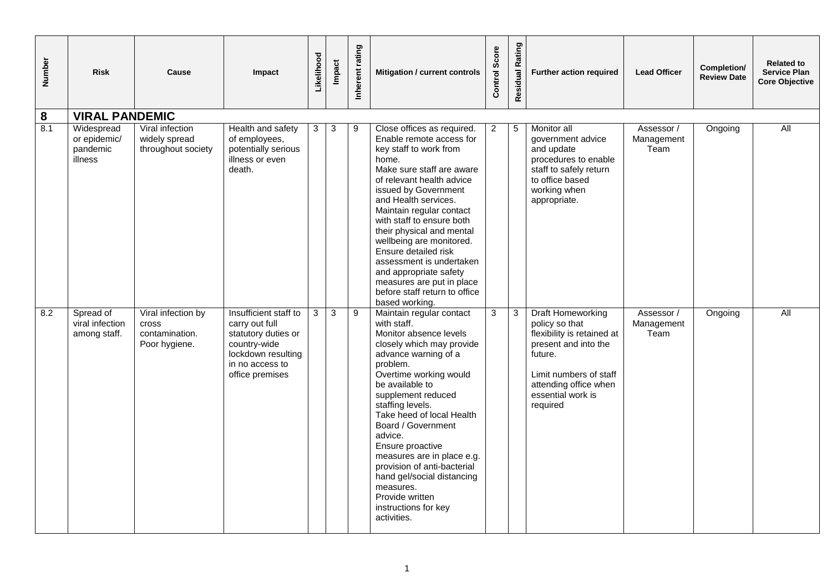| Number | <b>Risk</b>                                       | Cause                                                                 | Impact                                                                                                                                     | Likelihood   | Impact       | Inherent rating | Mitigation / current controls                                                                                                                                                                                                                                                                                                                                                                                                                                                       | Score<br><b>Control</b> | Residual Rating | Further action required                                                                                                                                                                         | <b>Lead Officer</b>              | Completion/<br><b>Review Date</b> | <b>Related to</b><br><b>Service Plan</b><br><b>Core Objective</b> |
|--------|---------------------------------------------------|-----------------------------------------------------------------------|--------------------------------------------------------------------------------------------------------------------------------------------|--------------|--------------|-----------------|-------------------------------------------------------------------------------------------------------------------------------------------------------------------------------------------------------------------------------------------------------------------------------------------------------------------------------------------------------------------------------------------------------------------------------------------------------------------------------------|-------------------------|-----------------|-------------------------------------------------------------------------------------------------------------------------------------------------------------------------------------------------|----------------------------------|-----------------------------------|-------------------------------------------------------------------|
| 8      | <b>VIRAL PANDEMIC</b>                             |                                                                       |                                                                                                                                            |              |              |                 |                                                                                                                                                                                                                                                                                                                                                                                                                                                                                     |                         |                 |                                                                                                                                                                                                 |                                  |                                   |                                                                   |
| 8.1    | Widespread<br>or epidemic/<br>pandemic<br>illness | Viral infection<br>widely spread<br>throughout society                | Health and safety<br>of employees,<br>potentially serious<br>illness or even<br>death.                                                     | 3            | 3            | 9               | Close offices as required.<br>Enable remote access for<br>key staff to work from<br>home.<br>Make sure staff are aware<br>of relevant health advice<br>issued by Government<br>and Health services.<br>Maintain regular contact<br>with staff to ensure both<br>their physical and mental<br>wellbeing are monitored.<br>Ensure detailed risk<br>assessment is undertaken<br>and appropriate safety<br>measures are put in place<br>before staff return to office<br>based working. | $\overline{2}$          | 5               | Monitor all<br>government advice<br>and update<br>procedures to enable<br>staff to safely return<br>to office based<br>working when<br>appropriate.                                             | Assessor /<br>Management<br>Team | Ongoing                           | $\overline{All}$                                                  |
| 8.2    | Spread of<br>viral infection<br>among staff.      | Viral infection by<br><b>Cross</b><br>contamination.<br>Poor hygiene. | Insufficient staff to<br>carry out full<br>statutory duties or<br>country-wide<br>lockdown resulting<br>in no access to<br>office premises | $\mathbf{3}$ | $\mathbf{3}$ | 9               | Maintain regular contact<br>with staff.<br>Monitor absence levels<br>closely which may provide<br>advance warning of a<br>problem.<br>Overtime working would<br>be available to<br>supplement reduced<br>staffing levels.<br>Take heed of local Health<br>Board / Government<br>advice.<br>Ensure proactive<br>measures are in place e.g.<br>provision of anti-bacterial<br>hand gel/social distancing<br>measures.<br>Provide written<br>instructions for key<br>activities.       | 3                       | $\mathbf{3}$    | <b>Draft Homeworking</b><br>policy so that<br>flexibility is retained at<br>present and into the<br>future.<br>Limit numbers of staff<br>attending office when<br>essential work is<br>required | Assessor /<br>Management<br>Team | Ongoing                           | All                                                               |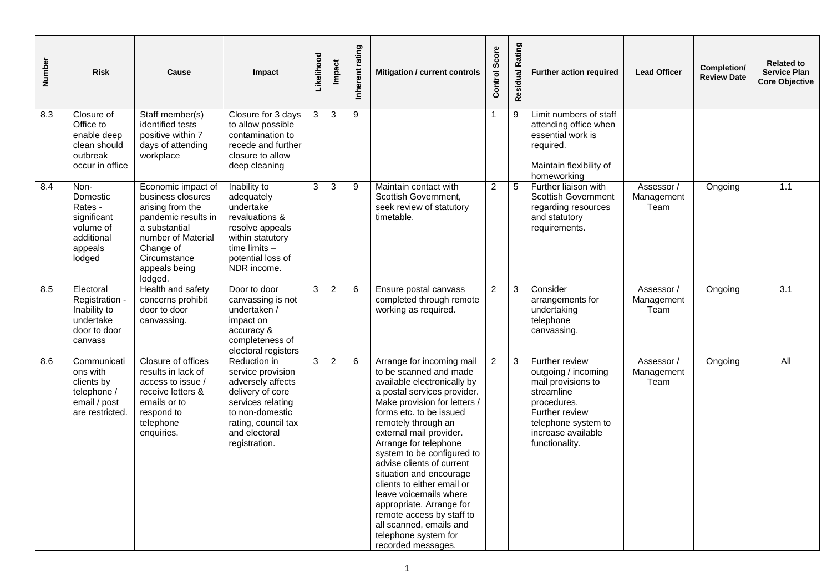| Number | <b>Risk</b>                                                                                | Cause                                                                                                                                                                              | Impact                                                                                                                                                                      | Likelihood | <b>Impact</b>  | Inherent rating | Mitigation / current controls                                                                                                                                                                                                                                                                                                                                                                                                                                                                                                           | Score<br>Control | Rating<br>Residual | Further action required                                                                                                                                                   | <b>Lead Officer</b>              | Completion/<br><b>Review Date</b> | <b>Related to</b><br><b>Service Plan</b><br><b>Core Objective</b> |
|--------|--------------------------------------------------------------------------------------------|------------------------------------------------------------------------------------------------------------------------------------------------------------------------------------|-----------------------------------------------------------------------------------------------------------------------------------------------------------------------------|------------|----------------|-----------------|-----------------------------------------------------------------------------------------------------------------------------------------------------------------------------------------------------------------------------------------------------------------------------------------------------------------------------------------------------------------------------------------------------------------------------------------------------------------------------------------------------------------------------------------|------------------|--------------------|---------------------------------------------------------------------------------------------------------------------------------------------------------------------------|----------------------------------|-----------------------------------|-------------------------------------------------------------------|
| 8.3    | Closure of<br>Office to<br>enable deep<br>clean should<br>outbreak<br>occur in office      | Staff member(s)<br>identified tests<br>positive within 7<br>days of attending<br>workplace                                                                                         | Closure for 3 days<br>to allow possible<br>contamination to<br>recede and further<br>closure to allow<br>deep cleaning                                                      | 3          | 3              | $\overline{9}$  |                                                                                                                                                                                                                                                                                                                                                                                                                                                                                                                                         | 1                | 9                  | Limit numbers of staff<br>attending office when<br>essential work is<br>required.<br>Maintain flexibility of<br>homeworking                                               |                                  |                                   |                                                                   |
| 8.4    | Non-<br>Domestic<br>Rates -<br>significant<br>volume of<br>additional<br>appeals<br>lodged | Economic impact of<br>business closures<br>arising from the<br>pandemic results in<br>a substantial<br>number of Material<br>Change of<br>Circumstance<br>appeals being<br>lodged. | Inability to<br>adequately<br>undertake<br>revaluations &<br>resolve appeals<br>within statutory<br>time limits -<br>potential loss of<br>NDR income.                       | 3          | $\mathbf{3}$   | 9               | Maintain contact with<br>Scottish Government,<br>seek review of statutory<br>timetable.                                                                                                                                                                                                                                                                                                                                                                                                                                                 | $\overline{2}$   | $\sqrt{5}$         | Further liaison with<br><b>Scottish Government</b><br>regarding resources<br>and statutory<br>requirements.                                                               | Assessor /<br>Management<br>Team | Ongoing                           | 1.1                                                               |
| 8.5    | Electoral<br>Registration -<br>Inability to<br>undertake<br>door to door<br>canvass        | Health and safety<br>concerns prohibit<br>door to door<br>canvassing.                                                                                                              | Door to door<br>canvassing is not<br>undertaken /<br>impact on<br>accuracy &<br>completeness of<br>electoral registers                                                      | 3          | $\overline{2}$ | 6               | Ensure postal canvass<br>completed through remote<br>working as required.                                                                                                                                                                                                                                                                                                                                                                                                                                                               | $\overline{2}$   | 3                  | Consider<br>arrangements for<br>undertaking<br>telephone<br>canvassing.                                                                                                   | Assessor /<br>Management<br>Team | Ongoing                           | 3.1                                                               |
| 8.6    | Communicati<br>ons with<br>clients by<br>telephone /<br>email / post<br>are restricted.    | Closure of offices<br>results in lack of<br>access to issue /<br>receive letters &<br>emails or to<br>respond to<br>telephone<br>enquiries.                                        | Reduction in<br>service provision<br>adversely affects<br>delivery of core<br>services relating<br>to non-domestic<br>rating, council tax<br>and electoral<br>registration. | 3          | $\overline{2}$ | 6               | Arrange for incoming mail<br>to be scanned and made<br>available electronically by<br>a postal services provider.<br>Make provision for letters /<br>forms etc. to be issued<br>remotely through an<br>external mail provider.<br>Arrange for telephone<br>system to be configured to<br>advise clients of current<br>situation and encourage<br>clients to either email or<br>leave voicemails where<br>appropriate. Arrange for<br>remote access by staff to<br>all scanned, emails and<br>telephone system for<br>recorded messages. | $\overline{2}$   | $\sqrt{3}$         | Further review<br>outgoing / incoming<br>mail provisions to<br>streamline<br>procedures.<br>Further review<br>telephone system to<br>increase available<br>functionality. | Assessor /<br>Management<br>Team | Ongoing                           | $\overline{All}$                                                  |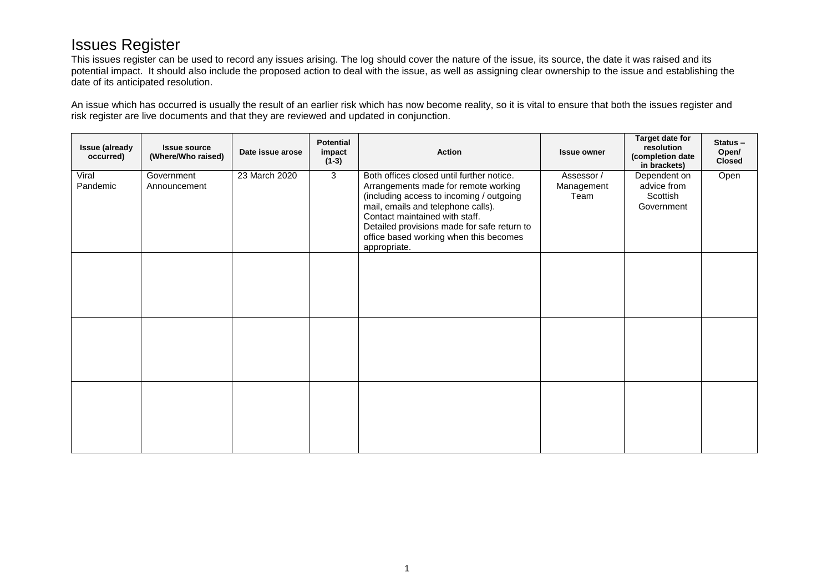# Issues Register

This issues register can be used to record any issues arising. The log should cover the nature of the issue, its source, the date it was raised and its potential impact. It should also include the proposed action to deal with the issue, as well as assigning clear ownership to the issue and establishing the date of its anticipated resolution.

An issue which has occurred is usually the result of an earlier risk which has now become reality, so it is vital to ensure that both the issues register and risk register are live documents and that they are reviewed and updated in conjunction.

| <b>Issue (already</b><br>occurred) | <b>Issue source</b><br>(Where/Who raised) | Date issue arose | <b>Potential</b><br>impact<br>$(1-3)$ | <b>Action</b>                                                                                                                                                                                                                                                                                                  | <b>Issue owner</b>               | Target date for<br>resolution<br>(completion date<br>in brackets) | $Status -$<br>Open/<br><b>Closed</b> |
|------------------------------------|-------------------------------------------|------------------|---------------------------------------|----------------------------------------------------------------------------------------------------------------------------------------------------------------------------------------------------------------------------------------------------------------------------------------------------------------|----------------------------------|-------------------------------------------------------------------|--------------------------------------|
| Viral<br>Pandemic                  | Government<br>Announcement                | 23 March 2020    | 3                                     | Both offices closed until further notice.<br>Arrangements made for remote working<br>(including access to incoming / outgoing<br>mail, emails and telephone calls).<br>Contact maintained with staff.<br>Detailed provisions made for safe return to<br>office based working when this becomes<br>appropriate. | Assessor /<br>Management<br>Team | Dependent on<br>advice from<br>Scottish<br>Government             | Open                                 |
|                                    |                                           |                  |                                       |                                                                                                                                                                                                                                                                                                                |                                  |                                                                   |                                      |
|                                    |                                           |                  |                                       |                                                                                                                                                                                                                                                                                                                |                                  |                                                                   |                                      |
|                                    |                                           |                  |                                       |                                                                                                                                                                                                                                                                                                                |                                  |                                                                   |                                      |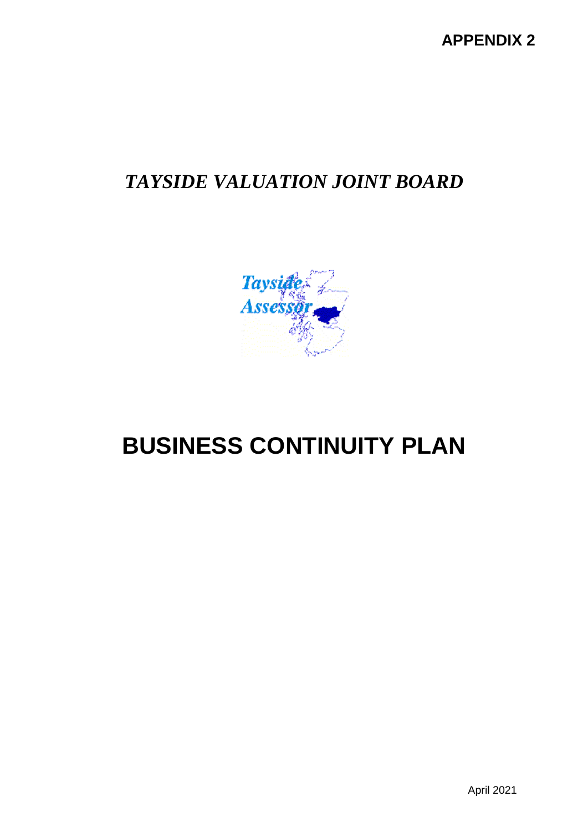# *TAYSIDE VALUATION JOINT BOARD*



# **BUSINESS CONTINUITY PLAN**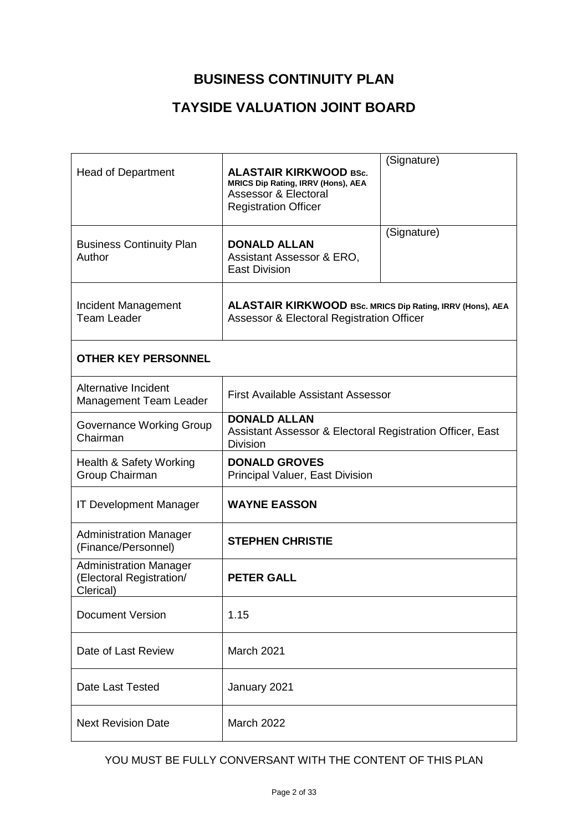# **BUSINESS CONTINUITY PLAN**

# **TAYSIDE VALUATION JOINT BOARD**

| <b>Head of Department</b>                                              | <b>ALASTAIR KIRKWOOD BSc.</b><br><b>MRICS Dip Rating, IRRV (Hons), AEA</b><br><b>Assessor &amp; Electoral</b><br><b>Registration Officer</b> | (Signature) |  |  |  |  |  |  |
|------------------------------------------------------------------------|----------------------------------------------------------------------------------------------------------------------------------------------|-------------|--|--|--|--|--|--|
| <b>Business Continuity Plan</b><br>Author                              | <b>DONALD ALLAN</b><br>Assistant Assessor & ERO,<br><b>East Division</b>                                                                     | (Signature) |  |  |  |  |  |  |
| Incident Management<br><b>Team Leader</b>                              | ALASTAIR KIRKWOOD BSc. MRICS Dip Rating, IRRV (Hons), AEA<br>Assessor & Electoral Registration Officer                                       |             |  |  |  |  |  |  |
| <b>OTHER KEY PERSONNEL</b>                                             |                                                                                                                                              |             |  |  |  |  |  |  |
| Alternative Incident<br>Management Team Leader                         | <b>First Available Assistant Assessor</b>                                                                                                    |             |  |  |  |  |  |  |
| Governance Working Group<br>Chairman                                   | <b>DONALD ALLAN</b><br>Assistant Assessor & Electoral Registration Officer, East<br><b>Division</b>                                          |             |  |  |  |  |  |  |
| Health & Safety Working<br>Group Chairman                              | <b>DONALD GROVES</b><br>Principal Valuer, East Division                                                                                      |             |  |  |  |  |  |  |
| <b>IT Development Manager</b>                                          | <b>WAYNE EASSON</b>                                                                                                                          |             |  |  |  |  |  |  |
| <b>Administration Manager</b><br>(Finance/Personnel)                   | <b>STEPHEN CHRISTIE</b>                                                                                                                      |             |  |  |  |  |  |  |
| <b>Administration Manager</b><br>(Electoral Registration/<br>Clerical) | <b>PETER GALL</b>                                                                                                                            |             |  |  |  |  |  |  |
| <b>Document Version</b>                                                | 1.15                                                                                                                                         |             |  |  |  |  |  |  |
| Date of Last Review                                                    | March 2021                                                                                                                                   |             |  |  |  |  |  |  |
| <b>Date Last Tested</b>                                                | January 2021                                                                                                                                 |             |  |  |  |  |  |  |
| <b>Next Revision Date</b>                                              | <b>March 2022</b>                                                                                                                            |             |  |  |  |  |  |  |

### YOU MUST BE FULLY CONVERSANT WITH THE CONTENT OF THIS PLAN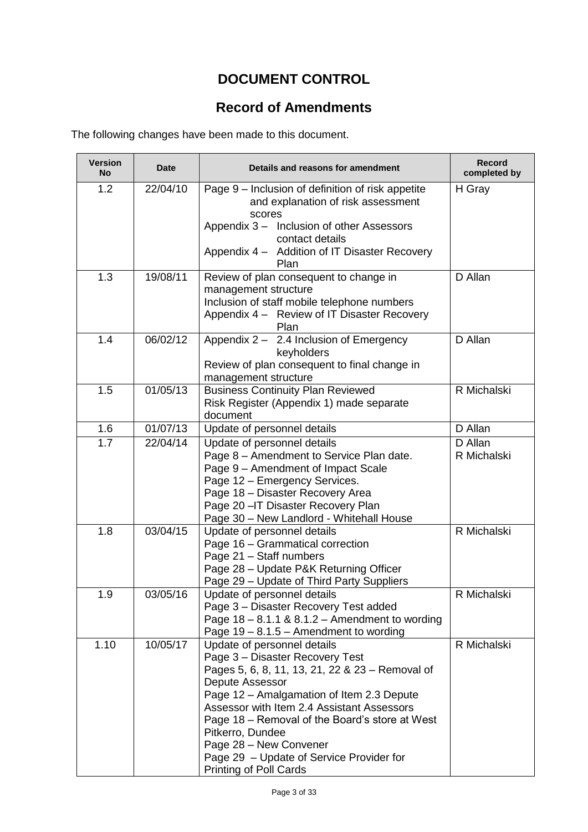# **DOCUMENT CONTROL**

# **Record of Amendments**

The following changes have been made to this document.

| <b>Version</b><br>No | <b>Date</b> | Details and reasons for amendment                                                                                                                                                                                                                                                                                                                                                                     | <b>Record</b><br>completed by |
|----------------------|-------------|-------------------------------------------------------------------------------------------------------------------------------------------------------------------------------------------------------------------------------------------------------------------------------------------------------------------------------------------------------------------------------------------------------|-------------------------------|
| 1.2                  | 22/04/10    | Page 9 – Inclusion of definition of risk appetite<br>and explanation of risk assessment<br>scores<br>Appendix 3 - Inclusion of other Assessors<br>contact details<br>Appendix 4 - Addition of IT Disaster Recovery<br>Plan                                                                                                                                                                            | H Gray                        |
| 1.3                  | 19/08/11    | Review of plan consequent to change in<br>management structure<br>Inclusion of staff mobile telephone numbers<br>Appendix 4 - Review of IT Disaster Recovery<br>Plan                                                                                                                                                                                                                                  | D Allan                       |
| 1.4                  | 06/02/12    | Appendix 2 - 2.4 Inclusion of Emergency<br>keyholders<br>Review of plan consequent to final change in<br>management structure                                                                                                                                                                                                                                                                         | D Allan                       |
| 1.5                  | 01/05/13    | <b>Business Continuity Plan Reviewed</b><br>Risk Register (Appendix 1) made separate<br>document                                                                                                                                                                                                                                                                                                      | R Michalski                   |
| 1.6                  | 01/07/13    | Update of personnel details                                                                                                                                                                                                                                                                                                                                                                           | D Allan                       |
| 1.7                  | 22/04/14    | Update of personnel details<br>Page 8 - Amendment to Service Plan date.<br>Page 9 - Amendment of Impact Scale<br>Page 12 - Emergency Services.<br>Page 18 - Disaster Recovery Area<br>Page 20 - IT Disaster Recovery Plan<br>Page 30 - New Landlord - Whitehall House                                                                                                                                 | D Allan<br>R Michalski        |
| 1.8                  | 03/04/15    | Update of personnel details<br>Page 16 - Grammatical correction<br>Page 21 - Staff numbers<br>Page 28 - Update P&K Returning Officer<br>Page 29 - Update of Third Party Suppliers                                                                                                                                                                                                                     | R Michalski                   |
| 1.9                  | 03/05/16    | Update of personnel details<br>Page 3 - Disaster Recovery Test added<br>Page $18 - 8.1.1$ & $8.1.2 -$ Amendment to wording<br>Page $19 - 8.1.5 -$ Amendment to wording                                                                                                                                                                                                                                | R Michalski                   |
| 1.10                 | 10/05/17    | Update of personnel details<br>Page 3 - Disaster Recovery Test<br>Pages 5, 6, 8, 11, 13, 21, 22 & 23 - Removal of<br>Depute Assessor<br>Page 12 - Amalgamation of Item 2.3 Depute<br>Assessor with Item 2.4 Assistant Assessors<br>Page 18 – Removal of the Board's store at West<br>Pitkerro, Dundee<br>Page 28 - New Convener<br>Page 29 - Update of Service Provider for<br>Printing of Poll Cards | R Michalski                   |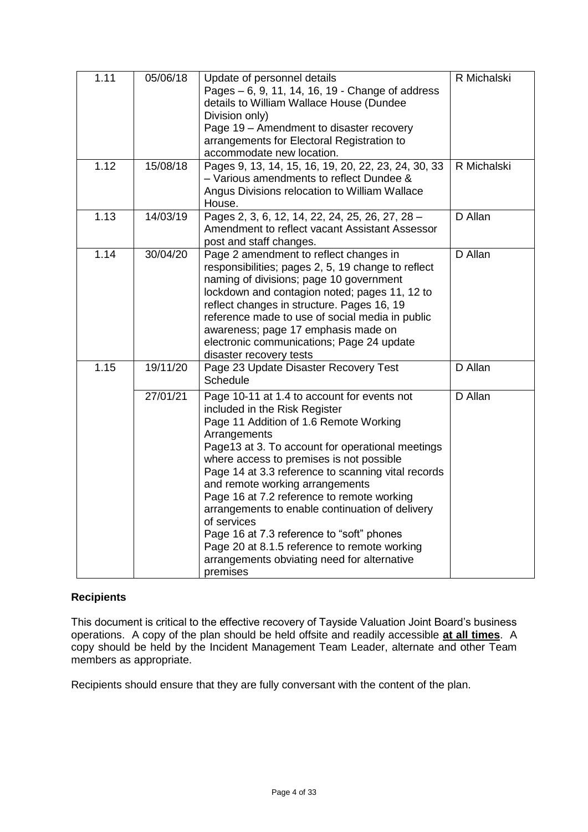| 1.11 | 05/06/18 | Update of personnel details<br>Pages - 6, 9, 11, 14, 16, 19 - Change of address<br>details to William Wallace House (Dundee<br>Division only)<br>Page 19 - Amendment to disaster recovery<br>arrangements for Electoral Registration to<br>accommodate new location.                                                                                                                                                                                                                                                                                                                                    | R Michalski |
|------|----------|---------------------------------------------------------------------------------------------------------------------------------------------------------------------------------------------------------------------------------------------------------------------------------------------------------------------------------------------------------------------------------------------------------------------------------------------------------------------------------------------------------------------------------------------------------------------------------------------------------|-------------|
| 1.12 | 15/08/18 | Pages 9, 13, 14, 15, 16, 19, 20, 22, 23, 24, 30, 33<br>- Various amendments to reflect Dundee &<br>Angus Divisions relocation to William Wallace<br>House.                                                                                                                                                                                                                                                                                                                                                                                                                                              | R Michalski |
| 1.13 | 14/03/19 | Pages 2, 3, 6, 12, 14, 22, 24, 25, 26, 27, 28 -<br>Amendment to reflect vacant Assistant Assessor<br>post and staff changes.                                                                                                                                                                                                                                                                                                                                                                                                                                                                            | D Allan     |
| 1.14 | 30/04/20 | Page 2 amendment to reflect changes in<br>responsibilities; pages 2, 5, 19 change to reflect<br>naming of divisions; page 10 government<br>lockdown and contagion noted; pages 11, 12 to<br>reflect changes in structure. Pages 16, 19<br>reference made to use of social media in public<br>awareness; page 17 emphasis made on<br>electronic communications; Page 24 update<br>disaster recovery tests                                                                                                                                                                                                | D Allan     |
| 1.15 | 19/11/20 | Page 23 Update Disaster Recovery Test<br><b>Schedule</b>                                                                                                                                                                                                                                                                                                                                                                                                                                                                                                                                                | D Allan     |
|      | 27/01/21 | Page 10-11 at 1.4 to account for events not<br>included in the Risk Register<br>Page 11 Addition of 1.6 Remote Working<br>Arrangements<br>Page13 at 3. To account for operational meetings<br>where access to premises is not possible<br>Page 14 at 3.3 reference to scanning vital records<br>and remote working arrangements<br>Page 16 at 7.2 reference to remote working<br>arrangements to enable continuation of delivery<br>of services<br>Page 16 at 7.3 reference to "soft" phones<br>Page 20 at 8.1.5 reference to remote working<br>arrangements obviating need for alternative<br>premises | D Allan     |

### **Recipients**

This document is critical to the effective recovery of Tayside Valuation Joint Board's business operations. A copy of the plan should be held offsite and readily accessible **at all times**. A copy should be held by the Incident Management Team Leader, alternate and other Team members as appropriate.

Recipients should ensure that they are fully conversant with the content of the plan.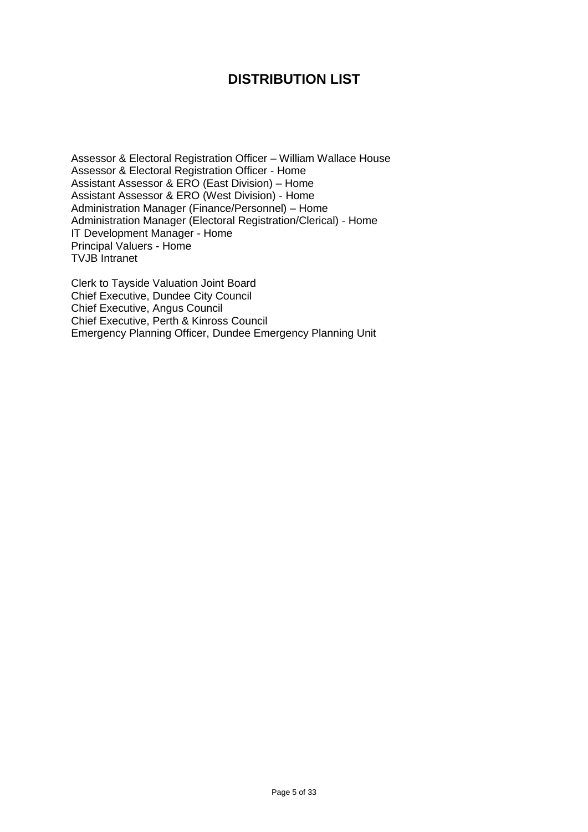# **DISTRIBUTION LIST**

Assessor & Electoral Registration Officer – William Wallace House Assessor & Electoral Registration Officer - Home Assistant Assessor & ERO (East Division) – Home Assistant Assessor & ERO (West Division) - Home Administration Manager (Finance/Personnel) – Home Administration Manager (Electoral Registration/Clerical) - Home IT Development Manager - Home Principal Valuers - Home TVJB Intranet

Clerk to Tayside Valuation Joint Board Chief Executive, Dundee City Council Chief Executive, Angus Council Chief Executive, Perth & Kinross Council Emergency Planning Officer, Dundee Emergency Planning Unit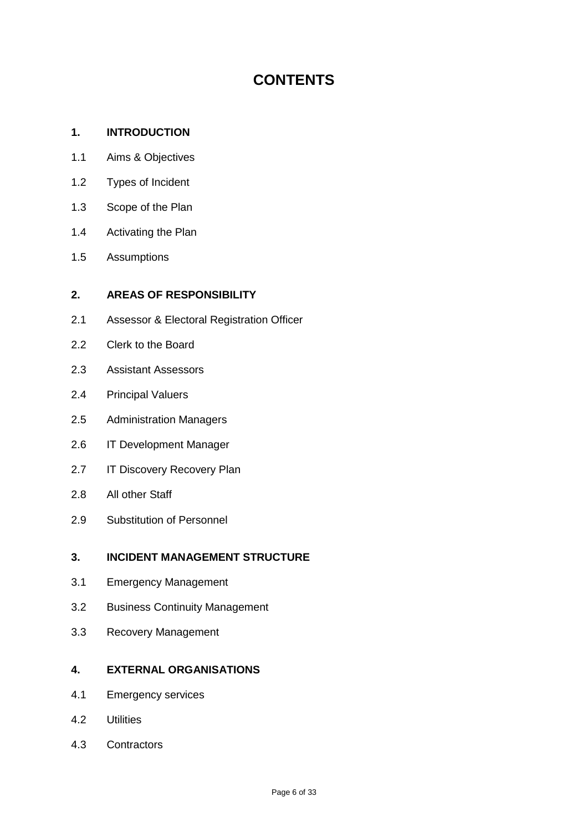# **CONTENTS**

#### **1. INTRODUCTION**

- 1.1 Aims & Objectives
- 1.2 Types of Incident
- 1.3 Scope of the Plan
- 1.4 Activating the Plan
- 1.5 Assumptions

#### **2. AREAS OF RESPONSIBILITY**

- 2.1 Assessor & Electoral Registration Officer
- 2.2 Clerk to the Board
- 2.3 Assistant Assessors
- 2.4 Principal Valuers
- 2.5 Administration Managers
- 2.6 IT Development Manager
- 2.7 IT Discovery Recovery Plan
- 2.8 All other Staff
- 2.9 Substitution of Personnel

### **3. INCIDENT MANAGEMENT STRUCTURE**

- 3.1 Emergency Management
- 3.2 Business Continuity Management
- 3.3 Recovery Management

#### **4. EXTERNAL ORGANISATIONS**

- 4.1 Emergency services
- 4.2 Utilities
- 4.3 Contractors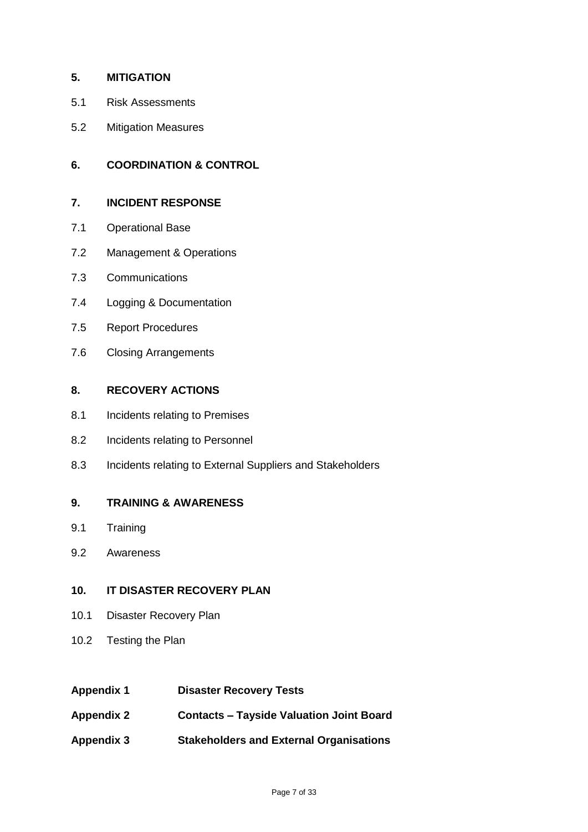### **5. MITIGATION**

- 5.1 Risk Assessments
- 5.2 Mitigation Measures

#### **6. COORDINATION & CONTROL**

#### **7. INCIDENT RESPONSE**

- 7.1 Operational Base
- 7.2 Management & Operations
- 7.3 Communications
- 7.4 Logging & Documentation
- 7.5 Report Procedures
- 7.6 Closing Arrangements

#### **8. RECOVERY ACTIONS**

- 8.1 Incidents relating to Premises
- 8.2 Incidents relating to Personnel
- 8.3 Incidents relating to External Suppliers and Stakeholders

#### **9. TRAINING & AWARENESS**

- 9.1 Training
- 9.2 Awareness

### **10. IT DISASTER RECOVERY PLAN**

- 10.1 Disaster Recovery Plan
- 10.2 Testing the Plan

| <b>Appendix 1</b> | <b>Disaster Recovery Tests</b> |  |
|-------------------|--------------------------------|--|
|-------------------|--------------------------------|--|

- **Appendix 2 Contacts – Tayside Valuation Joint Board**
- **Appendix 3 Stakeholders and External Organisations**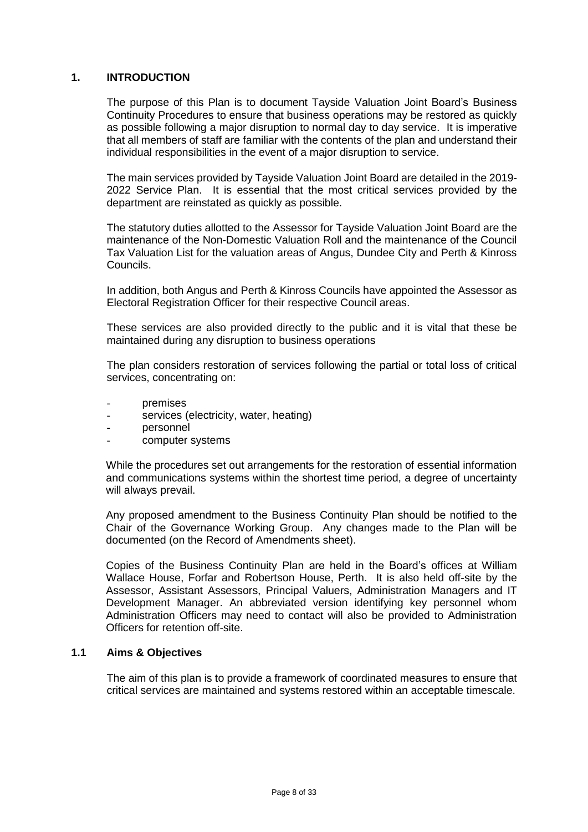#### **1. INTRODUCTION**

The purpose of this Plan is to document Tayside Valuation Joint Board's Business Continuity Procedures to ensure that business operations may be restored as quickly as possible following a major disruption to normal day to day service. It is imperative that all members of staff are familiar with the contents of the plan and understand their individual responsibilities in the event of a major disruption to service.

The main services provided by Tayside Valuation Joint Board are detailed in the 2019- 2022 Service Plan. It is essential that the most critical services provided by the department are reinstated as quickly as possible.

The statutory duties allotted to the Assessor for Tayside Valuation Joint Board are the maintenance of the Non-Domestic Valuation Roll and the maintenance of the Council Tax Valuation List for the valuation areas of Angus, Dundee City and Perth & Kinross Councils.

In addition, both Angus and Perth & Kinross Councils have appointed the Assessor as Electoral Registration Officer for their respective Council areas.

These services are also provided directly to the public and it is vital that these be maintained during any disruption to business operations

The plan considers restoration of services following the partial or total loss of critical services, concentrating on:

- premises
- services (electricity, water, heating)
- personnel
- computer systems

While the procedures set out arrangements for the restoration of essential information and communications systems within the shortest time period, a degree of uncertainty will always prevail.

Any proposed amendment to the Business Continuity Plan should be notified to the Chair of the Governance Working Group. Any changes made to the Plan will be documented (on the Record of Amendments sheet).

Copies of the Business Continuity Plan are held in the Board's offices at William Wallace House, Forfar and Robertson House, Perth. It is also held off-site by the Assessor, Assistant Assessors, Principal Valuers, Administration Managers and IT Development Manager. An abbreviated version identifying key personnel whom Administration Officers may need to contact will also be provided to Administration Officers for retention off-site.

#### **1.1 Aims & Objectives**

The aim of this plan is to provide a framework of coordinated measures to ensure that critical services are maintained and systems restored within an acceptable timescale.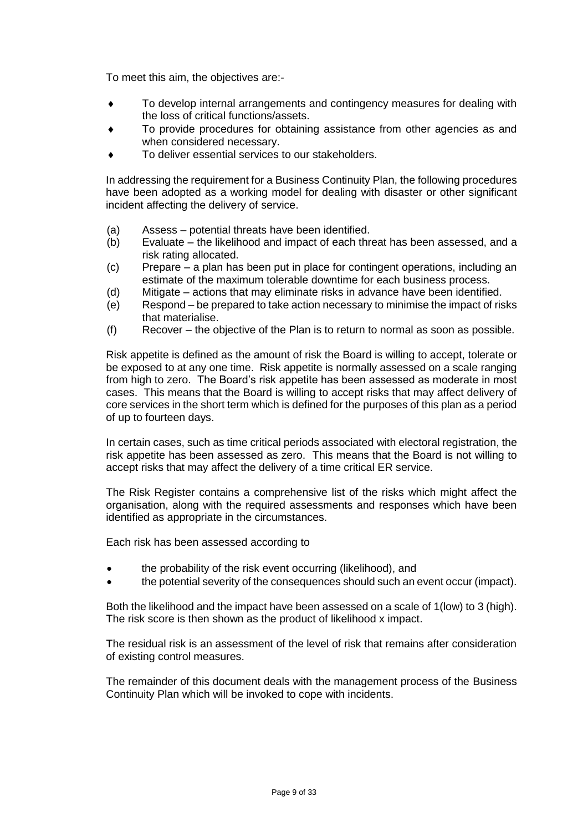To meet this aim, the objectives are:-

- To develop internal arrangements and contingency measures for dealing with the loss of critical functions/assets.
- To provide procedures for obtaining assistance from other agencies as and when considered necessary.
- To deliver essential services to our stakeholders.

In addressing the requirement for a Business Continuity Plan, the following procedures have been adopted as a working model for dealing with disaster or other significant incident affecting the delivery of service.

- (a) Assess potential threats have been identified.
- (b) Evaluate the likelihood and impact of each threat has been assessed, and a risk rating allocated.
- (c) Prepare a plan has been put in place for contingent operations, including an estimate of the maximum tolerable downtime for each business process.
- (d) Mitigate actions that may eliminate risks in advance have been identified.
- (e) Respond be prepared to take action necessary to minimise the impact of risks that materialise.
- (f) Recover the objective of the Plan is to return to normal as soon as possible.

Risk appetite is defined as the amount of risk the Board is willing to accept, tolerate or be exposed to at any one time. Risk appetite is normally assessed on a scale ranging from high to zero. The Board's risk appetite has been assessed as moderate in most cases. This means that the Board is willing to accept risks that may affect delivery of core services in the short term which is defined for the purposes of this plan as a period of up to fourteen days.

In certain cases, such as time critical periods associated with electoral registration, the risk appetite has been assessed as zero. This means that the Board is not willing to accept risks that may affect the delivery of a time critical ER service.

The Risk Register contains a comprehensive list of the risks which might affect the organisation, along with the required assessments and responses which have been identified as appropriate in the circumstances.

Each risk has been assessed according to

- the probability of the risk event occurring (likelihood), and
- the potential severity of the consequences should such an event occur (impact).

Both the likelihood and the impact have been assessed on a scale of 1(low) to 3 (high). The risk score is then shown as the product of likelihood x impact.

The residual risk is an assessment of the level of risk that remains after consideration of existing control measures.

The remainder of this document deals with the management process of the Business Continuity Plan which will be invoked to cope with incidents.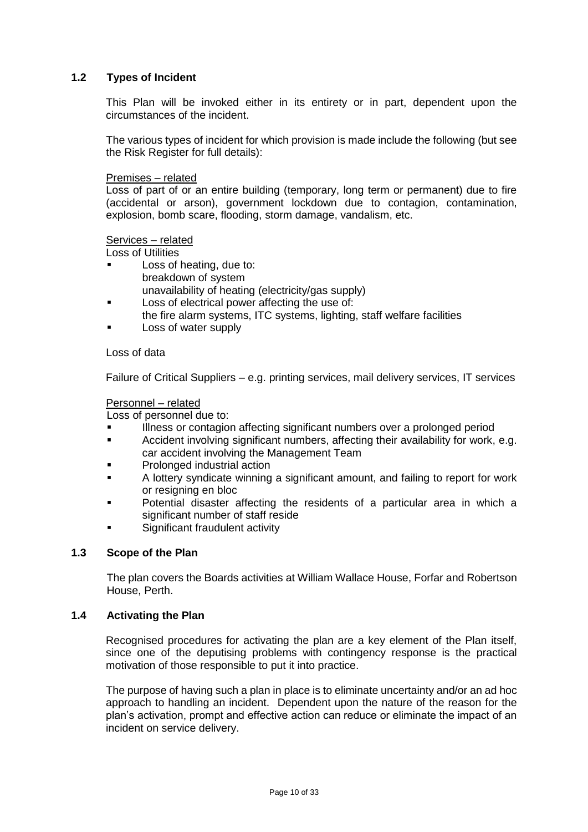#### **1.2 Types of Incident**

This Plan will be invoked either in its entirety or in part, dependent upon the circumstances of the incident.

The various types of incident for which provision is made include the following (but see the Risk Register for full details):

#### Premises – related

Loss of part of or an entire building (temporary, long term or permanent) due to fire (accidental or arson), government lockdown due to contagion, contamination, explosion, bomb scare, flooding, storm damage, vandalism, etc.

#### Services – related

Loss of Utilities

- Loss of heating, due to: breakdown of system unavailability of heating (electricity/gas supply)
- Loss of electrical power affecting the use of:
- the fire alarm systems, ITC systems, lighting, staff welfare facilities
- Loss of water supply

#### Loss of data

Failure of Critical Suppliers – e.g. printing services, mail delivery services, IT services

#### Personnel – related

Loss of personnel due to:

- Illness or contagion affecting significant numbers over a prolonged period
- Accident involving significant numbers, affecting their availability for work, e.g. car accident involving the Management Team
- Prolonged industrial action
- A lottery syndicate winning a significant amount, and failing to report for work or resigning en bloc
- Potential disaster affecting the residents of a particular area in which a significant number of staff reside
- Significant fraudulent activity

#### **1.3 Scope of the Plan**

The plan covers the Boards activities at William Wallace House, Forfar and Robertson House, Perth.

#### **1.4 Activating the Plan**

Recognised procedures for activating the plan are a key element of the Plan itself, since one of the deputising problems with contingency response is the practical motivation of those responsible to put it into practice.

The purpose of having such a plan in place is to eliminate uncertainty and/or an ad hoc approach to handling an incident. Dependent upon the nature of the reason for the plan's activation, prompt and effective action can reduce or eliminate the impact of an incident on service delivery.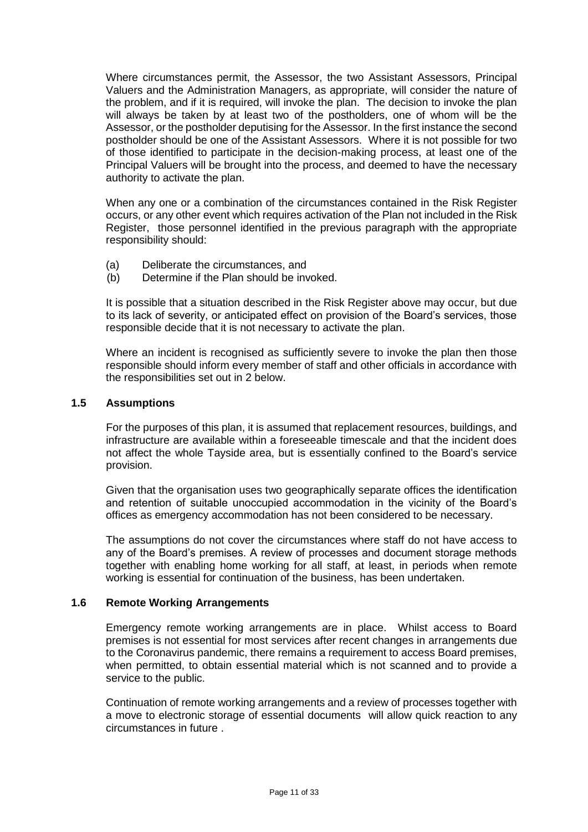Where circumstances permit, the Assessor, the two Assistant Assessors, Principal Valuers and the Administration Managers, as appropriate, will consider the nature of the problem, and if it is required, will invoke the plan. The decision to invoke the plan will always be taken by at least two of the postholders, one of whom will be the Assessor, or the postholder deputising for the Assessor. In the first instance the second postholder should be one of the Assistant Assessors. Where it is not possible for two of those identified to participate in the decision-making process, at least one of the Principal Valuers will be brought into the process, and deemed to have the necessary authority to activate the plan.

When any one or a combination of the circumstances contained in the Risk Register occurs, or any other event which requires activation of the Plan not included in the Risk Register, those personnel identified in the previous paragraph with the appropriate responsibility should:

- (a) Deliberate the circumstances, and
- (b) Determine if the Plan should be invoked.

It is possible that a situation described in the Risk Register above may occur, but due to its lack of severity, or anticipated effect on provision of the Board's services, those responsible decide that it is not necessary to activate the plan.

Where an incident is recognised as sufficiently severe to invoke the plan then those responsible should inform every member of staff and other officials in accordance with the responsibilities set out in 2 below.

#### **1.5 Assumptions**

For the purposes of this plan, it is assumed that replacement resources, buildings, and infrastructure are available within a foreseeable timescale and that the incident does not affect the whole Tayside area, but is essentially confined to the Board's service provision.

Given that the organisation uses two geographically separate offices the identification and retention of suitable unoccupied accommodation in the vicinity of the Board's offices as emergency accommodation has not been considered to be necessary.

The assumptions do not cover the circumstances where staff do not have access to any of the Board's premises. A review of processes and document storage methods together with enabling home working for all staff, at least, in periods when remote working is essential for continuation of the business, has been undertaken.

#### **1.6 Remote Working Arrangements**

Emergency remote working arrangements are in place. Whilst access to Board premises is not essential for most services after recent changes in arrangements due to the Coronavirus pandemic, there remains a requirement to access Board premises, when permitted, to obtain essential material which is not scanned and to provide a service to the public.

Continuation of remote working arrangements and a review of processes together with a move to electronic storage of essential documents will allow quick reaction to any circumstances in future .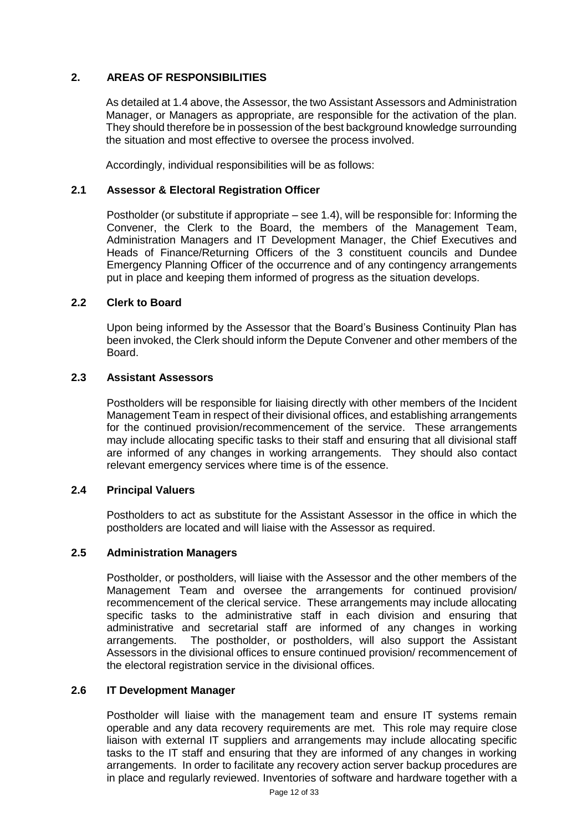#### **2. AREAS OF RESPONSIBILITIES**

As detailed at 1.4 above, the Assessor, the two Assistant Assessors and Administration Manager, or Managers as appropriate, are responsible for the activation of the plan. They should therefore be in possession of the best background knowledge surrounding the situation and most effective to oversee the process involved.

Accordingly, individual responsibilities will be as follows:

#### **2.1 Assessor & Electoral Registration Officer**

Postholder (or substitute if appropriate – see 1.4), will be responsible for: Informing the Convener, the Clerk to the Board, the members of the Management Team, Administration Managers and IT Development Manager, the Chief Executives and Heads of Finance/Returning Officers of the 3 constituent councils and Dundee Emergency Planning Officer of the occurrence and of any contingency arrangements put in place and keeping them informed of progress as the situation develops.

#### **2.2 Clerk to Board**

Upon being informed by the Assessor that the Board's Business Continuity Plan has been invoked, the Clerk should inform the Depute Convener and other members of the Board.

#### **2.3 Assistant Assessors**

Postholders will be responsible for liaising directly with other members of the Incident Management Team in respect of their divisional offices, and establishing arrangements for the continued provision/recommencement of the service. These arrangements may include allocating specific tasks to their staff and ensuring that all divisional staff are informed of any changes in working arrangements. They should also contact relevant emergency services where time is of the essence.

#### **2.4 Principal Valuers**

Postholders to act as substitute for the Assistant Assessor in the office in which the postholders are located and will liaise with the Assessor as required.

#### **2.5 Administration Managers**

Postholder, or postholders, will liaise with the Assessor and the other members of the Management Team and oversee the arrangements for continued provision/ recommencement of the clerical service. These arrangements may include allocating specific tasks to the administrative staff in each division and ensuring that administrative and secretarial staff are informed of any changes in working arrangements. The postholder, or postholders, will also support the Assistant Assessors in the divisional offices to ensure continued provision/ recommencement of the electoral registration service in the divisional offices.

#### **2.6 IT Development Manager**

Postholder will liaise with the management team and ensure IT systems remain operable and any data recovery requirements are met. This role may require close liaison with external IT suppliers and arrangements may include allocating specific tasks to the IT staff and ensuring that they are informed of any changes in working arrangements. In order to facilitate any recovery action server backup procedures are in place and regularly reviewed. Inventories of software and hardware together with a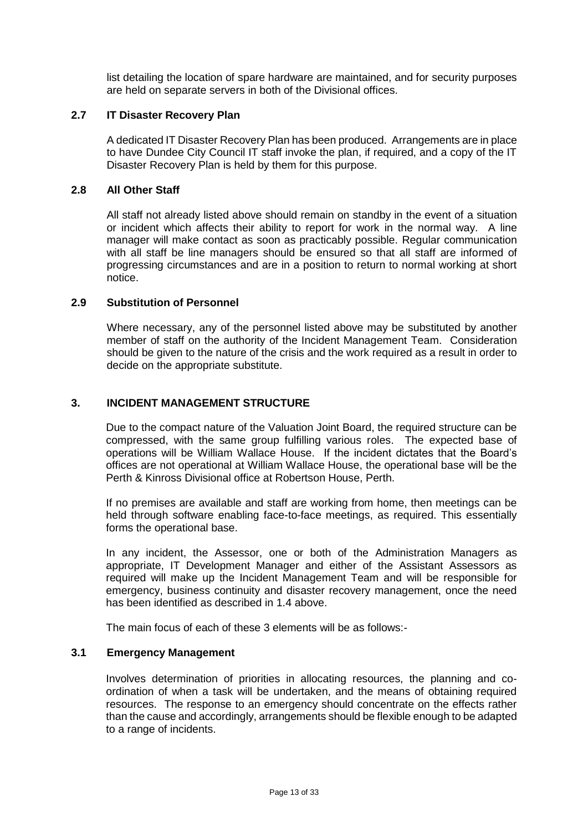list detailing the location of spare hardware are maintained, and for security purposes are held on separate servers in both of the Divisional offices.

#### **2.7 IT Disaster Recovery Plan**

A dedicated IT Disaster Recovery Plan has been produced. Arrangements are in place to have Dundee City Council IT staff invoke the plan, if required, and a copy of the IT Disaster Recovery Plan is held by them for this purpose.

#### **2.8 All Other Staff**

All staff not already listed above should remain on standby in the event of a situation or incident which affects their ability to report for work in the normal way. A line manager will make contact as soon as practicably possible. Regular communication with all staff be line managers should be ensured so that all staff are informed of progressing circumstances and are in a position to return to normal working at short notice.

#### **2.9 Substitution of Personnel**

Where necessary, any of the personnel listed above may be substituted by another member of staff on the authority of the Incident Management Team. Consideration should be given to the nature of the crisis and the work required as a result in order to decide on the appropriate substitute.

#### **3. INCIDENT MANAGEMENT STRUCTURE**

Due to the compact nature of the Valuation Joint Board, the required structure can be compressed, with the same group fulfilling various roles. The expected base of operations will be William Wallace House. If the incident dictates that the Board's offices are not operational at William Wallace House, the operational base will be the Perth & Kinross Divisional office at Robertson House, Perth.

If no premises are available and staff are working from home, then meetings can be held through software enabling face-to-face meetings, as required. This essentially forms the operational base.

In any incident, the Assessor, one or both of the Administration Managers as appropriate, IT Development Manager and either of the Assistant Assessors as required will make up the Incident Management Team and will be responsible for emergency, business continuity and disaster recovery management, once the need has been identified as described in 1.4 above.

The main focus of each of these 3 elements will be as follows:-

#### **3.1 Emergency Management**

Involves determination of priorities in allocating resources, the planning and coordination of when a task will be undertaken, and the means of obtaining required resources. The response to an emergency should concentrate on the effects rather than the cause and accordingly, arrangements should be flexible enough to be adapted to a range of incidents.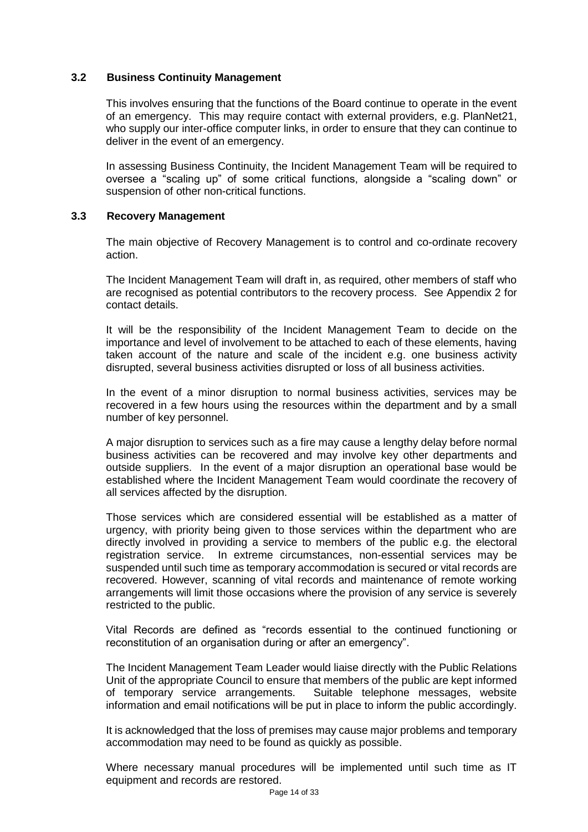#### **3.2 Business Continuity Management**

This involves ensuring that the functions of the Board continue to operate in the event of an emergency. This may require contact with external providers, e.g. PlanNet21, who supply our inter-office computer links, in order to ensure that they can continue to deliver in the event of an emergency.

In assessing Business Continuity, the Incident Management Team will be required to oversee a "scaling up" of some critical functions, alongside a "scaling down" or suspension of other non-critical functions.

#### **3.3 Recovery Management**

The main objective of Recovery Management is to control and co-ordinate recovery action.

The Incident Management Team will draft in, as required, other members of staff who are recognised as potential contributors to the recovery process. See Appendix 2 for contact details.

It will be the responsibility of the Incident Management Team to decide on the importance and level of involvement to be attached to each of these elements, having taken account of the nature and scale of the incident e.g. one business activity disrupted, several business activities disrupted or loss of all business activities.

In the event of a minor disruption to normal business activities, services may be recovered in a few hours using the resources within the department and by a small number of key personnel.

A major disruption to services such as a fire may cause a lengthy delay before normal business activities can be recovered and may involve key other departments and outside suppliers. In the event of a major disruption an operational base would be established where the Incident Management Team would coordinate the recovery of all services affected by the disruption.

Those services which are considered essential will be established as a matter of urgency, with priority being given to those services within the department who are directly involved in providing a service to members of the public e.g. the electoral registration service. In extreme circumstances, non-essential services may be suspended until such time as temporary accommodation is secured or vital records are recovered. However, scanning of vital records and maintenance of remote working arrangements will limit those occasions where the provision of any service is severely restricted to the public.

Vital Records are defined as "records essential to the continued functioning or reconstitution of an organisation during or after an emergency".

The Incident Management Team Leader would liaise directly with the Public Relations Unit of the appropriate Council to ensure that members of the public are kept informed of temporary service arrangements. Suitable telephone messages, website information and email notifications will be put in place to inform the public accordingly.

It is acknowledged that the loss of premises may cause major problems and temporary accommodation may need to be found as quickly as possible.

Where necessary manual procedures will be implemented until such time as IT equipment and records are restored.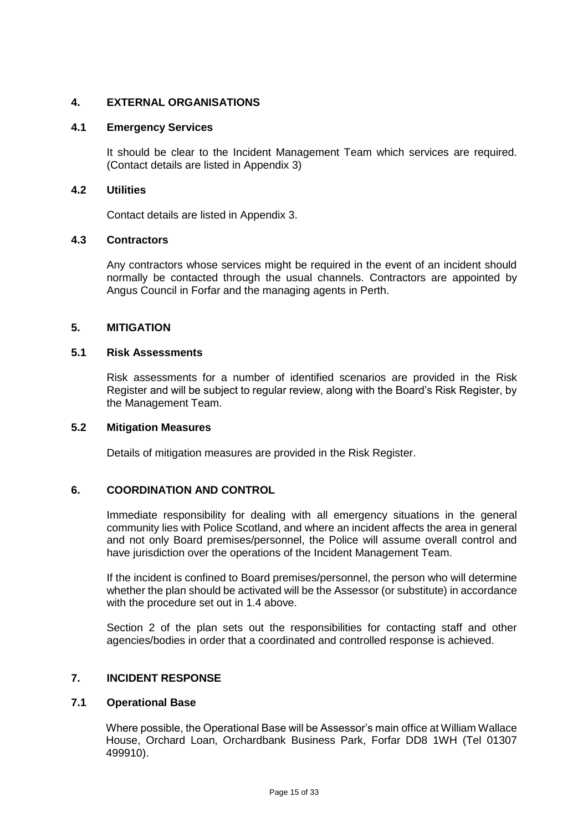#### **4. EXTERNAL ORGANISATIONS**

#### **4.1 Emergency Services**

It should be clear to the Incident Management Team which services are required. (Contact details are listed in Appendix 3)

#### **4.2 Utilities**

Contact details are listed in Appendix 3.

#### **4.3 Contractors**

Any contractors whose services might be required in the event of an incident should normally be contacted through the usual channels. Contractors are appointed by Angus Council in Forfar and the managing agents in Perth.

#### **5. MITIGATION**

#### **5.1 Risk Assessments**

Risk assessments for a number of identified scenarios are provided in the Risk Register and will be subject to regular review, along with the Board's Risk Register, by the Management Team.

#### **5.2 Mitigation Measures**

Details of mitigation measures are provided in the Risk Register.

#### **6. COORDINATION AND CONTROL**

Immediate responsibility for dealing with all emergency situations in the general community lies with Police Scotland, and where an incident affects the area in general and not only Board premises/personnel, the Police will assume overall control and have jurisdiction over the operations of the Incident Management Team.

If the incident is confined to Board premises/personnel, the person who will determine whether the plan should be activated will be the Assessor (or substitute) in accordance with the procedure set out in 1.4 above.

Section 2 of the plan sets out the responsibilities for contacting staff and other agencies/bodies in order that a coordinated and controlled response is achieved.

#### **7. INCIDENT RESPONSE**

#### **7.1 Operational Base**

Where possible, the Operational Base will be Assessor's main office at William Wallace House, Orchard Loan, Orchardbank Business Park, Forfar DD8 1WH (Tel 01307 499910).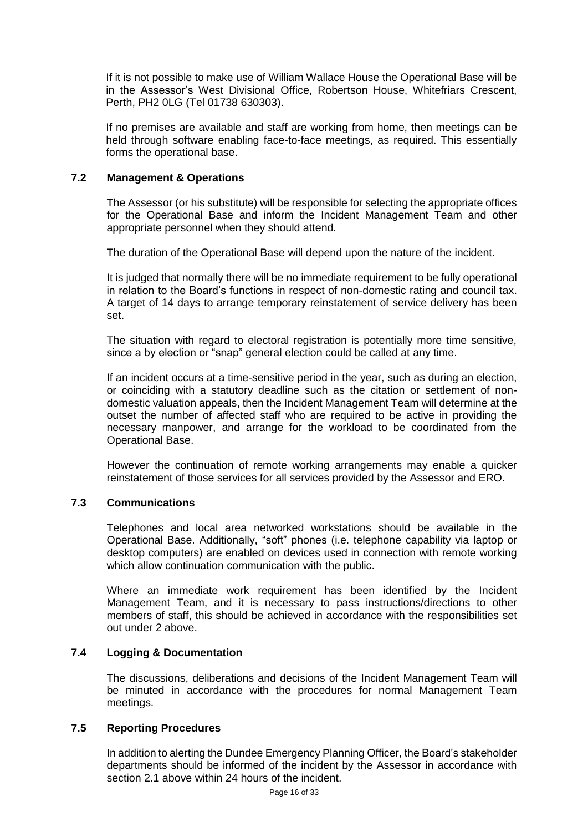If it is not possible to make use of William Wallace House the Operational Base will be in the Assessor's West Divisional Office, Robertson House, Whitefriars Crescent, Perth, PH2 0LG (Tel 01738 630303).

If no premises are available and staff are working from home, then meetings can be held through software enabling face-to-face meetings, as required. This essentially forms the operational base.

#### **7.2 Management & Operations**

The Assessor (or his substitute) will be responsible for selecting the appropriate offices for the Operational Base and inform the Incident Management Team and other appropriate personnel when they should attend.

The duration of the Operational Base will depend upon the nature of the incident.

It is judged that normally there will be no immediate requirement to be fully operational in relation to the Board's functions in respect of non-domestic rating and council tax. A target of 14 days to arrange temporary reinstatement of service delivery has been set.

The situation with regard to electoral registration is potentially more time sensitive, since a by election or "snap" general election could be called at any time.

If an incident occurs at a time-sensitive period in the year, such as during an election, or coinciding with a statutory deadline such as the citation or settlement of nondomestic valuation appeals, then the Incident Management Team will determine at the outset the number of affected staff who are required to be active in providing the necessary manpower, and arrange for the workload to be coordinated from the Operational Base.

However the continuation of remote working arrangements may enable a quicker reinstatement of those services for all services provided by the Assessor and ERO.

#### **7.3 Communications**

Telephones and local area networked workstations should be available in the Operational Base. Additionally, "soft" phones (i.e. telephone capability via laptop or desktop computers) are enabled on devices used in connection with remote working which allow continuation communication with the public.

Where an immediate work requirement has been identified by the Incident Management Team, and it is necessary to pass instructions/directions to other members of staff, this should be achieved in accordance with the responsibilities set out under 2 above.

#### **7.4 Logging & Documentation**

The discussions, deliberations and decisions of the Incident Management Team will be minuted in accordance with the procedures for normal Management Team meetings.

#### **7.5 Reporting Procedures**

In addition to alerting the Dundee Emergency Planning Officer, the Board's stakeholder departments should be informed of the incident by the Assessor in accordance with section 2.1 above within 24 hours of the incident.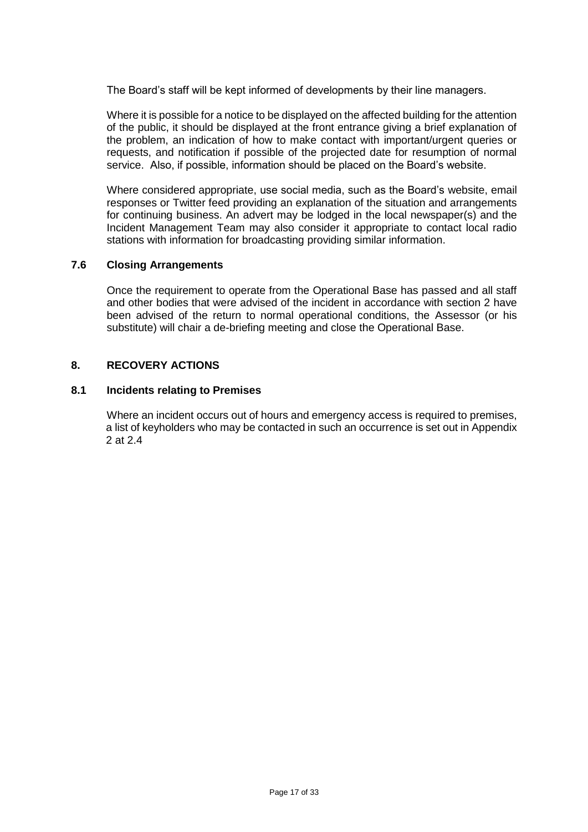The Board's staff will be kept informed of developments by their line managers.

Where it is possible for a notice to be displayed on the affected building for the attention of the public, it should be displayed at the front entrance giving a brief explanation of the problem, an indication of how to make contact with important/urgent queries or requests, and notification if possible of the projected date for resumption of normal service. Also, if possible, information should be placed on the Board's website.

Where considered appropriate, use social media, such as the Board's website, email responses or Twitter feed providing an explanation of the situation and arrangements for continuing business. An advert may be lodged in the local newspaper(s) and the Incident Management Team may also consider it appropriate to contact local radio stations with information for broadcasting providing similar information.

#### **7.6 Closing Arrangements**

Once the requirement to operate from the Operational Base has passed and all staff and other bodies that were advised of the incident in accordance with section 2 have been advised of the return to normal operational conditions, the Assessor (or his substitute) will chair a de-briefing meeting and close the Operational Base.

#### **8. RECOVERY ACTIONS**

#### **8.1 Incidents relating to Premises**

Where an incident occurs out of hours and emergency access is required to premises, a list of keyholders who may be contacted in such an occurrence is set out in Appendix 2 at 2.4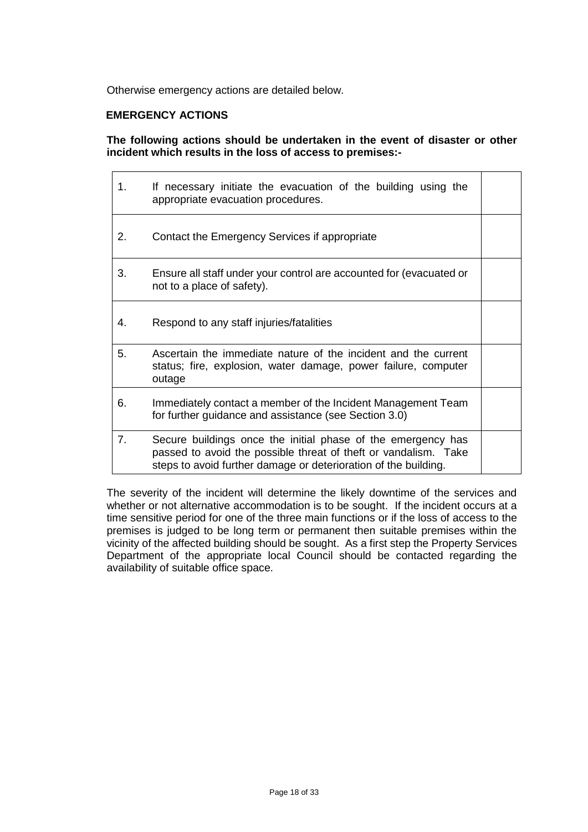Otherwise emergency actions are detailed below.

#### **EMERGENCY ACTIONS**

#### **The following actions should be undertaken in the event of disaster or other incident which results in the loss of access to premises:-**

| 1. | If necessary initiate the evacuation of the building using the<br>appropriate evacuation procedures.                                                                                               |  |
|----|----------------------------------------------------------------------------------------------------------------------------------------------------------------------------------------------------|--|
| 2. | Contact the Emergency Services if appropriate                                                                                                                                                      |  |
| 3. | Ensure all staff under your control are accounted for (evacuated or<br>not to a place of safety).                                                                                                  |  |
| 4. | Respond to any staff injuries/fatalities                                                                                                                                                           |  |
| 5. | Ascertain the immediate nature of the incident and the current<br>status; fire, explosion, water damage, power failure, computer<br>outage                                                         |  |
| 6. | Immediately contact a member of the Incident Management Team<br>for further guidance and assistance (see Section 3.0)                                                                              |  |
| 7. | Secure buildings once the initial phase of the emergency has<br>passed to avoid the possible threat of theft or vandalism. Take<br>steps to avoid further damage or deterioration of the building. |  |

The severity of the incident will determine the likely downtime of the services and whether or not alternative accommodation is to be sought. If the incident occurs at a time sensitive period for one of the three main functions or if the loss of access to the premises is judged to be long term or permanent then suitable premises within the vicinity of the affected building should be sought. As a first step the Property Services Department of the appropriate local Council should be contacted regarding the availability of suitable office space.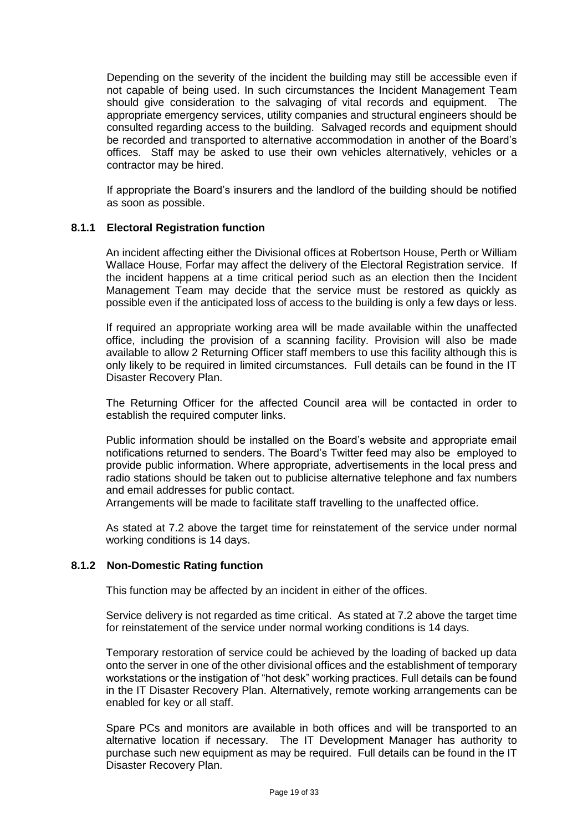Depending on the severity of the incident the building may still be accessible even if not capable of being used. In such circumstances the Incident Management Team should give consideration to the salvaging of vital records and equipment. The appropriate emergency services, utility companies and structural engineers should be consulted regarding access to the building. Salvaged records and equipment should be recorded and transported to alternative accommodation in another of the Board's offices. Staff may be asked to use their own vehicles alternatively, vehicles or a contractor may be hired.

If appropriate the Board's insurers and the landlord of the building should be notified as soon as possible.

#### **8.1.1 Electoral Registration function**

An incident affecting either the Divisional offices at Robertson House, Perth or William Wallace House, Forfar may affect the delivery of the Electoral Registration service. If the incident happens at a time critical period such as an election then the Incident Management Team may decide that the service must be restored as quickly as possible even if the anticipated loss of access to the building is only a few days or less.

If required an appropriate working area will be made available within the unaffected office, including the provision of a scanning facility. Provision will also be made available to allow 2 Returning Officer staff members to use this facility although this is only likely to be required in limited circumstances. Full details can be found in the IT Disaster Recovery Plan.

The Returning Officer for the affected Council area will be contacted in order to establish the required computer links.

Public information should be installed on the Board's website and appropriate email notifications returned to senders. The Board's Twitter feed may also be employed to provide public information. Where appropriate, advertisements in the local press and radio stations should be taken out to publicise alternative telephone and fax numbers and email addresses for public contact.

Arrangements will be made to facilitate staff travelling to the unaffected office.

As stated at 7.2 above the target time for reinstatement of the service under normal working conditions is 14 days.

#### **8.1.2 Non-Domestic Rating function**

This function may be affected by an incident in either of the offices.

Service delivery is not regarded as time critical. As stated at 7.2 above the target time for reinstatement of the service under normal working conditions is 14 days.

Temporary restoration of service could be achieved by the loading of backed up data onto the server in one of the other divisional offices and the establishment of temporary workstations or the instigation of "hot desk" working practices. Full details can be found in the IT Disaster Recovery Plan. Alternatively, remote working arrangements can be enabled for key or all staff.

Spare PCs and monitors are available in both offices and will be transported to an alternative location if necessary. The IT Development Manager has authority to purchase such new equipment as may be required. Full details can be found in the IT Disaster Recovery Plan.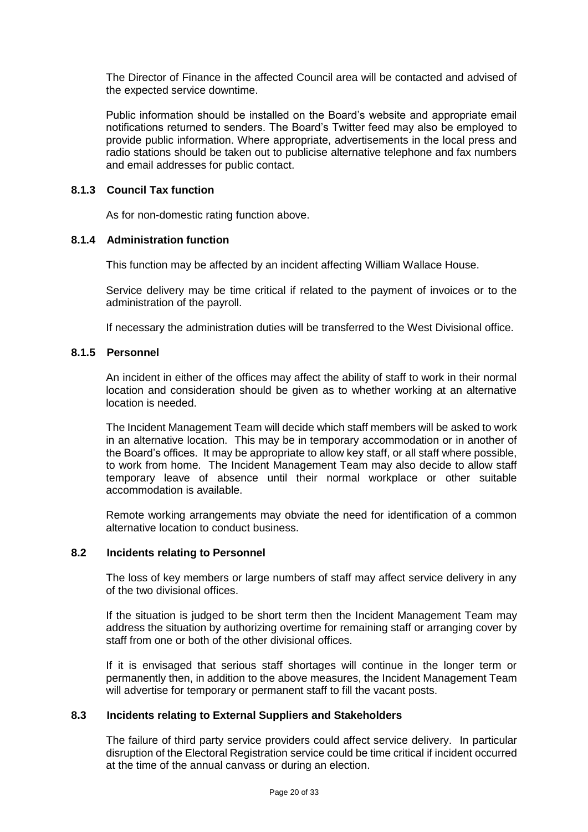The Director of Finance in the affected Council area will be contacted and advised of the expected service downtime.

Public information should be installed on the Board's website and appropriate email notifications returned to senders. The Board's Twitter feed may also be employed to provide public information. Where appropriate, advertisements in the local press and radio stations should be taken out to publicise alternative telephone and fax numbers and email addresses for public contact.

#### **8.1.3 Council Tax function**

As for non-domestic rating function above.

#### **8.1.4 Administration function**

This function may be affected by an incident affecting William Wallace House.

Service delivery may be time critical if related to the payment of invoices or to the administration of the payroll.

If necessary the administration duties will be transferred to the West Divisional office.

#### **8.1.5 Personnel**

An incident in either of the offices may affect the ability of staff to work in their normal location and consideration should be given as to whether working at an alternative location is needed.

The Incident Management Team will decide which staff members will be asked to work in an alternative location. This may be in temporary accommodation or in another of the Board's offices. It may be appropriate to allow key staff, or all staff where possible, to work from home. The Incident Management Team may also decide to allow staff temporary leave of absence until their normal workplace or other suitable accommodation is available.

Remote working arrangements may obviate the need for identification of a common alternative location to conduct business.

#### **8.2 Incidents relating to Personnel**

The loss of key members or large numbers of staff may affect service delivery in any of the two divisional offices.

If the situation is judged to be short term then the Incident Management Team may address the situation by authorizing overtime for remaining staff or arranging cover by staff from one or both of the other divisional offices.

If it is envisaged that serious staff shortages will continue in the longer term or permanently then, in addition to the above measures, the Incident Management Team will advertise for temporary or permanent staff to fill the vacant posts.

#### **8.3 Incidents relating to External Suppliers and Stakeholders**

The failure of third party service providers could affect service delivery. In particular disruption of the Electoral Registration service could be time critical if incident occurred at the time of the annual canvass or during an election.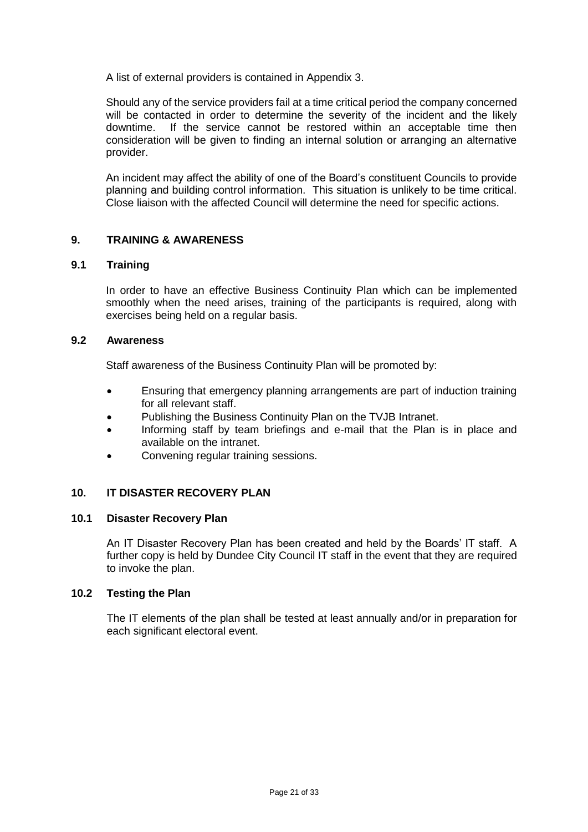A list of external providers is contained in Appendix 3.

Should any of the service providers fail at a time critical period the company concerned will be contacted in order to determine the severity of the incident and the likely downtime. If the service cannot be restored within an acceptable time then consideration will be given to finding an internal solution or arranging an alternative provider.

An incident may affect the ability of one of the Board's constituent Councils to provide planning and building control information. This situation is unlikely to be time critical. Close liaison with the affected Council will determine the need for specific actions.

### **9. TRAINING & AWARENESS**

#### **9.1 Training**

In order to have an effective Business Continuity Plan which can be implemented smoothly when the need arises, training of the participants is required, along with exercises being held on a regular basis.

#### **9.2 Awareness**

Staff awareness of the Business Continuity Plan will be promoted by:

- Ensuring that emergency planning arrangements are part of induction training for all relevant staff.
- Publishing the Business Continuity Plan on the TVJB Intranet.
- Informing staff by team briefings and e-mail that the Plan is in place and available on the intranet.
- Convening regular training sessions.

#### **10. IT DISASTER RECOVERY PLAN**

#### **10.1 Disaster Recovery Plan**

An IT Disaster Recovery Plan has been created and held by the Boards' IT staff. A further copy is held by Dundee City Council IT staff in the event that they are required to invoke the plan.

#### **10.2 Testing the Plan**

The IT elements of the plan shall be tested at least annually and/or in preparation for each significant electoral event.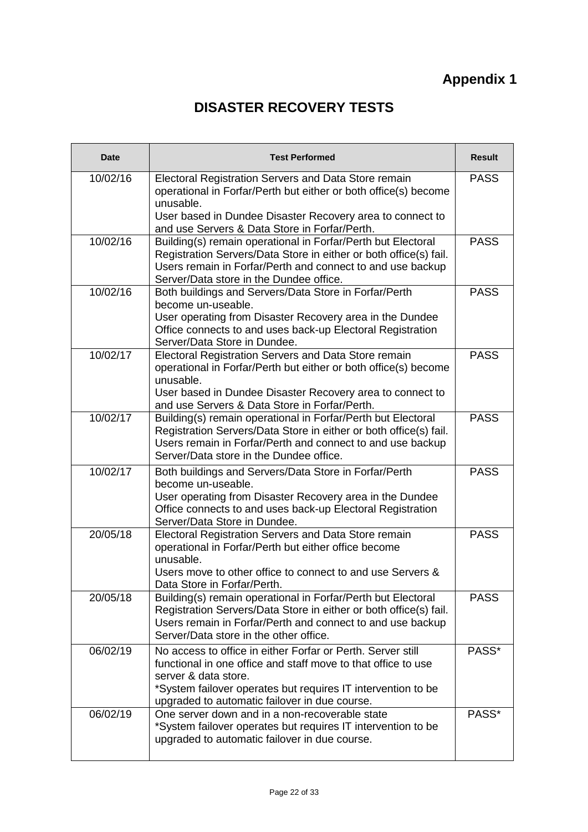# **Appendix 1**

# **DISASTER RECOVERY TESTS**

| <b>Date</b> | <b>Test Performed</b>                                                                                                                                                                                                                                                 | <b>Result</b> |
|-------------|-----------------------------------------------------------------------------------------------------------------------------------------------------------------------------------------------------------------------------------------------------------------------|---------------|
| 10/02/16    | Electoral Registration Servers and Data Store remain<br>operational in Forfar/Perth but either or both office(s) become<br>unusable.<br>User based in Dundee Disaster Recovery area to connect to<br>and use Servers & Data Store in Forfar/Perth.                    | <b>PASS</b>   |
| 10/02/16    | Building(s) remain operational in Forfar/Perth but Electoral<br>Registration Servers/Data Store in either or both office(s) fail.<br>Users remain in Forfar/Perth and connect to and use backup<br>Server/Data store in the Dundee office.                            | <b>PASS</b>   |
| 10/02/16    | Both buildings and Servers/Data Store in Forfar/Perth<br>become un-useable.<br>User operating from Disaster Recovery area in the Dundee<br>Office connects to and uses back-up Electoral Registration<br>Server/Data Store in Dundee.                                 | <b>PASS</b>   |
| 10/02/17    | Electoral Registration Servers and Data Store remain<br>operational in Forfar/Perth but either or both office(s) become<br>unusable.<br>User based in Dundee Disaster Recovery area to connect to<br>and use Servers & Data Store in Forfar/Perth.                    | <b>PASS</b>   |
| 10/02/17    | Building(s) remain operational in Forfar/Perth but Electoral<br>Registration Servers/Data Store in either or both office(s) fail.<br>Users remain in Forfar/Perth and connect to and use backup<br>Server/Data store in the Dundee office.                            | <b>PASS</b>   |
| 10/02/17    | Both buildings and Servers/Data Store in Forfar/Perth<br>become un-useable.<br>User operating from Disaster Recovery area in the Dundee<br>Office connects to and uses back-up Electoral Registration<br>Server/Data Store in Dundee.                                 | <b>PASS</b>   |
| 20/05/18    | Electoral Registration Servers and Data Store remain<br>operational in Forfar/Perth but either office become<br>unusable.<br>Users move to other office to connect to and use Servers &<br>Data Store in Forfar/Perth.                                                | <b>PASS</b>   |
| 20/05/18    | Building(s) remain operational in Forfar/Perth but Electoral<br>Registration Servers/Data Store in either or both office(s) fail.<br>Users remain in Forfar/Perth and connect to and use backup<br>Server/Data store in the other office.                             | <b>PASS</b>   |
| 06/02/19    | No access to office in either Forfar or Perth. Server still<br>functional in one office and staff move to that office to use<br>server & data store.<br>*System failover operates but requires IT intervention to be<br>upgraded to automatic failover in due course. | PASS*         |
| 06/02/19    | One server down and in a non-recoverable state<br>*System failover operates but requires IT intervention to be<br>upgraded to automatic failover in due course.                                                                                                       | PASS*         |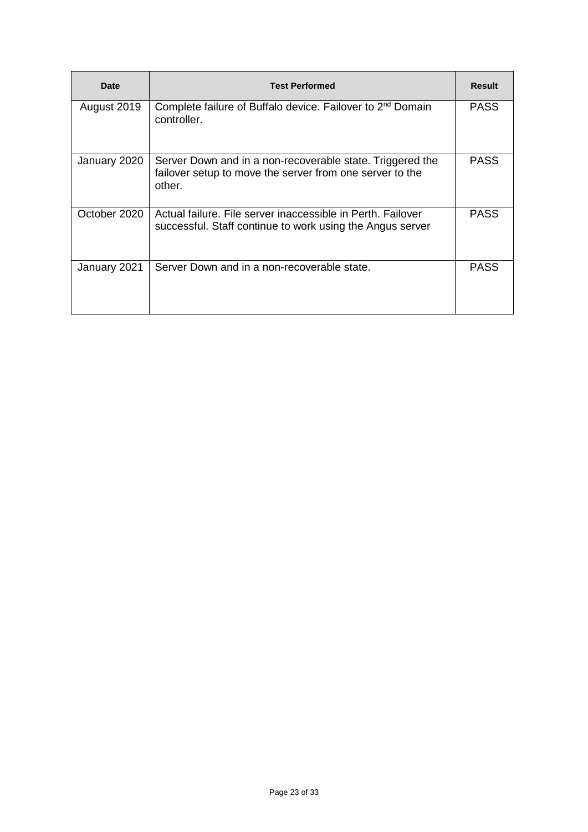| Date         | <b>Test Performed</b>                                                                                                           | <b>Result</b> |
|--------------|---------------------------------------------------------------------------------------------------------------------------------|---------------|
| August 2019  | Complete failure of Buffalo device. Failover to 2 <sup>nd</sup> Domain<br>controller.                                           | <b>PASS</b>   |
| January 2020 | Server Down and in a non-recoverable state. Triggered the<br>failover setup to move the server from one server to the<br>other. | <b>PASS</b>   |
| October 2020 | Actual failure. File server inaccessible in Perth. Failover<br>successful. Staff continue to work using the Angus server        | <b>PASS</b>   |
| January 2021 | Server Down and in a non-recoverable state.                                                                                     | <b>PASS</b>   |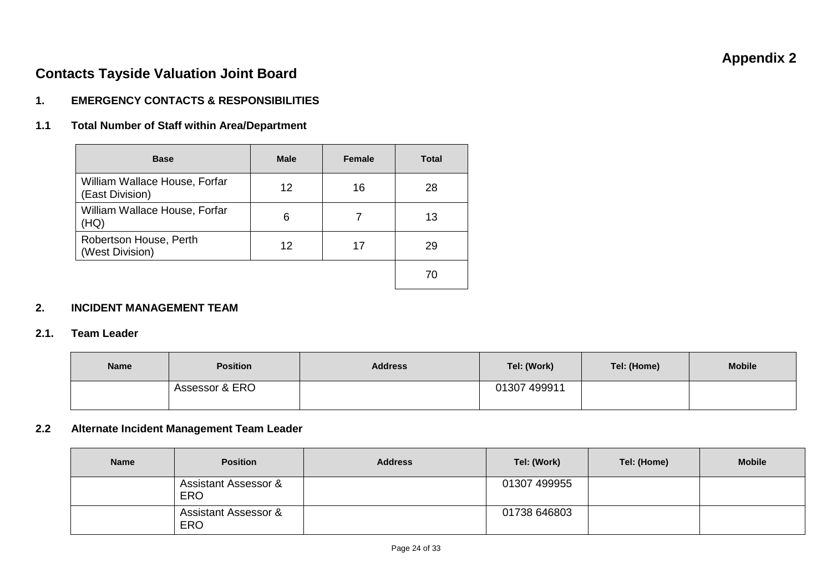# **Appendix 2**

# **Contacts Tayside Valuation Joint Board**

### **1. EMERGENCY CONTACTS & RESPONSIBILITIES**

### **1.1 Total Number of Staff within Area/Department**

| <b>Base</b>                                      | <b>Male</b> | <b>Female</b> | <b>Total</b> |
|--------------------------------------------------|-------------|---------------|--------------|
| William Wallace House, Forfar<br>(East Division) | 12          | 16            | 28           |
| William Wallace House, Forfar<br>(HQ)            | 6           |               | 13           |
| Robertson House, Perth<br>(West Division)        | 12          | 17            | 29           |
|                                                  |             |               | 70           |

### **2. INCIDENT MANAGEMENT TEAM**

#### **2.1. Team Leader**

| <b>Name</b> | <b>Position</b> | <b>Address</b> | Tel: (Work)  | Tel: (Home) | <b>Mobile</b> |
|-------------|-----------------|----------------|--------------|-------------|---------------|
|             | Assessor & ERO  |                | 01307 499911 |             |               |

#### **2.2 Alternate Incident Management Team Leader**

| <b>Name</b> | <b>Position</b>                               | <b>Address</b> | Tel: (Work)  | Tel: (Home) | <b>Mobile</b> |
|-------------|-----------------------------------------------|----------------|--------------|-------------|---------------|
|             | <b>Assistant Assessor &amp;</b><br><b>ERO</b> |                | 01307 499955 |             |               |
|             | <b>Assistant Assessor &amp;</b><br><b>ERO</b> |                | 01738 646803 |             |               |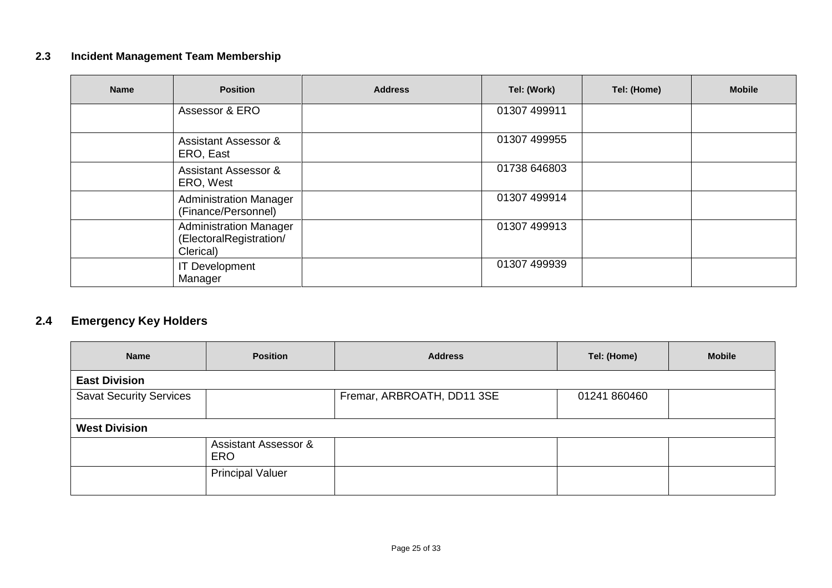# **2.3 Incident Management Team Membership**

| <b>Name</b> | <b>Position</b>                                                       | <b>Address</b> | Tel: (Work)  | Tel: (Home) | <b>Mobile</b> |
|-------------|-----------------------------------------------------------------------|----------------|--------------|-------------|---------------|
|             | Assessor & ERO                                                        |                | 01307 499911 |             |               |
|             | Assistant Assessor &<br>ERO, East                                     |                | 01307 499955 |             |               |
|             | <b>Assistant Assessor &amp;</b><br>ERO, West                          |                | 01738 646803 |             |               |
|             | <b>Administration Manager</b><br>(Finance/Personnel)                  |                | 01307 499914 |             |               |
|             | <b>Administration Manager</b><br>(ElectoralRegistration/<br>Clerical) |                | 01307 499913 |             |               |
|             | <b>IT Development</b><br>Manager                                      |                | 01307 499939 |             |               |

# **2.4 Emergency Key Holders**

| <b>Name</b>                    | <b>Position</b>                               | <b>Address</b>             | Tel: (Home)  | <b>Mobile</b> |  |  |  |
|--------------------------------|-----------------------------------------------|----------------------------|--------------|---------------|--|--|--|
| <b>East Division</b>           |                                               |                            |              |               |  |  |  |
| <b>Savat Security Services</b> |                                               | Fremar, ARBROATH, DD11 3SE | 01241 860460 |               |  |  |  |
| <b>West Division</b>           |                                               |                            |              |               |  |  |  |
|                                | <b>Assistant Assessor &amp;</b><br><b>ERO</b> |                            |              |               |  |  |  |
|                                | <b>Principal Valuer</b>                       |                            |              |               |  |  |  |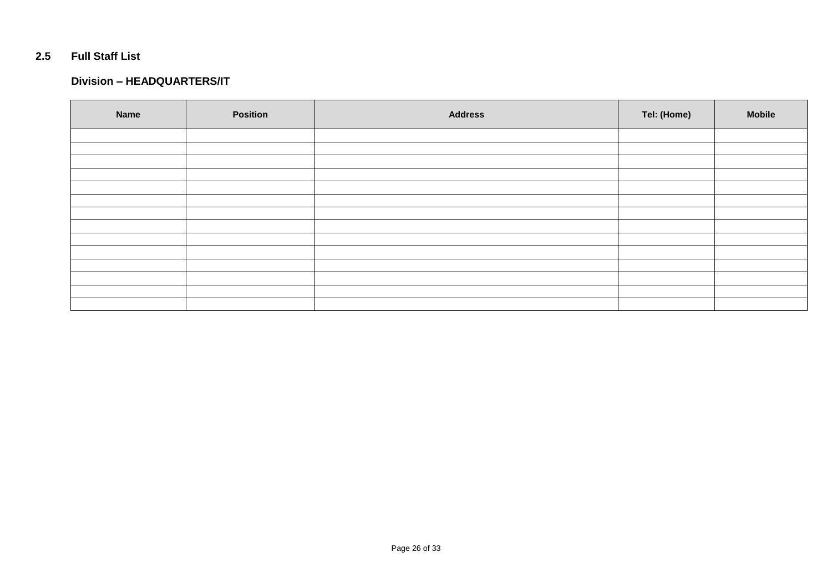### **2.5 Full Staff List**

#### **Division – HEADQUARTERS/IT**

| <b>Name</b> | <b>Position</b> | <b>Address</b> | Tel: (Home) | <b>Mobile</b> |
|-------------|-----------------|----------------|-------------|---------------|
|             |                 |                |             |               |
|             |                 |                |             |               |
|             |                 |                |             |               |
|             |                 |                |             |               |
|             |                 |                |             |               |
|             |                 |                |             |               |
|             |                 |                |             |               |
|             |                 |                |             |               |
|             |                 |                |             |               |
|             |                 |                |             |               |
|             |                 |                |             |               |
|             |                 |                |             |               |
|             |                 |                |             |               |
|             |                 |                |             |               |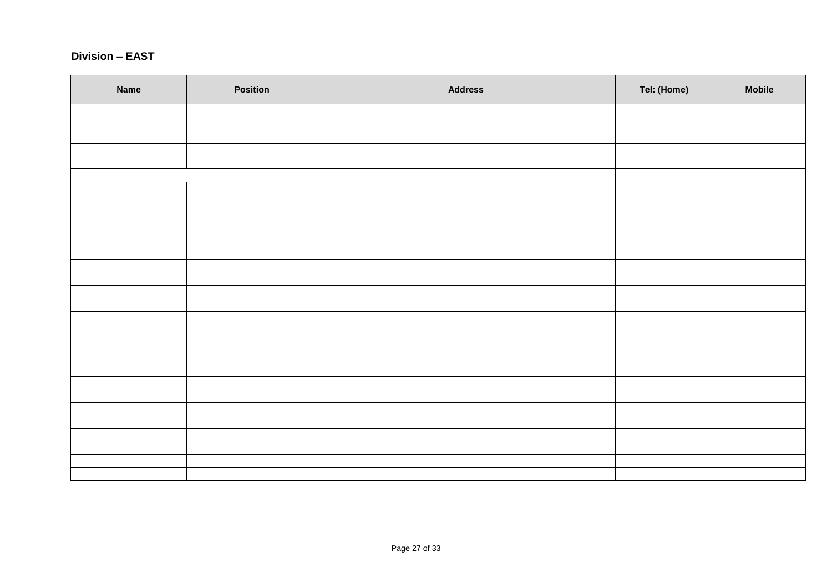### **Division – EAST**

| Name | Position | <b>Address</b> | Tel: (Home) | <b>Mobile</b> |
|------|----------|----------------|-------------|---------------|
|      |          |                |             |               |
|      |          |                |             |               |
|      |          |                |             |               |
|      |          |                |             |               |
|      |          |                |             |               |
|      |          |                |             |               |
|      |          |                |             |               |
|      |          |                |             |               |
|      |          |                |             |               |
|      |          |                |             |               |
|      |          |                |             |               |
|      |          |                |             |               |
|      |          |                |             |               |
|      |          |                |             |               |
|      |          |                |             |               |
|      |          |                |             |               |
|      |          |                |             |               |
|      |          |                |             |               |
|      |          |                |             |               |
|      |          |                |             |               |
|      |          |                |             |               |
|      |          |                |             |               |
|      |          |                |             |               |
|      |          |                |             |               |
|      |          |                |             |               |
|      |          |                |             |               |
|      |          |                |             |               |
|      |          |                |             |               |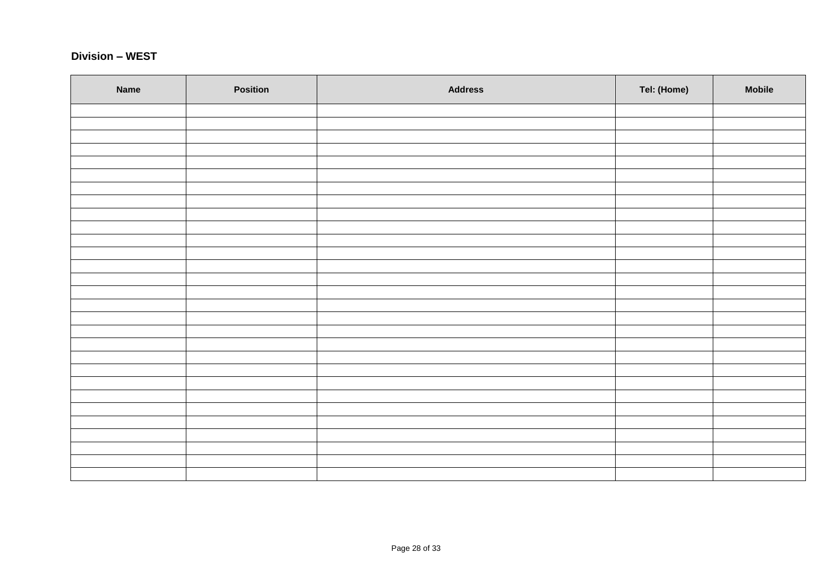### **Division – WEST**

| Name | Position | <b>Address</b> | Tel: (Home) | <b>Mobile</b> |
|------|----------|----------------|-------------|---------------|
|      |          |                |             |               |
|      |          |                |             |               |
|      |          |                |             |               |
|      |          |                |             |               |
|      |          |                |             |               |
|      |          |                |             |               |
|      |          |                |             |               |
|      |          |                |             |               |
|      |          |                |             |               |
|      |          |                |             |               |
|      |          |                |             |               |
|      |          |                |             |               |
|      |          |                |             |               |
|      |          |                |             |               |
|      |          |                |             |               |
|      |          |                |             |               |
|      |          |                |             |               |
|      |          |                |             |               |
|      |          |                |             |               |
|      |          |                |             |               |
|      |          |                |             |               |
|      |          |                |             |               |
|      |          |                |             |               |
|      |          |                |             |               |
|      |          |                |             |               |
|      |          |                |             |               |
|      |          |                |             |               |
|      |          |                |             |               |
|      |          |                |             |               |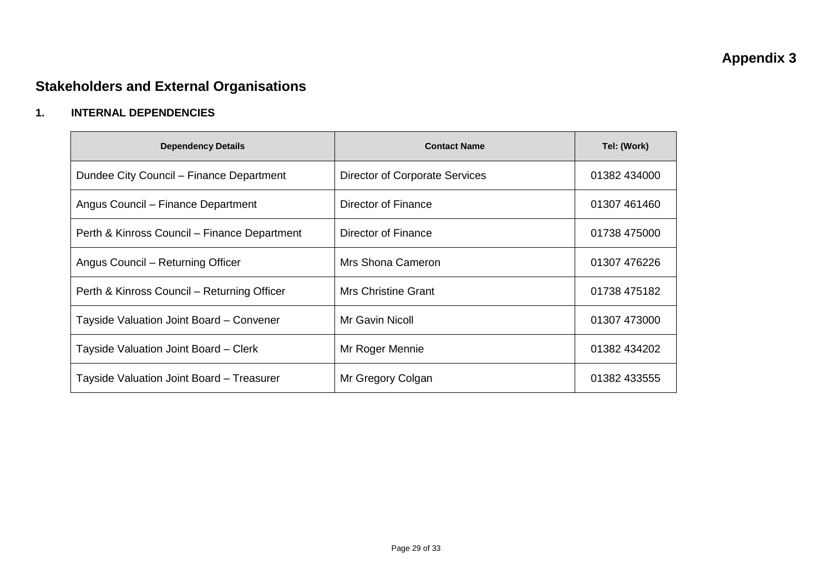# **Appendix 3**

# **Stakeholders and External Organisations**

## **1. INTERNAL DEPENDENCIES**

| <b>Dependency Details</b>                    | <b>Contact Name</b>            | Tel: (Work)  |
|----------------------------------------------|--------------------------------|--------------|
| Dundee City Council – Finance Department     | Director of Corporate Services | 01382 434000 |
| Angus Council – Finance Department           | Director of Finance            | 01307 461460 |
| Perth & Kinross Council – Finance Department | Director of Finance            | 01738 475000 |
| Angus Council – Returning Officer            | Mrs Shona Cameron              | 01307 476226 |
| Perth & Kinross Council – Returning Officer  | Mrs Christine Grant            | 01738 475182 |
| Tayside Valuation Joint Board - Convener     | Mr Gavin Nicoll                | 01307 473000 |
| Tayside Valuation Joint Board - Clerk        | Mr Roger Mennie                | 01382 434202 |
| Tayside Valuation Joint Board - Treasurer    | Mr Gregory Colgan              | 01382 433555 |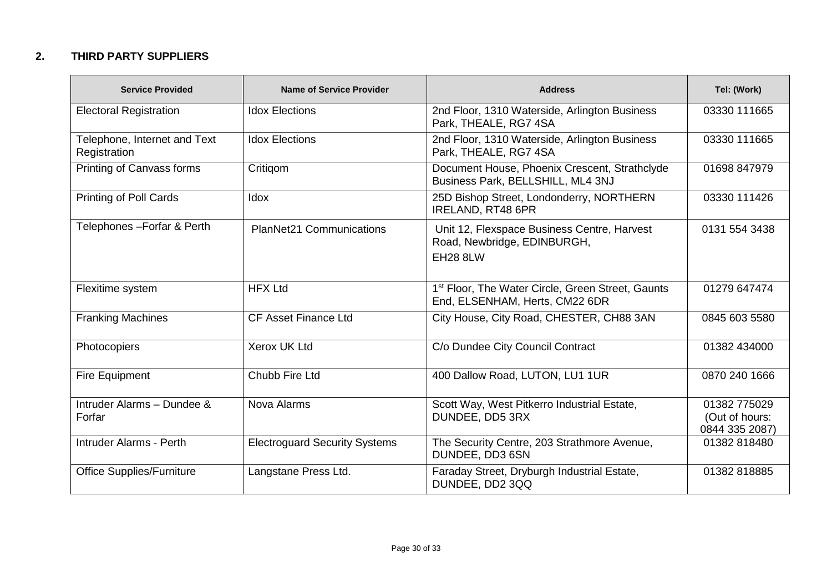## **2. THIRD PARTY SUPPLIERS**

| <b>Service Provided</b>                      | <b>Name of Service Provider</b>      | <b>Address</b>                                                                                  | Tel: (Work)                                      |
|----------------------------------------------|--------------------------------------|-------------------------------------------------------------------------------------------------|--------------------------------------------------|
| <b>Electoral Registration</b>                | <b>Idox Elections</b>                | 2nd Floor, 1310 Waterside, Arlington Business<br>Park, THEALE, RG7 4SA                          | 03330 111665                                     |
| Telephone, Internet and Text<br>Registration | <b>Idox Elections</b>                | 2nd Floor, 1310 Waterside, Arlington Business<br>Park, THEALE, RG7 4SA                          | 03330 111665                                     |
| Printing of Canvass forms                    | Critigom                             | Document House, Phoenix Crescent, Strathclyde<br>Business Park, BELLSHILL, ML4 3NJ              | 01698 847979                                     |
| <b>Printing of Poll Cards</b>                | <b>Idox</b>                          | 25D Bishop Street, Londonderry, NORTHERN<br><b>IRELAND, RT48 6PR</b>                            | 03330 111426                                     |
| Telephones - Forfar & Perth                  | <b>PlanNet21 Communications</b>      | Unit 12, Flexspace Business Centre, Harvest<br>Road, Newbridge, EDINBURGH,<br><b>EH28 8LW</b>   | 0131 554 3438                                    |
| Flexitime system                             | <b>HFX Ltd</b>                       | 1 <sup>st</sup> Floor, The Water Circle, Green Street, Gaunts<br>End, ELSENHAM, Herts, CM22 6DR | 01279 647474                                     |
| <b>Franking Machines</b>                     | <b>CF Asset Finance Ltd</b>          | City House, City Road, CHESTER, CH88 3AN                                                        | 0845 603 5580                                    |
| Photocopiers                                 | <b>Xerox UK Ltd</b>                  | C/o Dundee City Council Contract                                                                | 01382 434000                                     |
| Fire Equipment                               | Chubb Fire Ltd                       | 400 Dallow Road, LUTON, LU1 1UR                                                                 | 0870 240 1666                                    |
| Intruder Alarms - Dundee &<br>Forfar         | Nova Alarms                          | Scott Way, West Pitkerro Industrial Estate,<br>DUNDEE, DD5 3RX                                  | 01382 775029<br>(Out of hours:<br>0844 335 2087) |
| Intruder Alarms - Perth                      | <b>Electroguard Security Systems</b> | The Security Centre, 203 Strathmore Avenue,<br>DUNDEE, DD3 6SN                                  | 01382 818480                                     |
| <b>Office Supplies/Furniture</b>             | Langstane Press Ltd.                 | Faraday Street, Dryburgh Industrial Estate,<br>DUNDEE, DD2 3QQ                                  | 01382 818885                                     |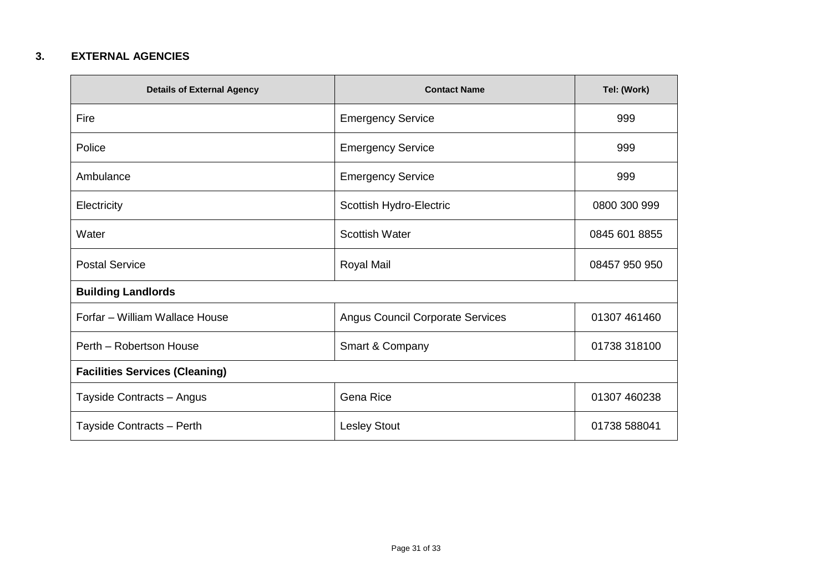### **3. EXTERNAL AGENCIES**

| <b>Details of External Agency</b>     | <b>Contact Name</b>                     | Tel: (Work)   |
|---------------------------------------|-----------------------------------------|---------------|
| Fire                                  | <b>Emergency Service</b>                | 999           |
| Police                                | <b>Emergency Service</b>                | 999           |
| Ambulance                             | <b>Emergency Service</b>                | 999           |
| Electricity                           | Scottish Hydro-Electric                 | 0800 300 999  |
| Water                                 | <b>Scottish Water</b>                   | 0845 601 8855 |
| <b>Postal Service</b>                 | Royal Mail                              | 08457 950 950 |
| <b>Building Landlords</b>             |                                         |               |
| Forfar - William Wallace House        | <b>Angus Council Corporate Services</b> | 01307 461460  |
| Perth - Robertson House               | Smart & Company                         | 01738 318100  |
| <b>Facilities Services (Cleaning)</b> |                                         |               |
| Tayside Contracts - Angus             | Gena Rice                               | 01307 460238  |
| Tayside Contracts - Perth             | <b>Lesley Stout</b>                     | 01738 588041  |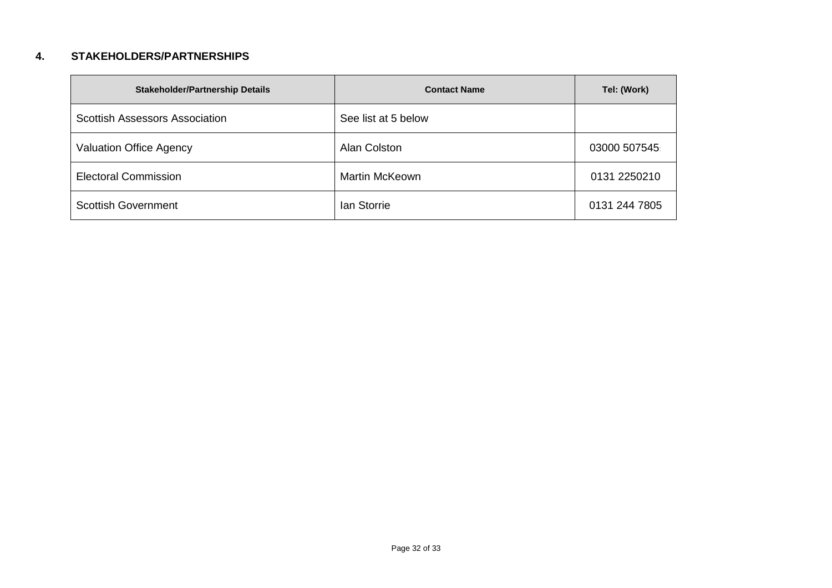### **4. STAKEHOLDERS/PARTNERSHIPS**

| <b>Stakeholder/Partnership Details</b> | <b>Contact Name</b>   | Tel: (Work)   |
|----------------------------------------|-----------------------|---------------|
| <b>Scottish Assessors Association</b>  | See list at 5 below   |               |
| Valuation Office Agency                | Alan Colston          | 03000 507545  |
| <b>Electoral Commission</b>            | <b>Martin McKeown</b> | 0131 2250210  |
| <b>Scottish Government</b>             | lan Storrie           | 0131 244 7805 |